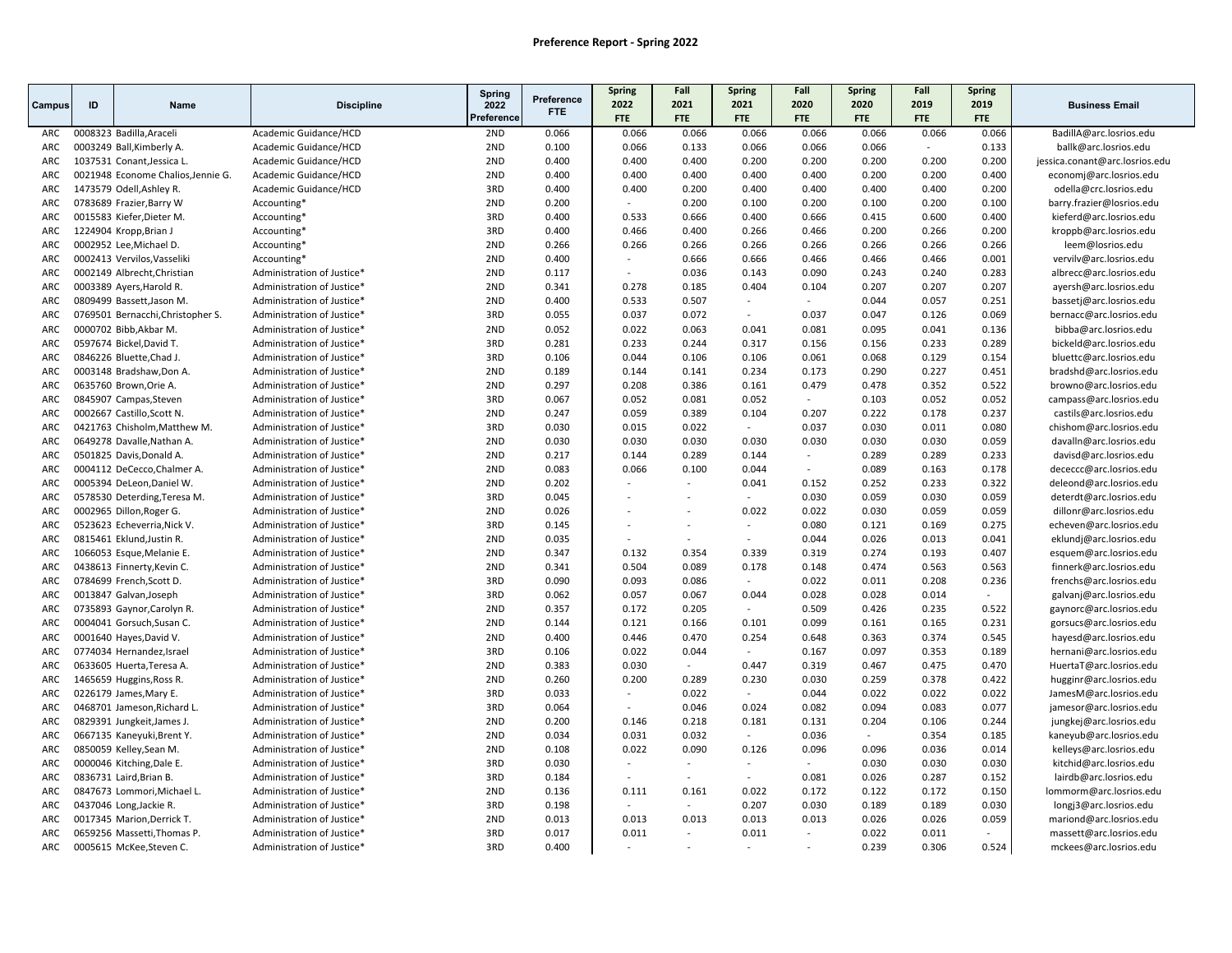|            |    |                                                           |                                                          | Spring     |                          | Spring         | Fall                     | Spring           | Fall             | <b>Spring</b>  | Fall           | Spring         |                                                    |
|------------|----|-----------------------------------------------------------|----------------------------------------------------------|------------|--------------------------|----------------|--------------------------|------------------|------------------|----------------|----------------|----------------|----------------------------------------------------|
| Campus     | ID | <b>Name</b>                                               | <b>Discipline</b>                                        | 2022       | Preference<br><b>FTE</b> | 2022           | 2021                     | 2021             | 2020             | 2020           | 2019           | 2019           | <b>Business Email</b>                              |
|            |    |                                                           |                                                          | Preference |                          | <b>FTE</b>     | <b>FTE</b>               | <b>FTE</b>       | <b>FTE</b>       | <b>FTE</b>     | <b>FTE</b>     | <b>FTE</b>     |                                                    |
| ARC        |    | 0008323 Badilla, Araceli                                  | Academic Guidance/HCD                                    | 2ND        | 0.066                    | 0.066          | 0.066                    | 0.066            | 0.066            | 0.066          | 0.066          | 0.066          | BadillA@arc.losrios.edu                            |
| ARC        |    | 0003249 Ball, Kimberly A.                                 | Academic Guidance/HCD                                    | 2ND        | 0.100                    | 0.066          | 0.133                    | 0.066            | 0.066            | 0.066          | $\sim$         | 0.133          | ballk@arc.losrios.edu                              |
| ARC        |    | 1037531 Conant, Jessica L.                                | Academic Guidance/HCD                                    | 2ND        | 0.400                    | 0.400          | 0.400                    | 0.200            | 0.200            | 0.200          | 0.200          | 0.200          | jessica.conant@arc.losrios.edu                     |
| ARC        |    | 0021948 Econome Chalios, Jennie G.                        | Academic Guidance/HCD                                    | 2ND        | 0.400                    | 0.400          | 0.400                    | 0.400            | 0.400            | 0.200          | 0.200          | 0.400          | economj@arc.losrios.edu                            |
| ARC        |    | 1473579 Odell, Ashley R.                                  | Academic Guidance/HCD                                    | 3RD        | 0.400                    | 0.400          | 0.200                    | 0.400            | 0.400            | 0.400          | 0.400          | 0.200          | odella@crc.losrios.edu                             |
| ARC        |    | 0783689 Frazier, Barry W                                  | Accounting*                                              | 2ND        | 0.200                    | $\sim$         | 0.200                    | 0.100            | 0.200            | 0.100          | 0.200          | 0.100          | barry.frazier@losrios.edu                          |
| ARC        |    | 0015583 Kiefer, Dieter M.                                 | Accounting*                                              | 3RD        | 0.400                    | 0.533          | 0.666                    | 0.400            | 0.666            | 0.415          | 0.600          | 0.400          | kieferd@arc.losrios.edu                            |
| ARC        |    | 1224904 Kropp, Brian J                                    | Accounting*                                              | 3RD        | 0.400                    | 0.466          | 0.400                    | 0.266            | 0.466            | 0.200          | 0.266          | 0.200          | kroppb@arc.losrios.edu                             |
| ARC        |    | 0002952 Lee, Michael D.                                   | Accounting*                                              | 2ND<br>2ND | 0.266                    | 0.266          | 0.266                    | 0.266<br>0.666   | 0.266            | 0.266          | 0.266<br>0.466 | 0.266          | leem@losrios.edu                                   |
| ARC        |    | 0002413 Vervilos, Vasseliki                               | Accounting*                                              |            | 0.400                    | $\sim$         | 0.666                    |                  | 0.466            | 0.466          |                | 0.001          | vervilv@arc.losrios.edu                            |
| <b>ARC</b> |    | 0002149 Albrecht, Christian                               | Administration of Justice*                               | 2ND        | 0.117                    |                | 0.036                    | 0.143            | 0.090            | 0.243          | 0.240          | 0.283          | albrecc@arc.losrios.edu                            |
| ARC        |    | 0003389 Ayers, Harold R.                                  | Administration of Justice*                               | 2ND        | 0.341                    | 0.278          | 0.185                    | 0.404            | 0.104            | 0.207          | 0.207          | 0.207          | ayersh@arc.losrios.edu                             |
| <b>ARC</b> |    | 0809499 Bassett, Jason M.                                 | Administration of Justice*                               | 2ND<br>3RD | 0.400                    | 0.533          | 0.507                    | $\sim$<br>$\sim$ | $\sim$           | 0.044          | 0.057          | 0.251          | bassetj@arc.losrios.edu                            |
| <b>ARC</b> |    | 0769501 Bernacchi, Christopher S.                         | Administration of Justice*                               |            | 0.055                    | 0.037<br>0.022 | 0.072                    |                  | 0.037<br>0.081   | 0.047<br>0.095 | 0.126          | 0.069          | bernacc@arc.losrios.edu                            |
| ARC        |    | 0000702 Bibb, Akbar M.                                    | Administration of Justice*                               | 2ND<br>3RD | 0.052                    |                | 0.063                    | 0.041            |                  |                | 0.041          | 0.136          | bibba@arc.losrios.edu                              |
| ARC        |    | 0597674 Bickel, David T.                                  | Administration of Justice*                               | 3RD        | 0.281                    | 0.233          | 0.244                    | 0.317            | 0.156            | 0.156          | 0.233          | 0.289          | bickeld@arc.losrios.edu                            |
| ARC        |    | 0846226 Bluette, Chad J.                                  | Administration of Justice*                               |            | 0.106                    | 0.044          | 0.106                    | 0.106            | 0.061            | 0.068          | 0.129          | 0.154          | bluettc@arc.losrios.edu                            |
| ARC        |    | 0003148 Bradshaw, Don A.                                  | Administration of Justice*                               | 2ND        | 0.189                    | 0.144          | 0.141                    | 0.234            | 0.173            | 0.290          | 0.227          | 0.451          | bradshd@arc.losrios.edu                            |
| ARC        |    | 0635760 Brown, Orie A.                                    | Administration of Justice*                               | 2ND<br>3RD | 0.297                    | 0.208<br>0.052 | 0.386                    | 0.161<br>0.052   | 0.479            | 0.478          | 0.352<br>0.052 | 0.522<br>0.052 | browno@arc.losrios.edu                             |
| ARC        |    | 0845907 Campas, Steven                                    | Administration of Justice*                               |            | 0.067                    |                | 0.081                    |                  | $\sim$           | 0.103          |                |                | campass@arc.losrios.edu                            |
| ARC        |    | 0002667 Castillo, Scott N.                                | Administration of Justice*                               | 2ND<br>3RD | 0.247                    | 0.059          | 0.389                    | 0.104<br>$\sim$  | 0.207            | 0.222          | 0.178          | 0.237          | castils@arc.losrios.edu                            |
| ARC<br>ARC |    | 0421763 Chisholm, Matthew M.                              | Administration of Justice*                               | 2ND        | 0.030                    | 0.015          | 0.022                    |                  | 0.037            | 0.030          | 0.011<br>0.030 | 0.080          | chishom@arc.losrios.edu                            |
|            |    | 0649278 Davalle, Nathan A.                                | Administration of Justice*                               | 2ND        | 0.030                    | 0.030<br>0.144 | 0.030<br>0.289           | 0.030            | 0.030            | 0.030          |                | 0.059          | davalln@arc.losrios.edu                            |
| ARC<br>ARC |    | 0501825 Davis, Donald A.                                  | Administration of Justice*                               | 2ND        | 0.217<br>0.083           | 0.066          | 0.100                    | 0.144<br>0.044   | $\sim$<br>$\sim$ | 0.289<br>0.089 | 0.289<br>0.163 | 0.233<br>0.178 | davisd@arc.losrios.edu                             |
| ARC        |    | 0004112 DeCecco, Chalmer A.                               | Administration of Justice*<br>Administration of Justice* | 2ND        | 0.202                    | $\overline{a}$ | $\sim$                   | 0.041            | 0.152            |                | 0.233          |                | dececcc@arc.losrios.edu                            |
| ARC        |    | 0005394 DeLeon, Daniel W.<br>0578530 Deterding, Teresa M. |                                                          | 3RD        | 0.045                    |                | $\overline{\phantom{a}}$ |                  | 0.030            | 0.252<br>0.059 | 0.030          | 0.322<br>0.059 | deleond@arc.losrios.edu                            |
| ARC        |    | 0002965 Dillon, Roger G.                                  | Administration of Justice*<br>Administration of Justice* | 2ND        | 0.026                    |                | $\overline{a}$           | 0.022            | 0.022            | 0.030          | 0.059          | 0.059          | deterdt@arc.losrios.edu<br>dillonr@arc.losrios.edu |
| ARC        |    | 0523623 Echeverria, Nick V.                               | Administration of Justice*                               | 3RD        | 0.145                    |                |                          | $\sim$           | 0.080            | 0.121          | 0.169          | 0.275          | echeven@arc.losrios.edu                            |
| ARC        |    | 0815461 Eklund, Justin R.                                 | Administration of Justice*                               | 2ND        | 0.035                    |                | $\overline{\phantom{a}}$ |                  | 0.044            | 0.026          | 0.013          | 0.041          | eklundj@arc.losrios.edu                            |
| <b>ARC</b> |    | 1066053 Esque, Melanie E.                                 | Administration of Justice*                               | 2ND        | 0.347                    | 0.132          | 0.354                    | 0.339            | 0.319            | 0.274          | 0.193          | 0.407          |                                                    |
| ARC        |    | 0438613 Finnerty, Kevin C.                                | Administration of Justice*                               | 2ND        | 0.341                    | 0.504          | 0.089                    | 0.178            | 0.148            | 0.474          | 0.563          | 0.563          | esquem@arc.losrios.edu<br>finnerk@arc.losrios.edu  |
| <b>ARC</b> |    | 0784699 French, Scott D.                                  | Administration of Justice*                               | 3RD        | 0.090                    | 0.093          | 0.086                    | $\sim$           | 0.022            | 0.011          | 0.208          | 0.236          | frenchs@arc.losrios.edu                            |
| ARC        |    | 0013847 Galvan, Joseph                                    | Administration of Justice*                               | 3RD        | 0.062                    | 0.057          | 0.067                    | 0.044            | 0.028            | 0.028          | 0.014          | ÷              | galvanj@arc.losrios.edu                            |
| ARC        |    | 0735893 Gaynor, Carolyn R.                                | Administration of Justice*                               | 2ND        | 0.357                    | 0.172          | 0.205                    | $\sim$           | 0.509            | 0.426          | 0.235          | 0.522          | gaynorc@arc.losrios.edu                            |
| ARC        |    | 0004041 Gorsuch, Susan C.                                 | Administration of Justice*                               | 2ND        | 0.144                    | 0.121          | 0.166                    | 0.101            | 0.099            | 0.161          | 0.165          | 0.231          | gorsucs@arc.losrios.edu                            |
| ARC        |    | 0001640 Hayes, David V.                                   | Administration of Justice*                               | 2ND        | 0.400                    | 0.446          | 0.470                    | 0.254            | 0.648            | 0.363          | 0.374          | 0.545          | hayesd@arc.losrios.edu                             |
| ARC        |    | 0774034 Hernandez, Israel                                 | Administration of Justice*                               | 3RD        | 0.106                    | 0.022          | 0.044                    |                  | 0.167            | 0.097          | 0.353          | 0.189          | hernani@arc.losrios.edu                            |
| ARC        |    | 0633605 Huerta, Teresa A.                                 | Administration of Justice*                               | 2ND        | 0.383                    | 0.030          | $\sim$                   | 0.447            | 0.319            | 0.467          | 0.475          | 0.470          | HuertaT@arc.losrios.edu                            |
| ARC        |    | 1465659 Huggins, Ross R.                                  | Administration of Justice*                               | 2ND        | 0.260                    | 0.200          | 0.289                    | 0.230            | 0.030            | 0.259          | 0.378          | 0.422          | hugginr@arc.losrios.edu                            |
| ARC        |    | 0226179 James, Mary E.                                    | Administration of Justice*                               | 3RD        | 0.033                    |                | 0.022                    |                  | 0.044            | 0.022          | 0.022          | 0.022          | JamesM@arc.losrios.edu                             |
| ARC        |    | 0468701 Jameson, Richard L.                               | Administration of Justice*                               | 3RD        | 0.064                    | ÷              | 0.046                    | 0.024            | 0.082            | 0.094          | 0.083          | 0.077          | jamesor@arc.losrios.edu                            |
| <b>ARC</b> |    | 0829391 Jungkeit, James J.                                | Administration of Justice*                               | 2ND        | 0.200                    | 0.146          | 0.218                    | 0.181            | 0.131            | 0.204          | 0.106          | 0.244          | jungkej@arc.losrios.edu                            |
| ARC        |    | 0667135 Kaneyuki, Brent Y.                                | Administration of Justice*                               | 2ND        | 0.034                    | 0.031          | 0.032                    |                  | 0.036            | $\sim$         | 0.354          | 0.185          | kaneyub@arc.losrios.edu                            |
| ARC        |    | 0850059 Kelley, Sean M.                                   | Administration of Justice*                               | 2ND        | 0.108                    | 0.022          | 0.090                    | 0.126            | 0.096            | 0.096          | 0.036          | 0.014          | kelleys@arc.losrios.edu                            |
| ARC        |    | 0000046 Kitching, Dale E.                                 | Administration of Justice*                               | 3RD        | 0.030                    |                | $\sim$                   |                  | $\sim$           | 0.030          | 0.030          | 0.030          | kitchid@arc.losrios.edu                            |
| ARC        |    | 0836731 Laird, Brian B.                                   | Administration of Justice*                               | 3RD        | 0.184                    |                | $\sim$                   | $\sim$           | 0.081            | 0.026          | 0.287          | 0.152          | lairdb@arc.losrios.edu                             |
| <b>ARC</b> |    | 0847673 Lommori, Michael L.                               | Administration of Justice*                               | 2ND        | 0.136                    | 0.111          | 0.161                    | 0.022            | 0.172            | 0.122          | 0.172          | 0.150          | lommorm@arc.losrios.edu                            |
| ARC        |    | 0437046 Long, Jackie R.                                   | Administration of Justice*                               | 3RD        | 0.198                    |                | $\sim$                   | 0.207            | 0.030            | 0.189          | 0.189          | 0.030          | longj3@arc.losrios.edu                             |
| <b>ARC</b> |    | 0017345 Marion, Derrick T.                                | Administration of Justice*                               | 2ND        | 0.013                    | 0.013          | 0.013                    | 0.013            | 0.013            | 0.026          | 0.026          | 0.059          | mariond@arc.losrios.edu                            |
| ARC        |    | 0659256 Massetti, Thomas P.                               | Administration of Justice*                               | 3RD        | 0.017                    | 0.011          | $\sim$                   | 0.011            | $\sim$           | 0.022          | 0.011          | $\overline{a}$ | massett@arc.losrios.edu                            |
| ARC        |    | 0005615 McKee, Steven C.                                  | Administration of Justice*                               | 3RD        | 0.400                    |                |                          |                  | $\overline{a}$   | 0.239          | 0.306          | 0.524          | mckees@arc.losrios.edu                             |
|            |    |                                                           |                                                          |            |                          |                |                          |                  |                  |                |                |                |                                                    |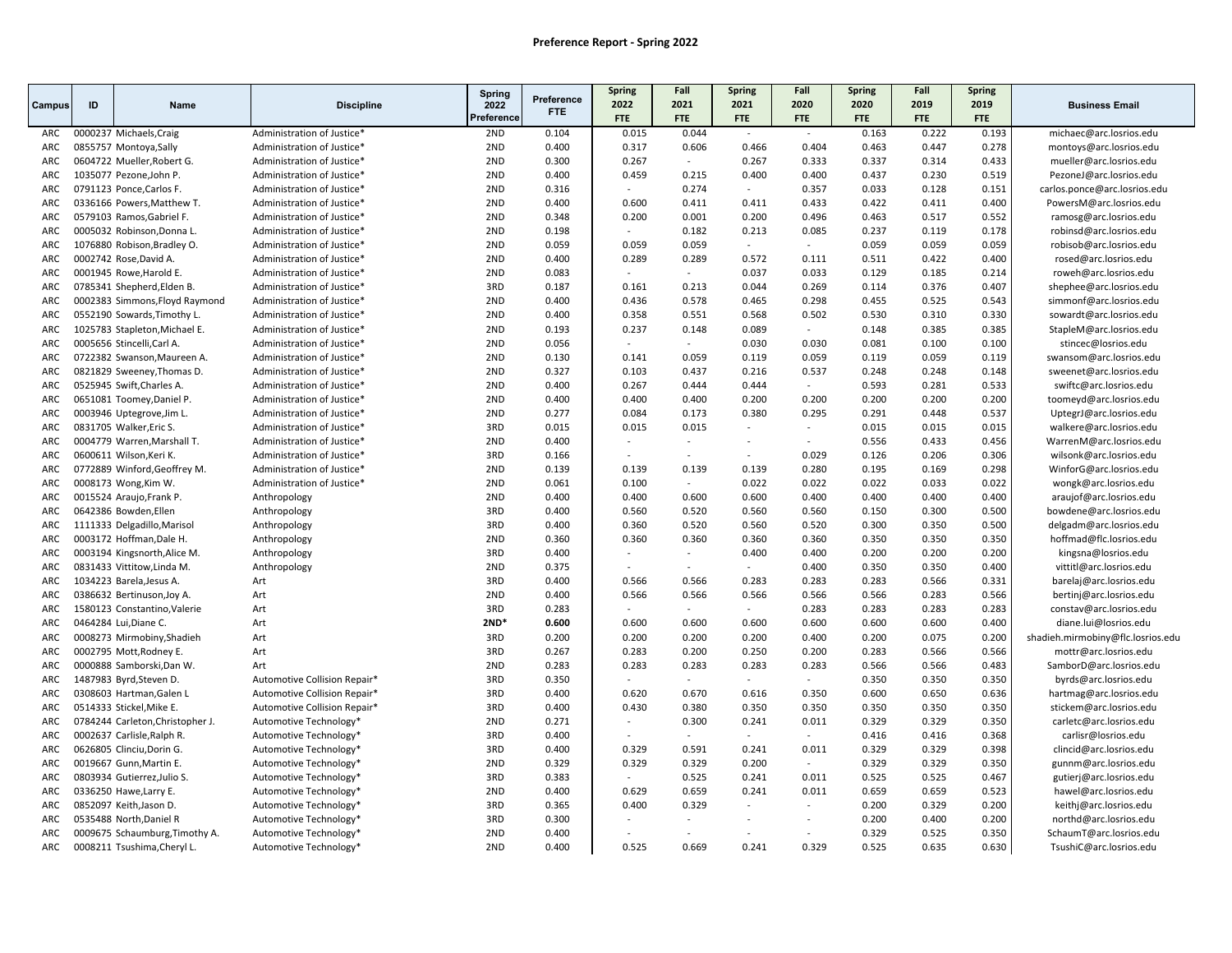| Spring<br>Preference<br>2020<br>2019<br>2022<br>2021<br>2021<br>2020<br>2019<br>ID<br><b>Discipline</b><br>2022<br><b>Name</b><br>Campus<br>FTE.<br>Preference<br>FTE<br>FTE<br>FTE<br><b>FTE</b><br>FTE<br><b>FTE</b><br>FTE<br>2ND<br>0.104<br>0.044<br>0.193<br>0000237 Michaels, Craig<br>Administration of Justice*<br>0.015<br>0.163<br>0.222<br>ARC<br>$\overline{\phantom{a}}$<br>$\sim$<br>2ND<br>0.400<br>0.317<br>0.404<br>0.463<br>0.447<br>0.278<br>0855757 Montoya, Sally<br>0.606<br>0.466<br>ARC<br>Administration of Justice*<br>2ND<br>0.433<br>ARC<br>0604722 Mueller, Robert G.<br>Administration of Justice*<br>0.300<br>0.267<br>0.267<br>0.333<br>0.337<br>0.314<br>$\sim$<br>2ND<br>ARC<br>1035077 Pezone, John P.<br>Administration of Justice*<br>0.400<br>0.459<br>0.215<br>0.400<br>0.400<br>0.437<br>0.230<br>0.519<br>2ND<br>0.274<br>0.357<br>0.033<br>0.128<br>0.151<br>ARC<br>0791123 Ponce, Carlos F.<br>0.316<br>Administration of Justice*<br>$\sim$<br>$\overline{\phantom{a}}$<br>2ND<br>0.400<br>0.600<br>0.411<br>0.411<br>0.433<br>0.422<br>0.411<br>0.400<br>ARC<br>0336166 Powers, Matthew T.<br>Administration of Justice*<br>2ND<br>0.496<br>0.463<br>0.517<br>0.552<br>ARC<br>0579103 Ramos, Gabriel F.<br>0.348<br>0.200<br>0.001<br>0.200<br>Administration of Justice*<br>2ND<br>0.178<br><b>ARC</b><br>0005032 Robinson, Donna L.<br>Administration of Justice*<br>0.198<br>0.182<br>0.213<br>0.085<br>0.237<br>0.119<br>$\sim$<br>ARC<br>1076880 Robison, Bradley O.<br>2ND<br>0.059<br>0.059<br>0.059<br>0.059<br>0.059<br>0.059<br>Administration of Justice*<br>$\sim$<br>$\sim$<br>ARC<br>0002742 Rose, David A.<br>2ND<br>0.400<br>0.289<br>0.289<br>0.572<br>0.111<br>0.511<br>0.422<br>0.400<br>Administration of Justice*<br>2ND<br>0.083<br>0.033<br>0.129<br>0.185<br>ARC<br>0001945 Rowe, Harold E.<br>Administration of Justice*<br>0.037<br>0.214<br>$\sim$<br>$\overline{a}$<br>3RD<br>0.376<br>0.407<br>0785341 Shepherd, Elden B.<br>0.187<br>0.161<br>0.213<br>0.044<br>0.269<br>0.114<br>ARC<br>Administration of Justice*<br>ARC<br>2ND<br>0.400<br>0.436<br>0.578<br>0.465<br>0.298<br>0.455<br>0.525<br>0.543 |                                                    |
|---------------------------------------------------------------------------------------------------------------------------------------------------------------------------------------------------------------------------------------------------------------------------------------------------------------------------------------------------------------------------------------------------------------------------------------------------------------------------------------------------------------------------------------------------------------------------------------------------------------------------------------------------------------------------------------------------------------------------------------------------------------------------------------------------------------------------------------------------------------------------------------------------------------------------------------------------------------------------------------------------------------------------------------------------------------------------------------------------------------------------------------------------------------------------------------------------------------------------------------------------------------------------------------------------------------------------------------------------------------------------------------------------------------------------------------------------------------------------------------------------------------------------------------------------------------------------------------------------------------------------------------------------------------------------------------------------------------------------------------------------------------------------------------------------------------------------------------------------------------------------------------------------------------------------------------------------------------------------------------------------------------------------------------------------------------------------------------------------------------------------------------------------------------------------------------|----------------------------------------------------|
|                                                                                                                                                                                                                                                                                                                                                                                                                                                                                                                                                                                                                                                                                                                                                                                                                                                                                                                                                                                                                                                                                                                                                                                                                                                                                                                                                                                                                                                                                                                                                                                                                                                                                                                                                                                                                                                                                                                                                                                                                                                                                                                                                                                       | <b>Business Email</b>                              |
|                                                                                                                                                                                                                                                                                                                                                                                                                                                                                                                                                                                                                                                                                                                                                                                                                                                                                                                                                                                                                                                                                                                                                                                                                                                                                                                                                                                                                                                                                                                                                                                                                                                                                                                                                                                                                                                                                                                                                                                                                                                                                                                                                                                       |                                                    |
|                                                                                                                                                                                                                                                                                                                                                                                                                                                                                                                                                                                                                                                                                                                                                                                                                                                                                                                                                                                                                                                                                                                                                                                                                                                                                                                                                                                                                                                                                                                                                                                                                                                                                                                                                                                                                                                                                                                                                                                                                                                                                                                                                                                       | michaec@arc.losrios.edu                            |
|                                                                                                                                                                                                                                                                                                                                                                                                                                                                                                                                                                                                                                                                                                                                                                                                                                                                                                                                                                                                                                                                                                                                                                                                                                                                                                                                                                                                                                                                                                                                                                                                                                                                                                                                                                                                                                                                                                                                                                                                                                                                                                                                                                                       | montoys@arc.losrios.edu                            |
|                                                                                                                                                                                                                                                                                                                                                                                                                                                                                                                                                                                                                                                                                                                                                                                                                                                                                                                                                                                                                                                                                                                                                                                                                                                                                                                                                                                                                                                                                                                                                                                                                                                                                                                                                                                                                                                                                                                                                                                                                                                                                                                                                                                       | mueller@arc.losrios.edu                            |
|                                                                                                                                                                                                                                                                                                                                                                                                                                                                                                                                                                                                                                                                                                                                                                                                                                                                                                                                                                                                                                                                                                                                                                                                                                                                                                                                                                                                                                                                                                                                                                                                                                                                                                                                                                                                                                                                                                                                                                                                                                                                                                                                                                                       | PezoneJ@arc.losrios.edu                            |
|                                                                                                                                                                                                                                                                                                                                                                                                                                                                                                                                                                                                                                                                                                                                                                                                                                                                                                                                                                                                                                                                                                                                                                                                                                                                                                                                                                                                                                                                                                                                                                                                                                                                                                                                                                                                                                                                                                                                                                                                                                                                                                                                                                                       | carlos.ponce@arc.losrios.edu                       |
|                                                                                                                                                                                                                                                                                                                                                                                                                                                                                                                                                                                                                                                                                                                                                                                                                                                                                                                                                                                                                                                                                                                                                                                                                                                                                                                                                                                                                                                                                                                                                                                                                                                                                                                                                                                                                                                                                                                                                                                                                                                                                                                                                                                       | PowersM@arc.losrios.edu                            |
|                                                                                                                                                                                                                                                                                                                                                                                                                                                                                                                                                                                                                                                                                                                                                                                                                                                                                                                                                                                                                                                                                                                                                                                                                                                                                                                                                                                                                                                                                                                                                                                                                                                                                                                                                                                                                                                                                                                                                                                                                                                                                                                                                                                       | ramosg@arc.losrios.edu                             |
|                                                                                                                                                                                                                                                                                                                                                                                                                                                                                                                                                                                                                                                                                                                                                                                                                                                                                                                                                                                                                                                                                                                                                                                                                                                                                                                                                                                                                                                                                                                                                                                                                                                                                                                                                                                                                                                                                                                                                                                                                                                                                                                                                                                       | robinsd@arc.losrios.edu                            |
|                                                                                                                                                                                                                                                                                                                                                                                                                                                                                                                                                                                                                                                                                                                                                                                                                                                                                                                                                                                                                                                                                                                                                                                                                                                                                                                                                                                                                                                                                                                                                                                                                                                                                                                                                                                                                                                                                                                                                                                                                                                                                                                                                                                       | robisob@arc.losrios.edu                            |
|                                                                                                                                                                                                                                                                                                                                                                                                                                                                                                                                                                                                                                                                                                                                                                                                                                                                                                                                                                                                                                                                                                                                                                                                                                                                                                                                                                                                                                                                                                                                                                                                                                                                                                                                                                                                                                                                                                                                                                                                                                                                                                                                                                                       | rosed@arc.losrios.edu                              |
|                                                                                                                                                                                                                                                                                                                                                                                                                                                                                                                                                                                                                                                                                                                                                                                                                                                                                                                                                                                                                                                                                                                                                                                                                                                                                                                                                                                                                                                                                                                                                                                                                                                                                                                                                                                                                                                                                                                                                                                                                                                                                                                                                                                       | roweh@arc.losrios.edu                              |
|                                                                                                                                                                                                                                                                                                                                                                                                                                                                                                                                                                                                                                                                                                                                                                                                                                                                                                                                                                                                                                                                                                                                                                                                                                                                                                                                                                                                                                                                                                                                                                                                                                                                                                                                                                                                                                                                                                                                                                                                                                                                                                                                                                                       | shephee@arc.losrios.edu                            |
| 0002383 Simmons, Floyd Raymond<br>Administration of Justice*                                                                                                                                                                                                                                                                                                                                                                                                                                                                                                                                                                                                                                                                                                                                                                                                                                                                                                                                                                                                                                                                                                                                                                                                                                                                                                                                                                                                                                                                                                                                                                                                                                                                                                                                                                                                                                                                                                                                                                                                                                                                                                                          | simmonf@arc.losrios.edu                            |
| 2ND<br>0.400<br>0.358<br>0.551<br>0.568<br>0.502<br>0.530<br>0.310<br>0.330<br>ARC<br>0552190 Sowards, Timothy L.<br>Administration of Justice*                                                                                                                                                                                                                                                                                                                                                                                                                                                                                                                                                                                                                                                                                                                                                                                                                                                                                                                                                                                                                                                                                                                                                                                                                                                                                                                                                                                                                                                                                                                                                                                                                                                                                                                                                                                                                                                                                                                                                                                                                                       | sowardt@arc.losrios.edu                            |
| 1025783 Stapleton, Michael E.<br>2ND<br>0.237<br>0.089<br>0.385<br>0.385<br>ARC<br>Administration of Justice*<br>0.193<br>0.148<br>0.148                                                                                                                                                                                                                                                                                                                                                                                                                                                                                                                                                                                                                                                                                                                                                                                                                                                                                                                                                                                                                                                                                                                                                                                                                                                                                                                                                                                                                                                                                                                                                                                                                                                                                                                                                                                                                                                                                                                                                                                                                                              | StapleM@arc.losrios.edu                            |
| 0.100<br>ARC<br>0005656 Stincelli, Carl A.<br>Administration of Justice*<br>2ND<br>0.056<br>0.030<br>0.030<br>0.081<br>0.100<br>$\sim$<br>$\sim$                                                                                                                                                                                                                                                                                                                                                                                                                                                                                                                                                                                                                                                                                                                                                                                                                                                                                                                                                                                                                                                                                                                                                                                                                                                                                                                                                                                                                                                                                                                                                                                                                                                                                                                                                                                                                                                                                                                                                                                                                                      | stincec@losrios.edu                                |
| 2ND<br>0.059<br>0.119<br>ARC<br>0722382 Swanson, Maureen A.<br>0.130<br>0.141<br>0.059<br>0.119<br>0.059<br>0.119<br>Administration of Justice*                                                                                                                                                                                                                                                                                                                                                                                                                                                                                                                                                                                                                                                                                                                                                                                                                                                                                                                                                                                                                                                                                                                                                                                                                                                                                                                                                                                                                                                                                                                                                                                                                                                                                                                                                                                                                                                                                                                                                                                                                                       | swansom@arc.losrios.edu                            |
| ARC<br>2ND<br>0.327<br>0.103<br>0.437<br>0.216<br>0.537<br>0.248<br>0.248<br>0.148<br>0821829 Sweeney, Thomas D.<br>Administration of Justice*                                                                                                                                                                                                                                                                                                                                                                                                                                                                                                                                                                                                                                                                                                                                                                                                                                                                                                                                                                                                                                                                                                                                                                                                                                                                                                                                                                                                                                                                                                                                                                                                                                                                                                                                                                                                                                                                                                                                                                                                                                        | sweenet@arc.losrios.edu                            |
| 2ND<br>0.400<br>0.267<br>0.444<br>0.593<br>0.281<br>0.533<br>ARC<br>0525945 Swift, Charles A.<br>0.444<br>Administration of Justice*<br>$\sim$                                                                                                                                                                                                                                                                                                                                                                                                                                                                                                                                                                                                                                                                                                                                                                                                                                                                                                                                                                                                                                                                                                                                                                                                                                                                                                                                                                                                                                                                                                                                                                                                                                                                                                                                                                                                                                                                                                                                                                                                                                        | swiftc@arc.losrios.edu                             |
| 2ND<br>0.200<br>ARC<br>0651081 Toomey, Daniel P.<br>Administration of Justice*<br>0.400<br>0.400<br>0.400<br>0.200<br>0.200<br>0.200<br>0.200                                                                                                                                                                                                                                                                                                                                                                                                                                                                                                                                                                                                                                                                                                                                                                                                                                                                                                                                                                                                                                                                                                                                                                                                                                                                                                                                                                                                                                                                                                                                                                                                                                                                                                                                                                                                                                                                                                                                                                                                                                         | toomeyd@arc.losrios.edu                            |
| ARC<br>0003946 Uptegrove, Jim L.<br>2ND<br>0.277<br>0.084<br>0.173<br>0.380<br>0.295<br>0.291<br>0.448<br>0.537<br>Administration of Justice*                                                                                                                                                                                                                                                                                                                                                                                                                                                                                                                                                                                                                                                                                                                                                                                                                                                                                                                                                                                                                                                                                                                                                                                                                                                                                                                                                                                                                                                                                                                                                                                                                                                                                                                                                                                                                                                                                                                                                                                                                                         | UptegrJ@arc.losrios.edu                            |
| 3RD<br>0.015<br>0.015<br>0.015<br>ARC<br>0831705 Walker, Eric S.<br>0.015<br>0.015<br>0.015<br>Administration of Justice*<br>$\overline{\phantom{a}}$<br>$\sim$                                                                                                                                                                                                                                                                                                                                                                                                                                                                                                                                                                                                                                                                                                                                                                                                                                                                                                                                                                                                                                                                                                                                                                                                                                                                                                                                                                                                                                                                                                                                                                                                                                                                                                                                                                                                                                                                                                                                                                                                                       | walkere@arc.losrios.edu                            |
| 2ND<br>0.400<br>0.556<br>0.433<br>0.456<br>ARC<br>0004779 Warren, Marshall T.<br>Administration of Justice*<br>$\sim$<br>$\sim$<br>$\sim$                                                                                                                                                                                                                                                                                                                                                                                                                                                                                                                                                                                                                                                                                                                                                                                                                                                                                                                                                                                                                                                                                                                                                                                                                                                                                                                                                                                                                                                                                                                                                                                                                                                                                                                                                                                                                                                                                                                                                                                                                                             | WarrenM@arc.losrios.edu                            |
| 3RD<br>0.126<br>ARC<br>0600611 Wilson, Keri K.<br>0.166<br>0.029<br>0.206<br>0.306<br>Administration of Justice*<br>$\overline{\phantom{a}}$                                                                                                                                                                                                                                                                                                                                                                                                                                                                                                                                                                                                                                                                                                                                                                                                                                                                                                                                                                                                                                                                                                                                                                                                                                                                                                                                                                                                                                                                                                                                                                                                                                                                                                                                                                                                                                                                                                                                                                                                                                          | wilsonk@arc.losrios.edu                            |
| 2ND<br>0.298<br>ARC<br>0772889 Winford, Geoffrey M.<br>Administration of Justice*<br>0.139<br>0.139<br>0.139<br>0.139<br>0.280<br>0.195<br>0.169<br>2ND<br>0.100<br>$\sim$                                                                                                                                                                                                                                                                                                                                                                                                                                                                                                                                                                                                                                                                                                                                                                                                                                                                                                                                                                                                                                                                                                                                                                                                                                                                                                                                                                                                                                                                                                                                                                                                                                                                                                                                                                                                                                                                                                                                                                                                            | WinforG@arc.losrios.edu                            |
| 0008173 Wong, Kim W.<br>0.061<br>0.022<br>0.022<br>0.022<br>0.033<br>0.022<br>ARC<br>Administration of Justice*                                                                                                                                                                                                                                                                                                                                                                                                                                                                                                                                                                                                                                                                                                                                                                                                                                                                                                                                                                                                                                                                                                                                                                                                                                                                                                                                                                                                                                                                                                                                                                                                                                                                                                                                                                                                                                                                                                                                                                                                                                                                       | wongk@arc.losrios.edu                              |
| 0015524 Araujo, Frank P.<br>2ND<br>0.400<br>0.400<br>0.600<br>0.400<br>0.400<br>0.400<br>0.400<br>ARC<br>Anthropology<br>0.600<br>3RD<br>0.560<br>0.300<br>0.500<br>ARC<br>0642386 Bowden, Ellen<br>0.400<br>0.520<br>0.560<br>0.560<br>0.150                                                                                                                                                                                                                                                                                                                                                                                                                                                                                                                                                                                                                                                                                                                                                                                                                                                                                                                                                                                                                                                                                                                                                                                                                                                                                                                                                                                                                                                                                                                                                                                                                                                                                                                                                                                                                                                                                                                                         | araujof@arc.losrios.edu                            |
| Anthropology<br>3RD<br>0.400<br>0.360<br>0.520<br>0.560<br>0.520<br>0.300<br>0.350<br>0.500<br>ARC<br>1111333 Delgadillo, Marisol                                                                                                                                                                                                                                                                                                                                                                                                                                                                                                                                                                                                                                                                                                                                                                                                                                                                                                                                                                                                                                                                                                                                                                                                                                                                                                                                                                                                                                                                                                                                                                                                                                                                                                                                                                                                                                                                                                                                                                                                                                                     | bowdene@arc.losrios.edu<br>delgadm@arc.losrios.edu |
| Anthropology<br>ARC<br>0003172 Hoffman, Dale H.<br>2ND<br>0.360<br>0.360<br>0.360<br>0.360<br>0.360<br>0.350<br>0.350<br>0.350                                                                                                                                                                                                                                                                                                                                                                                                                                                                                                                                                                                                                                                                                                                                                                                                                                                                                                                                                                                                                                                                                                                                                                                                                                                                                                                                                                                                                                                                                                                                                                                                                                                                                                                                                                                                                                                                                                                                                                                                                                                        | hoffmad@flc.losrios.edu                            |
| Anthropology<br>3RD<br>0.400<br>0.400<br>0.400<br>0.200<br>0.200<br>0.200<br>ARC<br>0003194 Kingsnorth, Alice M.<br>Anthropology<br>$\overline{a}$<br>$\sim$                                                                                                                                                                                                                                                                                                                                                                                                                                                                                                                                                                                                                                                                                                                                                                                                                                                                                                                                                                                                                                                                                                                                                                                                                                                                                                                                                                                                                                                                                                                                                                                                                                                                                                                                                                                                                                                                                                                                                                                                                          | kingsna@losrios.edu                                |
| 2ND<br>0.375<br>0.350<br>0.350<br>0.400<br>ARC<br>0831433 Vittitow, Linda M.<br>Anthropology<br>0.400<br>$\overline{a}$                                                                                                                                                                                                                                                                                                                                                                                                                                                                                                                                                                                                                                                                                                                                                                                                                                                                                                                                                                                                                                                                                                                                                                                                                                                                                                                                                                                                                                                                                                                                                                                                                                                                                                                                                                                                                                                                                                                                                                                                                                                               | vittitl@arc.losrios.edu                            |
| 3RD<br>ARC<br>1034223 Barela, Jesus A.<br>Art<br>0.400<br>0.566<br>0.566<br>0.283<br>0.283<br>0.283<br>0.566<br>0.331                                                                                                                                                                                                                                                                                                                                                                                                                                                                                                                                                                                                                                                                                                                                                                                                                                                                                                                                                                                                                                                                                                                                                                                                                                                                                                                                                                                                                                                                                                                                                                                                                                                                                                                                                                                                                                                                                                                                                                                                                                                                 | barelaj@arc.losrios.edu                            |
| 2ND<br>0.283<br>0.566<br><b>ARC</b><br>0386632 Bertinuson, Joy A.<br>Art<br>0.400<br>0.566<br>0.566<br>0.566<br>0.566<br>0.566                                                                                                                                                                                                                                                                                                                                                                                                                                                                                                                                                                                                                                                                                                                                                                                                                                                                                                                                                                                                                                                                                                                                                                                                                                                                                                                                                                                                                                                                                                                                                                                                                                                                                                                                                                                                                                                                                                                                                                                                                                                        | bertinj@arc.losrios.edu                            |
| 3RD<br>0.283<br>0.283<br>0.283<br>0.283<br>0.283<br>ARC<br>1580123 Constantino, Valerie<br>Art<br>$\overline{\phantom{a}}$                                                                                                                                                                                                                                                                                                                                                                                                                                                                                                                                                                                                                                                                                                                                                                                                                                                                                                                                                                                                                                                                                                                                                                                                                                                                                                                                                                                                                                                                                                                                                                                                                                                                                                                                                                                                                                                                                                                                                                                                                                                            | constav@arc.losrios.edu                            |
| $2ND*$<br>0.600<br>0.600<br>0.600<br>0.600<br>0.600<br>0.600<br>0.400<br>ARC<br>0464284 Lui, Diane C.<br>Art<br>0.600                                                                                                                                                                                                                                                                                                                                                                                                                                                                                                                                                                                                                                                                                                                                                                                                                                                                                                                                                                                                                                                                                                                                                                                                                                                                                                                                                                                                                                                                                                                                                                                                                                                                                                                                                                                                                                                                                                                                                                                                                                                                 | diane.lui@losrios.edu                              |
| 3RD<br>0.075<br>ARC<br>0008273 Mirmobiny, Shadieh<br>Art<br>0.200<br>0.200<br>0.200<br>0.200<br>0.400<br>0.200<br>0.200                                                                                                                                                                                                                                                                                                                                                                                                                                                                                                                                                                                                                                                                                                                                                                                                                                                                                                                                                                                                                                                                                                                                                                                                                                                                                                                                                                                                                                                                                                                                                                                                                                                                                                                                                                                                                                                                                                                                                                                                                                                               | shadieh.mirmobiny@flc.losrios.edu                  |
| 3RD<br>ARC<br>0002795 Mott, Rodney E.<br>Art<br>0.267<br>0.283<br>0.200<br>0.250<br>0.200<br>0.283<br>0.566<br>0.566                                                                                                                                                                                                                                                                                                                                                                                                                                                                                                                                                                                                                                                                                                                                                                                                                                                                                                                                                                                                                                                                                                                                                                                                                                                                                                                                                                                                                                                                                                                                                                                                                                                                                                                                                                                                                                                                                                                                                                                                                                                                  | mottr@arc.losrios.edu                              |
| 2ND<br>0.283<br>0.283<br>0.566<br>0.483<br>0000888 Samborski,Dan W.<br>0.283<br>0.283<br>0.283<br>0.566<br>ARC<br>Art                                                                                                                                                                                                                                                                                                                                                                                                                                                                                                                                                                                                                                                                                                                                                                                                                                                                                                                                                                                                                                                                                                                                                                                                                                                                                                                                                                                                                                                                                                                                                                                                                                                                                                                                                                                                                                                                                                                                                                                                                                                                 | SamborD@arc.losrios.edu                            |
| 3RD<br>0.350<br>0.350<br>0.350<br>ARC<br>1487983 Byrd, Steven D.<br>Automotive Collision Repair*<br>0.350                                                                                                                                                                                                                                                                                                                                                                                                                                                                                                                                                                                                                                                                                                                                                                                                                                                                                                                                                                                                                                                                                                                                                                                                                                                                                                                                                                                                                                                                                                                                                                                                                                                                                                                                                                                                                                                                                                                                                                                                                                                                             | byrds@arc.losrios.edu                              |
| 3RD<br>0.400<br>0.620<br>0.670<br>0.616<br>0.350<br>0.600<br>0.650<br>0.636<br>ARC<br>0308603 Hartman, Galen L<br>Automotive Collision Repair*                                                                                                                                                                                                                                                                                                                                                                                                                                                                                                                                                                                                                                                                                                                                                                                                                                                                                                                                                                                                                                                                                                                                                                                                                                                                                                                                                                                                                                                                                                                                                                                                                                                                                                                                                                                                                                                                                                                                                                                                                                        | hartmag@arc.losrios.edu                            |
| 3RD<br>ARC<br>0514333 Stickel, Mike E.<br>Automotive Collision Repair*<br>0.400<br>0.430<br>0.380<br>0.350<br>0.350<br>0.350<br>0.350<br>0.350                                                                                                                                                                                                                                                                                                                                                                                                                                                                                                                                                                                                                                                                                                                                                                                                                                                                                                                                                                                                                                                                                                                                                                                                                                                                                                                                                                                                                                                                                                                                                                                                                                                                                                                                                                                                                                                                                                                                                                                                                                        | stickem@arc.losrios.edu                            |
| 2ND<br>0.271<br>0.300<br>0.241<br>0.011<br>0.329<br>0.329<br>0.350<br>ARC<br>0784244 Carleton, Christopher J.<br>Automotive Technology*<br>$\overline{a}$                                                                                                                                                                                                                                                                                                                                                                                                                                                                                                                                                                                                                                                                                                                                                                                                                                                                                                                                                                                                                                                                                                                                                                                                                                                                                                                                                                                                                                                                                                                                                                                                                                                                                                                                                                                                                                                                                                                                                                                                                             | carletc@arc.losrios.edu                            |
| 3RD<br>0.416<br>0.416<br>0.368<br>ARC<br>0002637 Carlisle, Ralph R.<br>Automotive Technology*<br>0.400<br>$\overline{a}$<br>$\sim$<br>$\sim$<br>$\sim$                                                                                                                                                                                                                                                                                                                                                                                                                                                                                                                                                                                                                                                                                                                                                                                                                                                                                                                                                                                                                                                                                                                                                                                                                                                                                                                                                                                                                                                                                                                                                                                                                                                                                                                                                                                                                                                                                                                                                                                                                                | carlisr@losrios.edu                                |
| 3RD<br>0.329<br>0.591<br>0.011<br>0.329<br>0.329<br>ARC<br>0626805 Clinciu, Dorin G.<br>Automotive Technology*<br>0.400<br>0.241<br>0.398                                                                                                                                                                                                                                                                                                                                                                                                                                                                                                                                                                                                                                                                                                                                                                                                                                                                                                                                                                                                                                                                                                                                                                                                                                                                                                                                                                                                                                                                                                                                                                                                                                                                                                                                                                                                                                                                                                                                                                                                                                             | clincid@arc.losrios.edu                            |
| 2ND<br>0.329<br>0.329<br>0.329<br>0.200<br>0.329<br>0.329<br>0.350<br>ARC<br>0019667 Gunn, Martin E.<br>Automotive Technology*<br>$\sim$                                                                                                                                                                                                                                                                                                                                                                                                                                                                                                                                                                                                                                                                                                                                                                                                                                                                                                                                                                                                                                                                                                                                                                                                                                                                                                                                                                                                                                                                                                                                                                                                                                                                                                                                                                                                                                                                                                                                                                                                                                              | gunnm@arc.losrios.edu                              |
| ARC<br>0803934 Gutierrez, Julio S.<br>3RD<br>0.383<br>0.525<br>0.241<br>0.011<br>0.525<br>0.525<br>0.467<br>Automotive Technology*<br>$\sim$                                                                                                                                                                                                                                                                                                                                                                                                                                                                                                                                                                                                                                                                                                                                                                                                                                                                                                                                                                                                                                                                                                                                                                                                                                                                                                                                                                                                                                                                                                                                                                                                                                                                                                                                                                                                                                                                                                                                                                                                                                          | gutierj@arc.losrios.edu                            |
| 2ND<br>0.400<br>0.629<br>0.659<br>0.241<br>0.011<br>0.659<br>0.659<br>0.523<br>ARC<br>0336250 Hawe, Larry E.<br>Automotive Technology*                                                                                                                                                                                                                                                                                                                                                                                                                                                                                                                                                                                                                                                                                                                                                                                                                                                                                                                                                                                                                                                                                                                                                                                                                                                                                                                                                                                                                                                                                                                                                                                                                                                                                                                                                                                                                                                                                                                                                                                                                                                | hawel@arc.losrios.edu                              |
| 3RD<br>0.400<br>0.329<br>0.329<br><b>ARC</b><br>0852097 Keith, Jason D.<br>Automotive Technology <sup>*</sup><br>0.365<br>0.200<br>0.200                                                                                                                                                                                                                                                                                                                                                                                                                                                                                                                                                                                                                                                                                                                                                                                                                                                                                                                                                                                                                                                                                                                                                                                                                                                                                                                                                                                                                                                                                                                                                                                                                                                                                                                                                                                                                                                                                                                                                                                                                                              | keithj@arc.losrios.edu                             |
| 3RD<br>ARC<br>0535488 North, Daniel R<br>0.300<br>0.200<br>0.400<br>0.200<br>Automotive Technology*<br>$\sim$<br>$\overline{a}$                                                                                                                                                                                                                                                                                                                                                                                                                                                                                                                                                                                                                                                                                                                                                                                                                                                                                                                                                                                                                                                                                                                                                                                                                                                                                                                                                                                                                                                                                                                                                                                                                                                                                                                                                                                                                                                                                                                                                                                                                                                       | northd@arc.losrios.edu                             |
| 2ND<br>0.350<br>0.400<br>0.329<br>0.525<br>ARC<br>0009675 Schaumburg, Timothy A.<br>Automotive Technology*<br>$\sim$<br>$\overline{a}$<br>$\sim$<br>$\sim$                                                                                                                                                                                                                                                                                                                                                                                                                                                                                                                                                                                                                                                                                                                                                                                                                                                                                                                                                                                                                                                                                                                                                                                                                                                                                                                                                                                                                                                                                                                                                                                                                                                                                                                                                                                                                                                                                                                                                                                                                            | SchaumT@arc.losrios.edu                            |
| ARC<br>2ND<br>0.400<br>0.525<br>0.669<br>0.241<br>0.329<br>0.525<br>0.635<br>0.630<br>0008211 Tsushima, Cheryl L.<br>Automotive Technology*                                                                                                                                                                                                                                                                                                                                                                                                                                                                                                                                                                                                                                                                                                                                                                                                                                                                                                                                                                                                                                                                                                                                                                                                                                                                                                                                                                                                                                                                                                                                                                                                                                                                                                                                                                                                                                                                                                                                                                                                                                           | TsushiC@arc.losrios.edu                            |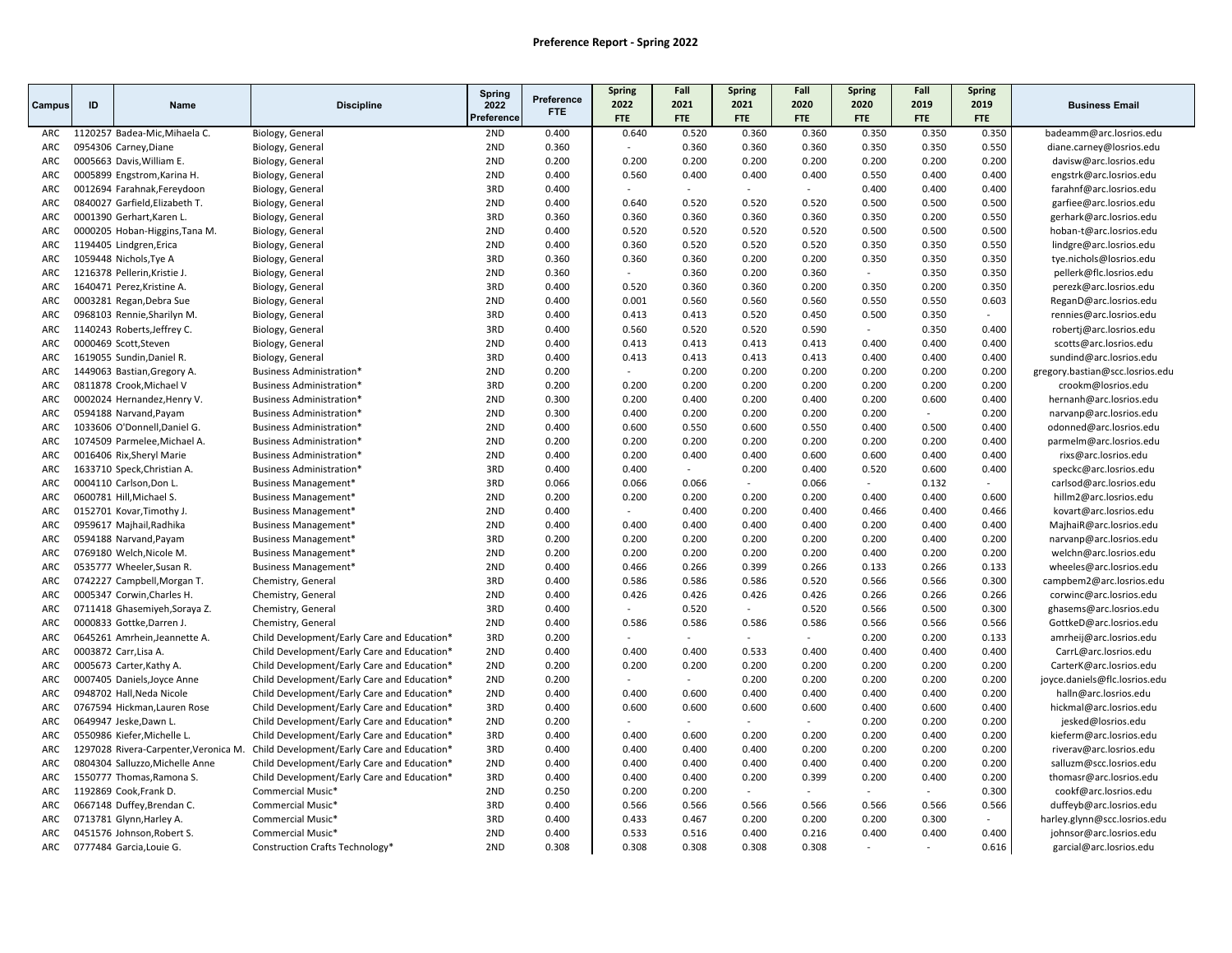|                   |                                                            |                                                     | Spring     | Preference     | Spring         | Fall           | <b>Spring</b>            | Fall           | <b>Spring</b>  | Fall                     | <b>Spring</b>  |                                                       |
|-------------------|------------------------------------------------------------|-----------------------------------------------------|------------|----------------|----------------|----------------|--------------------------|----------------|----------------|--------------------------|----------------|-------------------------------------------------------|
| ID<br>Campus      | <b>Name</b>                                                | <b>Discipline</b>                                   | 2022       | FTE.           | 2022           | 2021           | 2021                     | 2020           | 2020           | 2019                     | 2019           | <b>Business Email</b>                                 |
|                   |                                                            |                                                     | Preference |                | <b>FTE</b>     | <b>FTE</b>     | <b>FTE</b>               | <b>FTE</b>     | <b>FTE</b>     | <b>FTE</b>               | <b>FTE</b>     |                                                       |
| ARC               | 1120257 Badea-Mic, Mihaela C.                              | Biology, General                                    | 2ND        | 0.400          | 0.640          | 0.520          | 0.360                    | 0.360          | 0.350          | 0.350                    | 0.350          | badeamm@arc.losrios.edu                               |
| ARC               | 0954306 Carney, Diane                                      | Biology, General                                    | 2ND        | 0.360          | $\sim$         | 0.360          | 0.360                    | 0.360          | 0.350          | 0.350                    | 0.550          | diane.carney@losrios.edu                              |
| ARC               | 0005663 Davis, William E.                                  | Biology, General                                    | 2ND        | 0.200          | 0.200          | 0.200          | 0.200                    | 0.200          | 0.200          | 0.200                    | 0.200          | davisw@arc.losrios.edu                                |
| ARC               | 0005899 Engstrom, Karina H.                                | Biology, General                                    | 2ND        | 0.400          | 0.560          | 0.400          | 0.400<br>$\sim$          | 0.400          | 0.550          | 0.400                    | 0.400          | engstrk@arc.losrios.edu                               |
| ARC               | 0012694 Farahnak, Fereydoon                                | Biology, General                                    | 3RD<br>2ND | 0.400          | 0.640          | 0.520          | 0.520                    | $\sim$         | 0.400          | 0.400                    | 0.400          | farahnf@arc.losrios.edu                               |
| ARC               | 0840027 Garfield Elizabeth T.                              | Biology, General                                    | 3RD        | 0.400          | 0.360          |                |                          | 0.520<br>0.360 | 0.500<br>0.350 | 0.500<br>0.200           | 0.500<br>0.550 | garfiee@arc.losrios.edu                               |
| ARC               | 0001390 Gerhart, Karen L                                   | Biology, General                                    | 2ND        | 0.360          | 0.520          | 0.360          | 0.360<br>0.520           |                |                |                          |                | gerhark@arc.losrios.edu                               |
| ARC               | 0000205 Hoban-Higgins, Tana M.                             | Biology, General                                    |            | 0.400          |                | 0.520          |                          | 0.520          | 0.500          | 0.500                    | 0.500          | hoban-t@arc.losrios.edu                               |
| ARC<br><b>ARC</b> | 1194405 Lindgren, Erica<br>1059448 Nichols, Tye A          | Biology, General<br>Biology, General                | 2ND<br>3RD | 0.400<br>0.360 | 0.360<br>0.360 | 0.520<br>0.360 | 0.520<br>0.200           | 0.520<br>0.200 | 0.350<br>0.350 | 0.350<br>0.350           | 0.550<br>0.350 | lindgre@arc.losrios.edu<br>tye.nichols@losrios.edu    |
| ARC               |                                                            |                                                     | 2ND        | 0.360          | $\sim$         | 0.360          | 0.200                    | 0.360          | $\sim$         | 0.350                    | 0.350          |                                                       |
| ARC               | 1216378 Pellerin, Kristie J.                               | Biology, General                                    | 3RD        | 0.400          | 0.520          | 0.360          | 0.360                    | 0.200          | 0.350          | 0.200                    | 0.350          | pellerk@flc.losrios.edu                               |
| ARC               | 1640471 Perez, Kristine A.<br>0003281 Regan, Debra Sue     | Biology, General<br>Biology, General                | 2ND        | 0.400          | 0.001          | 0.560          | 0.560                    | 0.560          | 0.550          | 0.550                    | 0.603          | perezk@arc.losrios.edu<br>ReganD@arc.losrios.edu      |
| ARC               |                                                            |                                                     | 3RD        | 0.400          | 0.413          | 0.413          |                          |                |                |                          | $\sim$         |                                                       |
| ARC               | 0968103 Rennie, Sharilyn M.<br>1140243 Roberts, Jeffrey C. | Biology, General                                    | 3RD        | 0.400          | 0.560          | 0.520          | 0.520<br>0.520           | 0.450<br>0.590 | 0.500          | 0.350<br>0.350           | 0.400          | rennies@arc.losrios.edu                               |
| ARC               | 0000469 Scott, Steven                                      | Biology, General                                    | 2ND        | 0.400          | 0.413          | 0.413          | 0.413                    | 0.413          | 0.400          | 0.400                    | 0.400          | robertj@arc.losrios.edu<br>scotts@arc.losrios.edu     |
| ARC               | 1619055 Sundin, Daniel R.                                  | Biology, General                                    | 3RD        | 0.400          | 0.413          | 0.413          | 0.413                    | 0.413          | 0.400          | 0.400                    | 0.400          |                                                       |
| ARC               | 1449063 Bastian, Gregory A.                                | Biology, General<br><b>Business Administration*</b> | 2ND        | 0.200          |                | 0.200          | 0.200                    | 0.200          | 0.200          | 0.200                    | 0.200          | sundind@arc.losrios.edu                               |
| ARC               | 0811878 Crook, Michael V                                   | Business Administration*                            | 3RD        | 0.200          | 0.200          | 0.200          | 0.200                    | 0.200          | 0.200          | 0.200                    | 0.200          | gregory.bastian@scc.losrios.edu<br>crookm@losrios.edu |
| ARC               | 0002024 Hernandez, Henry V.                                | Business Administration*                            | 2ND        | 0.300          | 0.200          | 0.400          | 0.200                    | 0.400          | 0.200          | 0.600                    | 0.400          | hernanh@arc.losrios.edu                               |
| ARC               | 0594188 Narvand, Payam                                     | <b>Business Administration*</b>                     | 2ND        | 0.300          | 0.400          | 0.200          | 0.200                    | 0.200          | 0.200          |                          | 0.200          | narvanp@arc.losrios.edu                               |
| ARC               | 1033606 O'Donnell, Daniel G.                               | Business Administration*                            | 2ND        | 0.400          | 0.600          | 0.550          | 0.600                    | 0.550          | 0.400          | 0.500                    | 0.400          | odonned@arc.losrios.edu                               |
| <b>ARC</b>        | 1074509 Parmelee, Michael A.                               | Business Administration*                            | 2ND        | 0.200          | 0.200          | 0.200          | 0.200                    | 0.200          | 0.200          | 0.200                    | 0.400          | parmelm@arc.losrios.edu                               |
| ARC               | 0016406 Rix, Sheryl Marie                                  | <b>Business Administration*</b>                     | 2ND        | 0.400          | 0.200          | 0.400          | 0.400                    | 0.600          | 0.600          | 0.400                    | 0.400          | rixs@arc.losrios.edu                                  |
| ARC               | 1633710 Speck, Christian A.                                | Business Administration*                            | 3RD        | 0.400          | 0.400          | $\sim$         | 0.200                    | 0.400          | 0.520          | 0.600                    | 0.400          | speckc@arc.losrios.edu                                |
| ARC               | 0004110 Carlson, Don L                                     | <b>Business Management*</b>                         | 3RD        | 0.066          | 0.066          | 0.066          | $\overline{a}$           | 0.066          | $\mathbf{r}$   | 0.132                    |                | carlsod@arc.losrios.edu                               |
| ARC               | 0600781 Hill, Michael S.                                   | Business Management*                                | 2ND        | 0.200          | 0.200          | 0.200          | 0.200                    | 0.200          | 0.400          | 0.400                    | 0.600          | hillm2@arc.losrios.edu                                |
| ARC               | 0152701 Kovar, Timothy J.                                  | <b>Business Management*</b>                         | 2ND        | 0.400          |                | 0.400          | 0.200                    | 0.400          | 0.466          | 0.400                    | 0.466          | kovart@arc.losrios.edu                                |
| ARC               | 0959617 Majhail, Radhika                                   | Business Management*                                | 2ND        | 0.400          | 0.400          | 0.400          | 0.400                    | 0.400          | 0.200          | 0.400                    | 0.400          | MajhaiR@arc.losrios.edu                               |
| ARC               | 0594188 Narvand, Payam                                     | Business Management*                                | 3RD        | 0.200          | 0.200          | 0.200          | 0.200                    | 0.200          | 0.200          | 0.400                    | 0.200          | narvanp@arc.losrios.edu                               |
| ARC               | 0769180 Welch, Nicole M.                                   | Business Management*                                | 2ND        | 0.200          | 0.200          | 0.200          | 0.200                    | 0.200          | 0.400          | 0.200                    | 0.200          | welchn@arc.losrios.edu                                |
| ARC               | 0535777 Wheeler, Susan R.                                  | Business Management*                                | 2ND        | 0.400          | 0.466          | 0.266          | 0.399                    | 0.266          | 0.133          | 0.266                    | 0.133          | wheeles@arc.losrios.edu                               |
| ARC               | 0742227 Campbell, Morgan T.                                | Chemistry, General                                  | 3RD        | 0.400          | 0.586          | 0.586          | 0.586                    | 0.520          | 0.566          | 0.566                    | 0.300          | campbem2@arc.losrios.edu                              |
| ARC               | 0005347 Corwin, Charles H.                                 | Chemistry, General                                  | 2ND        | 0.400          | 0.426          | 0.426          | 0.426                    | 0.426          | 0.266          | 0.266                    | 0.266          | corwinc@arc.losrios.edu                               |
| ARC               | 0711418 Ghasemiyeh, Soraya Z.                              | Chemistry, General                                  | 3RD        | 0.400          |                | 0.520          | $\overline{\phantom{a}}$ | 0.520          | 0.566          | 0.500                    | 0.300          | ghasems@arc.losrios.edu                               |
| ARC               | 0000833 Gottke, Darren J.                                  | Chemistry, General                                  | 2ND        | 0.400          | 0.586          | 0.586          | 0.586                    | 0.586          | 0.566          | 0.566                    | 0.566          | GottkeD@arc.losrios.edu                               |
| ARC               | 0645261 Amrhein, Jeannette A.                              | Child Development/Early Care and Education*         | 3RD        | 0.200          |                |                | $\mathbf{r}$             | $\sim$         | 0.200          | 0.200                    | 0.133          | amrheij@arc.losrios.edu                               |
| ARC               | 0003872 Carr, Lisa A.                                      | Child Development/Early Care and Education*         | 2ND        | 0.400          | 0.400          | 0.400          | 0.533                    | 0.400          | 0.400          | 0.400                    | 0.400          | CarrL@arc.losrios.edu                                 |
| ARC               | 0005673 Carter, Kathy A.                                   | Child Development/Early Care and Education*         | 2ND        | 0.200          | 0.200          | 0.200          | 0.200                    | 0.200          | 0.200          | 0.200                    | 0.200          | CarterK@arc.losrios.edu                               |
| ARC               | 0007405 Daniels, Joyce Anne                                | Child Development/Early Care and Education*         | 2ND        | 0.200          | $\sim$         | $\sim$         | 0.200                    | 0.200          | 0.200          | 0.200                    | 0.200          | joyce.daniels@flc.losrios.edu                         |
| ARC               | 0948702 Hall, Neda Nicole                                  | Child Development/Early Care and Education*         | 2ND        | 0.400          | 0.400          | 0.600          | 0.400                    | 0.400          | 0.400          | 0.400                    | 0.200          | halln@arc.losrios.edu                                 |
| ARC               | 0767594 Hickman, Lauren Rose                               | Child Development/Early Care and Education*         | 3RD        | 0.400          | 0.600          | 0.600          | 0.600                    | 0.600          | 0.400          | 0.600                    | 0.400          | hickmal@arc.losrios.edu                               |
| ARC               | 0649947 Jeske, Dawn L.                                     | Child Development/Early Care and Education*         | 2ND        | 0.200          |                |                |                          |                | 0.200          | 0.200                    | 0.200          | jesked@losrios.edu                                    |
| ARC               | 0550986 Kiefer, Michelle L.                                | Child Development/Early Care and Education*         | 3RD        | 0.400          | 0.400          | 0.600          | 0.200                    | 0.200          | 0.200          | 0.400                    | 0.200          | kieferm@arc.losrios.edu                               |
| ARC               | 1297028 Rivera-Carpenter, Veronica M.                      | Child Development/Early Care and Education*         | 3RD        | 0.400          | 0.400          | 0.400          | 0.400                    | 0.200          | 0.200          | 0.200                    | 0.200          | riverav@arc.losrios.edu                               |
| ARC               | 0804304 Salluzzo, Michelle Anne                            | Child Development/Early Care and Education*         | 2ND        | 0.400          | 0.400          | 0.400          | 0.400                    | 0.400          | 0.400          | 0.200                    | 0.200          | salluzm@scc.losrios.edu                               |
| ARC               | 1550777 Thomas, Ramona S.                                  | Child Development/Early Care and Education*         | 3RD        | 0.400          | 0.400          | 0.400          | 0.200                    | 0.399          | 0.200          | 0.400                    | 0.200          | thomasr@arc.losrios.edu                               |
| ARC               | 1192869 Cook, Frank D.                                     | Commercial Music*                                   | 2ND        | 0.250          | 0.200          | 0.200          | $\sim$                   |                |                | $\overline{\phantom{a}}$ | 0.300          | cookf@arc.losrios.edu                                 |
| ARC               | 0667148 Duffey, Brendan C.                                 | Commercial Music*                                   | 3RD        | 0.400          | 0.566          | 0.566          | 0.566                    | 0.566          | 0.566          | 0.566                    | 0.566          | duffeyb@arc.losrios.edu                               |
| ARC               | 0713781 Glynn, Harley A.                                   | Commercial Music*                                   | 3RD        | 0.400          | 0.433          | 0.467          | 0.200                    | 0.200          | 0.200          | 0.300                    | $\sim$         | harley.glynn@scc.losrios.edu                          |
| ARC               | 0451576 Johnson, Robert S.                                 | Commercial Music*                                   | 2ND        | 0.400          | 0.533          | 0.516          | 0.400                    | 0.216          | 0.400          | 0.400                    | 0.400          | johnsor@arc.losrios.edu                               |
| ARC               | 0777484 Garcia, Louie G.                                   | Construction Crafts Technology*                     | 2ND        | 0.308          | 0.308          | 0.308          | 0.308                    | 0.308          |                |                          | 0.616          | garcial@arc.losrios.edu                               |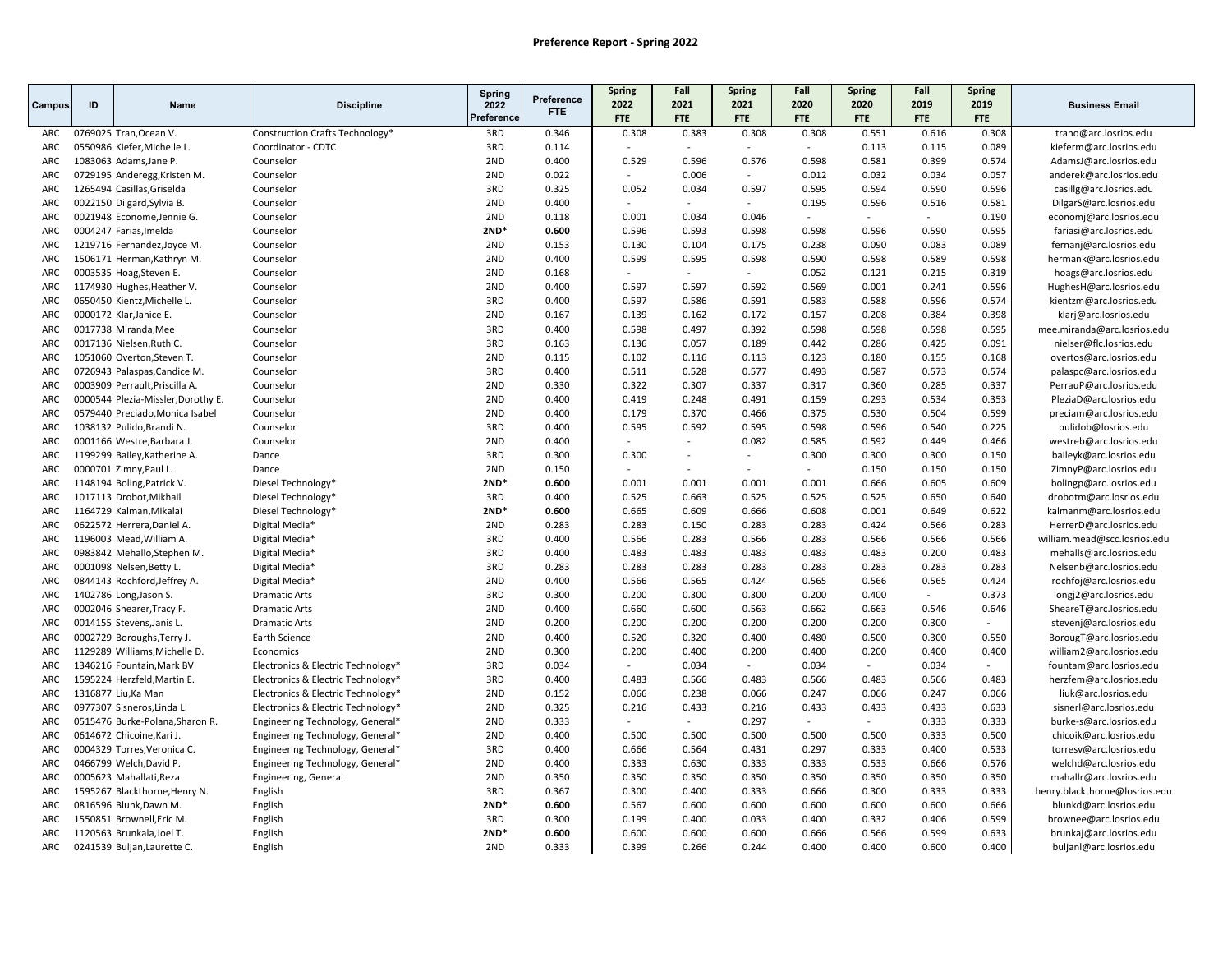|               |    |                                                               |                                                                        | <b>Spring</b> |                          | <b>Spring</b>   | Fall                     | Spring          | Fall           | <b>Spring</b>            | Fall           | <b>Spring</b>   |                                                    |
|---------------|----|---------------------------------------------------------------|------------------------------------------------------------------------|---------------|--------------------------|-----------------|--------------------------|-----------------|----------------|--------------------------|----------------|-----------------|----------------------------------------------------|
| <b>Campus</b> | ID | <b>Name</b>                                                   | <b>Discipline</b>                                                      | 2022          | Preference<br><b>FTE</b> | 2022            | 2021                     | 2021            | 2020           | 2020                     | 2019           | 2019            | <b>Business Email</b>                              |
|               |    |                                                               |                                                                        | Preference    |                          | <b>FTE</b>      | <b>FTE</b>               | <b>FTE</b>      | <b>FTE</b>     | <b>FTE</b>               | FTE            | FTE             |                                                    |
| ARC           |    | 0769025 Tran, Ocean V.                                        | Construction Crafts Technology*                                        | 3RD           | 0.346                    | 0.308           | 0.383                    | 0.308           | 0.308          | 0.551                    | 0.616          | 0.308           | trano@arc.losrios.edu                              |
| ARC           |    | 0550986 Kiefer, Michelle L.                                   | Coordinator - CDTC                                                     | 3RD           | 0.114                    |                 | $\sim$                   |                 | $\sim$         | 0.113                    | 0.115          | 0.089           | kieferm@arc.losrios.edu                            |
| ARC           |    | 1083063 Adams, Jane P.                                        | Counselor                                                              | 2ND           | 0.400                    | 0.529           | 0.596                    | 0.576           | 0.598          | 0.581                    | 0.399          | 0.574           | AdamsJ@arc.losrios.edu                             |
| ARC           |    | 0729195 Anderegg, Kristen M.                                  | Counselor                                                              | 2ND           | 0.022                    |                 | 0.006                    |                 | 0.012          | 0.032                    | 0.034          | 0.057           | anderek@arc.losrios.edu                            |
| ARC           |    | 1265494 Casillas, Griselda                                    | Counselor                                                              | 3RD           | 0.325                    | 0.052           | 0.034                    | 0.597           | 0.595          | 0.594                    | 0.590          | 0.596           | casillg@arc.losrios.edu                            |
| ARC           |    | 0022150 Dilgard, Sylvia B.                                    | Counselor                                                              | 2ND           | 0.400                    |                 | $\overline{a}$           |                 | 0.195          | 0.596                    | 0.516          | 0.581           | DilgarS@arc.losrios.edu                            |
| ARC           |    | 0021948 Econome, Jennie G.                                    | Counselor                                                              | 2ND           | 0.118                    | 0.001           | 0.034                    | 0.046           | $\sim$         | $\blacksquare$           |                | 0.190           | economj@arc.losrios.edu                            |
| ARC           |    | 0004247 Farias, Imelda                                        | Counselor                                                              | $2ND*$        | 0.600                    | 0.596           | 0.593                    | 0.598           | 0.598          | 0.596                    | 0.590          | 0.595           | fariasi@arc.losrios.edu                            |
| ARC           |    | 1219716 Fernandez, Joyce M.                                   | Counselor                                                              | 2ND           | 0.153                    | 0.130           | 0.104                    | 0.175           | 0.238          | 0.090                    | 0.083          | 0.089           | fernanj@arc.losrios.edu                            |
| ARC           |    | 1506171 Herman, Kathryn M.                                    | Counselor                                                              | 2ND           | 0.400                    | 0.599           | 0.595                    | 0.598           | 0.590          | 0.598                    | 0.589          | 0.598           | hermank@arc.losrios.edu                            |
| ARC           |    | 0003535 Hoag, Steven E.                                       | Counselor                                                              | 2ND           | 0.168                    | $\sim$          | $\overline{\phantom{a}}$ | $\sim$          | 0.052          | 0.121                    | 0.215          | 0.319           | hoags@arc.losrios.edu                              |
| ARC           |    | 1174930 Hughes, Heather V.                                    | Counselor                                                              | 2ND           | 0.400                    | 0.597           | 0.597                    | 0.592           | 0.569          | 0.001                    | 0.241          | 0.596           | HughesH@arc.losrios.edu                            |
| ARC           |    | 0650450 Kientz, Michelle L.                                   | Counselor                                                              | 3RD           | 0.400                    | 0.597           | 0.586                    | 0.591           | 0.583          | 0.588                    | 0.596          | 0.574           | kientzm@arc.losrios.edu                            |
| ARC           |    | 0000172 Klar, Janice E.                                       | Counselor                                                              | 2ND           | 0.167                    | 0.139           | 0.162                    | 0.172           | 0.157          | 0.208                    | 0.384          | 0.398           | klarj@arc.losrios.edu                              |
| ARC           |    | 0017738 Miranda, Mee                                          | Counselor                                                              | 3RD           | 0.400                    | 0.598           | 0.497                    | 0.392           | 0.598          | 0.598                    | 0.598          | 0.595           | mee.miranda@arc.losrios.edu                        |
| ARC           |    | 0017136 Nielsen, Ruth C.                                      | Counselor                                                              | 3RD           | 0.163                    | 0.136           | 0.057                    | 0.189           | 0.442          | 0.286                    | 0.425          | 0.091           | nielser@flc.losrios.edu                            |
| ARC           |    | 1051060 Overton, Steven T.                                    | Counselor                                                              | 2ND           | 0.115                    | 0.102           | 0.116                    | 0.113           | 0.123          | 0.180                    | 0.155          | 0.168           | overtos@arc.losrios.edu                            |
| ARC           |    | 0726943 Palaspas, Candice M.                                  | Counselor                                                              | 3RD           | 0.400                    | 0.511           | 0.528                    | 0.577           | 0.493          | 0.587                    | 0.573          | 0.574           | palaspc@arc.losrios.edu                            |
| ARC           |    | 0003909 Perrault, Priscilla A.                                | Counselor                                                              | 2ND           | 0.330                    | 0.322           | 0.307                    | 0.337           | 0.317          | 0.360                    | 0.285          | 0.337           | PerrauP@arc.losrios.edu                            |
| ARC           |    | 0000544 Plezia-Missler, Dorothy E.                            | Counselor                                                              | 2ND           | 0.400                    | 0.419           | 0.248                    | 0.491           | 0.159          | 0.293                    | 0.534          | 0.353           | PleziaD@arc.losrios.edu                            |
| ARC           |    | 0579440 Preciado, Monica Isabel                               | Counselor                                                              | 2ND           | 0.400                    | 0.179           | 0.370                    | 0.466           | 0.375          | 0.530                    | 0.504          | 0.599           | preciam@arc.losrios.edu                            |
| ARC           |    | 1038132 Pulido, Brandi N.                                     | Counselor                                                              | 3RD           | 0.400                    | 0.595           | 0.592                    | 0.595           | 0.598          | 0.596                    | 0.540          | 0.225           | pulidob@losrios.edu                                |
| ARC           |    | 0001166 Westre, Barbara J.                                    | Counselor                                                              | 2ND           | 0.400                    | $\sim$          | $\sim$                   | 0.082           | 0.585          | 0.592                    | 0.449          | 0.466           | westreb@arc.losrios.edu                            |
| ARC           |    | 1199299 Bailey, Katherine A.                                  | Dance                                                                  | 3RD           | 0.300                    | 0.300           | $\sim$                   | $\sim$          | 0.300          | 0.300                    | 0.300          | 0.150           | baileyk@arc.losrios.edu                            |
| ARC           |    | 0000701 Zimny, Paul L.                                        | Dance                                                                  | 2ND           | 0.150                    | $\sim$          |                          |                 | $\sim$         | 0.150                    | 0.150          | 0.150           | ZimnyP@arc.losrios.edu                             |
| ARC           |    | 1148194 Boling, Patrick V.                                    | Diesel Technology*                                                     | $2ND*$        | 0.600                    | 0.001           | 0.001                    | 0.001           | 0.001          | 0.666                    | 0.605          | 0.609           | bolingp@arc.losrios.edu                            |
| ARC           |    | 1017113 Drobot, Mikhail                                       | Diesel Technology*                                                     | 3RD           | 0.400                    | 0.525           | 0.663                    | 0.525           | 0.525          | 0.525                    | 0.650          | 0.640           | drobotm@arc.losrios.edu                            |
| ARC           |    | 1164729 Kalman, Mikalai                                       | Diesel Technology*                                                     | $2ND*$        | 0.600                    | 0.665           | 0.609                    | 0.666           | 0.608          | 0.001                    | 0.649          | 0.622           | kalmanm@arc.losrios.edu                            |
| ARC           |    | 0622572 Herrera, Daniel A.                                    | Digital Media*                                                         | 2ND           | 0.283                    | 0.283           | 0.150                    | 0.283           | 0.283          | 0.424                    | 0.566          | 0.283           | HerrerD@arc.losrios.edu                            |
| ARC           |    | 1196003 Mead, William A.                                      | Digital Media*                                                         | 3RD           | 0.400                    | 0.566           | 0.283                    | 0.566           | 0.283          | 0.566                    | 0.566          | 0.566           | william.mead@scc.losrios.edu                       |
| ARC           |    | 0983842 Mehallo, Stephen M.                                   | Digital Media*                                                         | 3RD           | 0.400                    | 0.483           | 0.483                    | 0.483           | 0.483          | 0.483                    | 0.200          | 0.483           | mehalls@arc.losrios.edu                            |
| ARC           |    | 0001098 Nelsen, Betty L.                                      | Digital Media*                                                         | 3RD           | 0.283                    | 0.283           | 0.283                    | 0.283           | 0.283          | 0.283                    | 0.283          | 0.283           | Nelsenb@arc.losrios.edu                            |
| ARC           |    | 0844143 Rochford, Jeffrey A.                                  | Digital Media*                                                         | 2ND           | 0.400                    | 0.566           | 0.565                    | 0.424           | 0.565          | 0.566                    | 0.565          | 0.424           | rochfoj@arc.losrios.edu                            |
| ARC           |    | 1402786 Long, Jason S.                                        | <b>Dramatic Arts</b>                                                   | 3RD           | 0.300                    | 0.200           | 0.300                    | 0.300           | 0.200          | 0.400                    | $\sim$         | 0.373           | longj2@arc.losrios.edu                             |
| <b>ARC</b>    |    | 0002046 Shearer, Tracy F.                                     | <b>Dramatic Arts</b>                                                   | 2ND           | 0.400                    | 0.660           | 0.600                    | 0.563           | 0.662          | 0.663                    | 0.546          | 0.646<br>$\sim$ | SheareT@arc.losrios.edu                            |
| ARC           |    | 0014155 Stevens, Janis L.                                     | <b>Dramatic Arts</b>                                                   | 2ND           | 0.200                    | 0.200           | 0.200                    | 0.200           | 0.200          | 0.200                    | 0.300          |                 | stevenj@arc.losrios.edu                            |
| ARC           |    | 0002729 Boroughs, Terry J.                                    | Earth Science                                                          | 2ND           | 0.400                    | 0.520           | 0.320                    | 0.400           | 0.480          | 0.500                    | 0.300          | 0.550           | BorougT@arc.losrios.edu                            |
| ARC           |    | 1129289 Williams, Michelle D.                                 | Economics                                                              | 2ND<br>3RD    | 0.300<br>0.034           | 0.200<br>$\sim$ | 0.400<br>0.034           | 0.200           | 0.400<br>0.034 | 0.200                    | 0.400          | 0.400<br>$\sim$ | william2@arc.losrios.edu                           |
| ARC<br>ARC    |    | 1346216 Fountain, Mark BV<br>1595224 Herzfeld, Martin E.      | Electronics & Electric Technology*                                     | 3RD           | 0.400                    | 0.483           | 0.566                    | $\sim$<br>0.483 | 0.566          | $\sim$<br>0.483          | 0.034<br>0.566 | 0.483           | fountam@arc.losrios.edu                            |
| ARC           |    | 1316877 Liu, Ka Man                                           | Electronics & Electric Technology*                                     | 2ND           |                          | 0.066           | 0.238                    | 0.066           | 0.247          | 0.066                    | 0.247          |                 | herzfem@arc.losrios.edu                            |
| ARC           |    |                                                               | Electronics & Electric Technology*                                     | 2ND           | 0.152<br>0.325           | 0.216           | 0.433                    | 0.216           | 0.433          | 0.433                    | 0.433          | 0.066<br>0.633  | liuk@arc.losrios.edu                               |
| ARC           |    | 0977307 Sisneros, Linda L.<br>0515476 Burke-Polana, Sharon R. | Electronics & Electric Technology*<br>Engineering Technology, General* | 2ND           | 0.333                    |                 | $\mathbf{r}$             | 0.297           | ÷              | $\overline{\phantom{a}}$ | 0.333          | 0.333           | sisnerl@arc.losrios.edu<br>burke-s@arc.losrios.edu |
| ARC           |    |                                                               |                                                                        | 2ND           | 0.400                    | 0.500           | 0.500                    | 0.500           | 0.500          | 0.500                    | 0.333          | 0.500           |                                                    |
| ARC           |    | 0614672 Chicoine, Kari J.<br>0004329 Torres, Veronica C.      | Engineering Technology, General*<br>Engineering Technology, General*   | 3RD           | 0.400                    | 0.666           | 0.564                    | 0.431           | 0.297          | 0.333                    | 0.400          | 0.533           | chicoik@arc.losrios.edu                            |
| ARC           |    | 0466799 Welch, David P.                                       | Engineering Technology, General*                                       | 2ND           | 0.400                    | 0.333           | 0.630                    | 0.333           | 0.333          | 0.533                    | 0.666          | 0.576           | torresv@arc.losrios.edu<br>welchd@arc.losrios.edu  |
| ARC           |    | 0005623 Mahallati, Reza                                       | Engineering, General                                                   | 2ND           | 0.350                    | 0.350           | 0.350                    | 0.350           | 0.350          | 0.350                    | 0.350          | 0.350           | mahallr@arc.losrios.edu                            |
| ARC           |    | 1595267 Blackthorne, Henry N.                                 | English                                                                | 3RD           | 0.367                    | 0.300           | 0.400                    | 0.333           | 0.666          | 0.300                    | 0.333          | 0.333           | henry.blackthorne@losrios.edu                      |
| ARC           |    | 0816596 Blunk, Dawn M.                                        | English                                                                | $2ND*$        | 0.600                    | 0.567           | 0.600                    | 0.600           | 0.600          | 0.600                    | 0.600          | 0.666           | blunkd@arc.losrios.edu                             |
| ARC           |    | 1550851 Brownell, Eric M.                                     | English                                                                | 3RD           | 0.300                    | 0.199           | 0.400                    | 0.033           | 0.400          | 0.332                    | 0.406          | 0.599           | brownee@arc.losrios.edu                            |
| ARC           |    | 1120563 Brunkala, Joel T.                                     | English                                                                | $2ND*$        | 0.600                    | 0.600           | 0.600                    | 0.600           | 0.666          | 0.566                    | 0.599          | 0.633           | brunkaj@arc.losrios.edu                            |
| ARC           |    | 0241539 Buljan, Laurette C.                                   | English                                                                | 2ND           | 0.333                    | 0.399           | 0.266                    | 0.244           | 0.400          | 0.400                    | 0.600          | 0.400           | buljanl@arc.losrios.edu                            |
|               |    |                                                               |                                                                        |               |                          |                 |                          |                 |                |                          |                |                 |                                                    |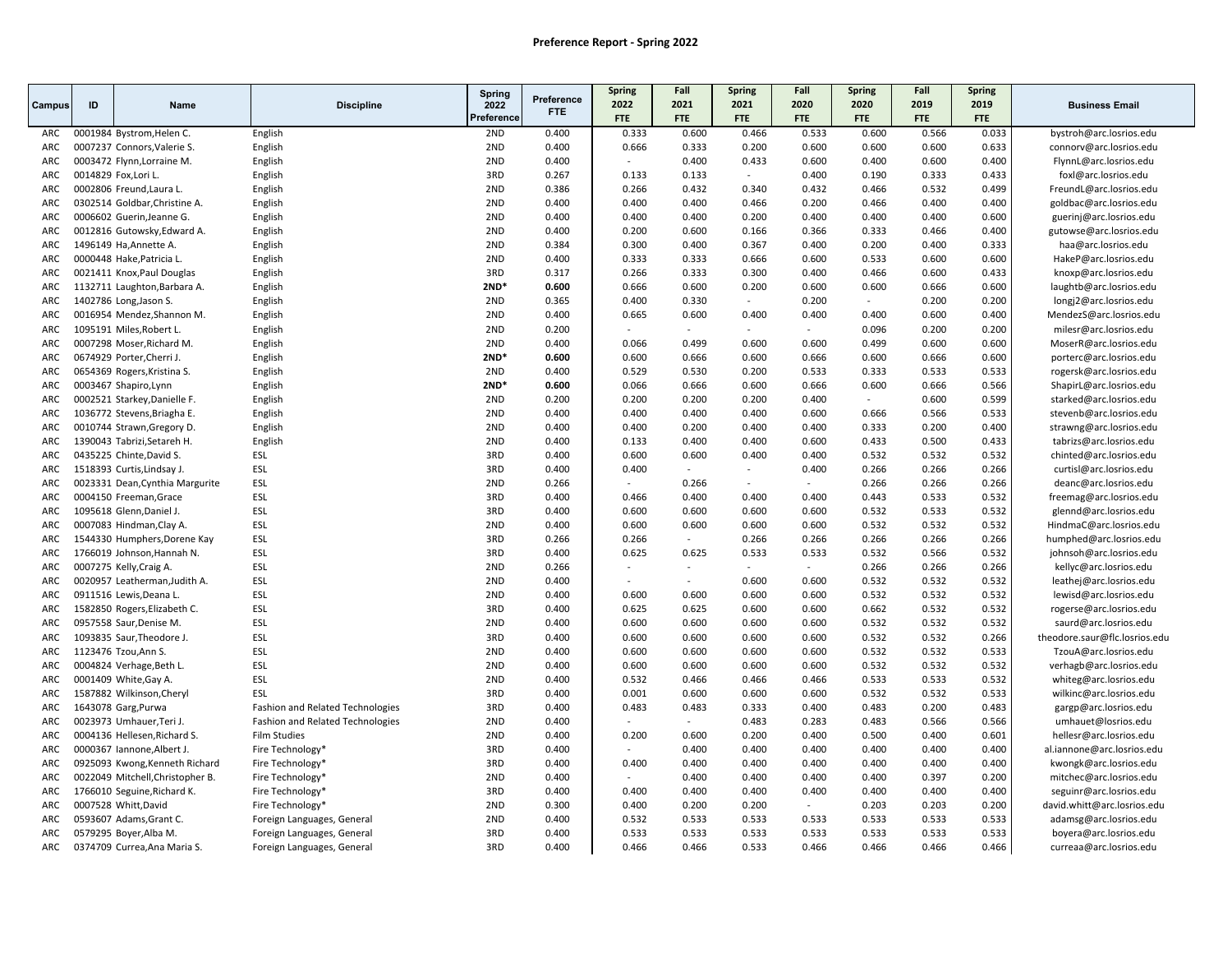|            |                      |                                  |                                  | <b>Spring</b> |                | <b>Spring</b>  | Fall                     | <b>Spring</b> | Fall           | <b>Spring</b> | Fall           | <b>Spring</b> |                               |
|------------|----------------------|----------------------------------|----------------------------------|---------------|----------------|----------------|--------------------------|---------------|----------------|---------------|----------------|---------------|-------------------------------|
| Campus     | ID                   | <b>Name</b>                      | <b>Discipline</b>                | 2022          | Preference     | 2022           | 2021                     | 2021          | 2020           | 2020          | 2019           | 2019          | <b>Business Email</b>         |
|            |                      |                                  |                                  | Preference    | <b>FTE</b>     | <b>FTE</b>     | <b>FTE</b>               | <b>FTE</b>    | <b>FTE</b>     | <b>FTE</b>    | <b>FTE</b>     | <b>FTE</b>    |                               |
| ARC        |                      | 0001984 Bystrom, Helen C.        | English                          | 2ND           | 0.400          | 0.333          | 0.600                    | 0.466         | 0.533          | 0.600         | 0.566          | 0.033         | bystroh@arc.losrios.edu       |
| ARC        |                      | 0007237 Connors, Valerie S.      | English                          | 2ND           | 0.400          | 0.666          | 0.333                    | 0.200         | 0.600          | 0.600         | 0.600          | 0.633         | connorv@arc.losrios.edu       |
| <b>ARC</b> |                      | 0003472 Flynn, Lorraine M.       | English                          | 2ND           | 0.400          | $\sim$         | 0.400                    | 0.433         | 0.600          | 0.400         | 0.600          | 0.400         | FlynnL@arc.losrios.edu        |
| ARC        | 0014829 Fox, Lori L. |                                  | English                          | 3RD           | 0.267          | 0.133          | 0.133                    | $\sim$        | 0.400          | 0.190         | 0.333          | 0.433         | foxl@arc.losrios.edu          |
| ARC        |                      | 0002806 Freund, Laura L.         | English                          | 2ND           | 0.386          | 0.266          | 0.432                    | 0.340         | 0.432          | 0.466         | 0.532          | 0.499         | FreundL@arc.losrios.edu       |
| <b>ARC</b> |                      | 0302514 Goldbar, Christine A.    | English                          | 2ND           | 0.400          | 0.400          | 0.400                    | 0.466         | 0.200          | 0.466         | 0.400          | 0.400         | goldbac@arc.losrios.edu       |
| ARC        |                      | 0006602 Guerin, Jeanne G.        | English                          | 2ND           | 0.400          | 0.400          | 0.400                    | 0.200         | 0.400          | 0.400         | 0.400          | 0.600         | guerinj@arc.losrios.edu       |
| <b>ARC</b> |                      | 0012816 Gutowsky, Edward A.      | English                          | 2ND           | 0.400          | 0.200          | 0.600                    | 0.166         | 0.366          | 0.333         | 0.466          | 0.400         | gutowse@arc.losrios.edu       |
| ARC        |                      | 1496149 Ha, Annette A.           | English                          | 2ND           | 0.384          | 0.300          | 0.400                    | 0.367         | 0.400          | 0.200         | 0.400          | 0.333         | haa@arc.losrios.edu           |
| ARC        |                      | 0000448 Hake, Patricia L.        | English                          | 2ND           | 0.400          | 0.333          | 0.333                    | 0.666         | 0.600          | 0.533         | 0.600          | 0.600         | HakeP@arc.losrios.edu         |
| ARC        |                      | 0021411 Knox, Paul Douglas       | English                          | 3RD           | 0.317          | 0.266          | 0.333                    | 0.300         | 0.400          | 0.466         | 0.600          | 0.433         | knoxp@arc.losrios.edu         |
| ARC        |                      | 1132711 Laughton, Barbara A.     | English                          | $2ND*$        | 0.600          | 0.666          | 0.600                    | 0.200         | 0.600          | 0.600         | 0.666          | 0.600         | laughtb@arc.losrios.edu       |
| ARC        |                      | 1402786 Long, Jason S.           | English                          | 2ND           | 0.365          | 0.400          | 0.330                    | $\sim$        | 0.200          | $\sim$        | 0.200          | 0.200         | longj2@arc.losrios.edu        |
| ARC        |                      | 0016954 Mendez, Shannon M.       | English                          | 2ND           | 0.400          | 0.665          | 0.600                    | 0.400         | 0.400          | 0.400         | 0.600          | 0.400         | MendezS@arc.losrios.edu       |
| ARC        |                      | 1095191 Miles, Robert L.         | English                          | 2ND           | 0.200          |                |                          |               |                | 0.096         | 0.200          | 0.200         | milesr@arc.losrios.edu        |
| ARC        |                      | 0007298 Moser, Richard M.        | English                          | 2ND           | 0.400          | 0.066          | 0.499                    | 0.600         | 0.600          | 0.499         | 0.600          | 0.600         | MoserR@arc.losrios.edu        |
| ARC        |                      | 0674929 Porter, Cherri J.        | English                          | $2ND*$        | 0.600          | 0.600          | 0.666                    | 0.600         | 0.666          | 0.600         | 0.666          | 0.600         | porterc@arc.losrios.edu       |
| ARC        |                      | 0654369 Rogers, Kristina S.      | English                          | 2ND           | 0.400          | 0.529          | 0.530                    | 0.200         | 0.533          | 0.333         | 0.533          | 0.533         | rogersk@arc.losrios.edu       |
| ARC        |                      | 0003467 Shapiro, Lynn            | English                          | $2ND*$        | 0.600          | 0.066          | 0.666                    | 0.600         | 0.666          | 0.600         | 0.666          | 0.566         | ShapirL@arc.losrios.edu       |
| ARC        |                      | 0002521 Starkey, Danielle F.     | English                          | 2ND           | 0.200          | 0.200          | 0.200                    | 0.200         | 0.400          | $\sim$        | 0.600          | 0.599         | starked@arc.losrios.edu       |
| ARC        |                      | 1036772 Stevens, Briagha E.      | English                          | 2ND           | 0.400          | 0.400          | 0.400                    | 0.400         | 0.600          | 0.666         | 0.566          | 0.533         | stevenb@arc.losrios.edu       |
| ARC        |                      | 0010744 Strawn, Gregory D.       | English                          | 2ND           | 0.400          | 0.400          | 0.200                    | 0.400         | 0.400          | 0.333         | 0.200          | 0.400         | strawng@arc.losrios.edu       |
| ARC        |                      | 1390043 Tabrizi, Setareh H.      | English                          | 2ND           | 0.400          | 0.133          | 0.400                    | 0.400         | 0.600          | 0.433         | 0.500          | 0.433         | tabrizs@arc.losrios.edu       |
| ARC        |                      | 0435225 Chinte, David S.         | ESL                              | 3RD           | 0.400          | 0.600          | 0.600                    | 0.400         | 0.400          | 0.532         | 0.532          | 0.532         | chinted@arc.losrios.edu       |
| ARC        |                      | 1518393 Curtis, Lindsay J.       | ESL                              | 3RD           | 0.400          | 0.400          | $\mathcal{L}$            | $\sim$        | 0.400          | 0.266         | 0.266          | 0.266         | curtisl@arc.losrios.edu       |
| ARC        |                      |                                  |                                  | 2ND           | 0.266          |                | 0.266                    | $\sim$        | ÷              | 0.266         |                |               |                               |
| ARC        |                      | 0023331 Dean, Cynthia Margurite  | ESL<br>ESL                       | 3RD           |                | 0.466          | 0.400                    | 0.400         |                | 0.443         | 0.266<br>0.533 | 0.266         | deanc@arc.losrios.edu         |
|            |                      | 0004150 Freeman, Grace           | ESL                              | 3RD           | 0.400<br>0.400 | 0.600          | 0.600                    | 0.600         | 0.400<br>0.600 |               |                | 0.532         | freemag@arc.losrios.edu       |
| <b>ARC</b> |                      | 1095618 Glenn, Daniel J.         |                                  |               |                |                |                          |               |                | 0.532         | 0.533          | 0.532         | glennd@arc.losrios.edu        |
| ARC        |                      | 0007083 Hindman, Clay A.         | ESL                              | 2ND           | 0.400          | 0.600          | 0.600<br>$\mathcal{L}$   | 0.600         | 0.600          | 0.532         | 0.532          | 0.532         | HindmaC@arc.losrios.edu       |
| ARC        |                      | 1544330 Humphers, Dorene Kay     | ESL                              | 3RD           | 0.266          | 0.266          |                          | 0.266         | 0.266          | 0.266         | 0.266          | 0.266         | humphed@arc.losrios.edu       |
| ARC        |                      | 1766019 Johnson, Hannah N.       | ESL                              | 3RD           | 0.400          | 0.625          | 0.625                    | 0.533         | 0.533          | 0.532         | 0.566          | 0.532         | johnsoh@arc.losrios.edu       |
| ARC        |                      | 0007275 Kelly, Craig A.          | ESL                              | 2ND           | 0.266          |                |                          |               | $\sim$         | 0.266         | 0.266          | 0.266         | kellyc@arc.losrios.edu        |
| ARC        |                      | 0020957 Leatherman, Judith A.    | ESL                              | 2ND           | 0.400          |                | $\overline{\phantom{a}}$ | 0.600         | 0.600          | 0.532         | 0.532          | 0.532         | leathej@arc.losrios.edu       |
| ARC        |                      | 0911516 Lewis, Deana L.          | ESL                              | 2ND           | 0.400          | 0.600          | 0.600                    | 0.600         | 0.600          | 0.532         | 0.532          | 0.532         | lewisd@arc.losrios.edu        |
| ARC        |                      | 1582850 Rogers, Elizabeth C.     | ESL                              | 3RD           | 0.400          | 0.625          | 0.625                    | 0.600         | 0.600          | 0.662         | 0.532          | 0.532         | rogerse@arc.losrios.edu       |
| ARC        |                      | 0957558 Saur, Denise M.          | ESL                              | 2ND           | 0.400          | 0.600          | 0.600                    | 0.600         | 0.600          | 0.532         | 0.532          | 0.532         | saurd@arc.losrios.edu         |
| ARC        |                      | 1093835 Saur, Theodore J         | ESL                              | 3RD           | 0.400          | 0.600          | 0.600                    | 0.600         | 0.600          | 0.532         | 0.532          | 0.266         | theodore.saur@flc.losrios.edu |
| ARC        |                      | 1123476 Tzou, Ann S.             | ESL                              | 2ND           | 0.400          | 0.600          | 0.600                    | 0.600         | 0.600          | 0.532         | 0.532          | 0.533         | TzouA@arc.losrios.edu         |
| ARC        |                      | 0004824 Verhage, Beth L.         | ESL                              | 2ND           | 0.400          | 0.600          | 0.600                    | 0.600         | 0.600          | 0.532         | 0.532          | 0.532         | verhagb@arc.losrios.edu       |
| ARC        |                      | 0001409 White, Gay A.            | ESL                              | 2ND           | 0.400          | 0.532          | 0.466                    | 0.466         | 0.466          | 0.533         | 0.533          | 0.532         | whiteg@arc.losrios.edu        |
| ARC        |                      | 1587882 Wilkinson, Cheryl        | ESL                              | 3RD           | 0.400          | 0.001          | 0.600                    | 0.600         | 0.600          | 0.532         | 0.532          | 0.533         | wilkinc@arc.losrios.edu       |
| <b>ARC</b> |                      | 1643078 Garg, Purwa              | Fashion and Related Technologies | 3RD           | 0.400          | 0.483          | 0.483                    | 0.333         | 0.400          | 0.483         | 0.200          | 0.483         | gargp@arc.losrios.edu         |
| ARC        |                      | 0023973 Umhauer, Teri J.         | Fashion and Related Technologies | 2ND           | 0.400          |                |                          | 0.483         | 0.283          | 0.483         | 0.566          | 0.566         | umhauet@losrios.edu           |
| ARC        |                      | 0004136 Hellesen, Richard S.     | <b>Film Studies</b>              | 2ND           | 0.400          | 0.200          | 0.600                    | 0.200         | 0.400          | 0.500         | 0.400          | 0.601         | hellesr@arc.losrios.edu       |
| ARC        |                      | 0000367 Iannone, Albert J.       | Fire Technology*                 | 3RD           | 0.400          |                | 0.400                    | 0.400         | 0.400          | 0.400         | 0.400          | 0.400         | al.iannone@arc.losrios.edu    |
| ARC        |                      | 0925093 Kwong, Kenneth Richard   | Fire Technology*                 | 3RD           | 0.400          | 0.400          | 0.400                    | 0.400         | 0.400          | 0.400         | 0.400          | 0.400         | kwongk@arc.losrios.edu        |
| <b>ARC</b> |                      | 0022049 Mitchell, Christopher B. | Fire Technology*                 | 2ND           | 0.400          | $\overline{a}$ | 0.400                    | 0.400         | 0.400          | 0.400         | 0.397          | 0.200         | mitchec@arc.losrios.edu       |
| ARC        |                      | 1766010 Seguine, Richard K.      | Fire Technology*                 | 3RD           | 0.400          | 0.400          | 0.400                    | 0.400         | 0.400          | 0.400         | 0.400          | 0.400         | seguinr@arc.losrios.edu       |
| ARC        |                      | 0007528 Whitt, David             | Fire Technology*                 | 2ND           | 0.300          | 0.400          | 0.200                    | 0.200         | $\sim$         | 0.203         | 0.203          | 0.200         | david.whitt@arc.losrios.edu   |
| ARC        |                      | 0593607 Adams, Grant C.          | Foreign Languages, General       | 2ND           | 0.400          | 0.532          | 0.533                    | 0.533         | 0.533          | 0.533         | 0.533          | 0.533         | adamsg@arc.losrios.edu        |
| ARC        |                      | 0579295 Boyer, Alba M.           | Foreign Languages, General       | 3RD           | 0.400          | 0.533          | 0.533                    | 0.533         | 0.533          | 0.533         | 0.533          | 0.533         | boyera@arc.losrios.edu        |
| ARC        |                      | 0374709 Currea, Ana Maria S.     | Foreign Languages, General       | 3RD           | 0.400          | 0.466          | 0.466                    | 0.533         | 0.466          | 0.466         | 0.466          | 0.466         | curreaa@arc.losrios.edu       |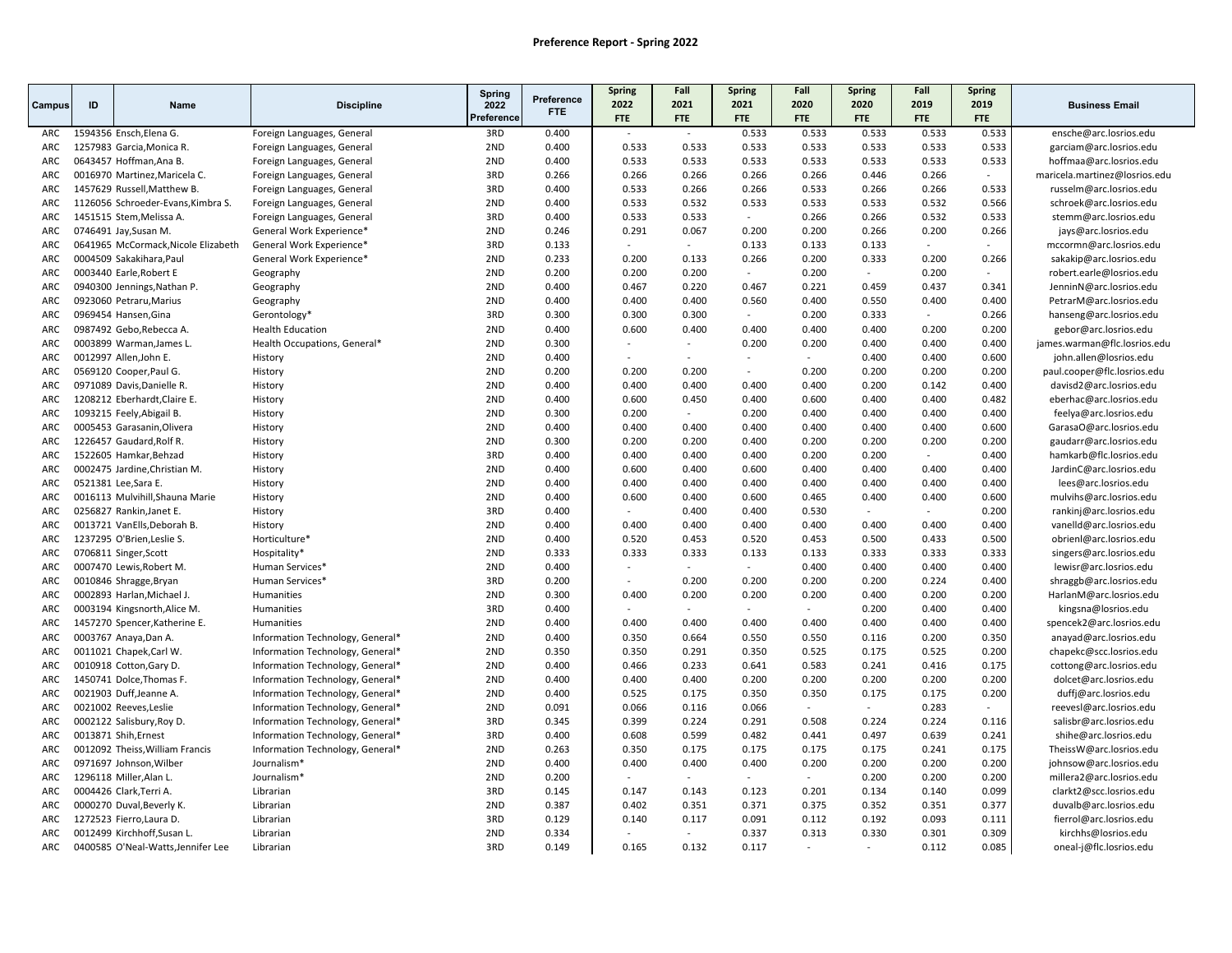| Preference<br>2022<br>2021<br>2021<br>2020<br>2020<br>2019<br>2019<br>ID<br><b>Discipline</b><br>2022<br>Campus<br>Name<br><b>FTE</b><br>Preference<br>FTE<br><b>FTE</b><br>FTE<br>FTE<br><b>FTE</b><br>FTE<br>FTE<br>3RD<br>0.400<br>0.533<br>0.533<br>0.533<br>0.533<br>0.533<br>1594356 Ensch, Elena G.<br>Foreign Languages, General<br>ARC<br>1257983 Garcia, Monica R.<br>2ND<br>0.400<br>0.533<br>0.533<br>0.533<br>0.533<br>0.533<br>0.533<br>0.533<br>ARC<br>Foreign Languages, General<br>2ND<br>0.400<br>0.533<br>0.533<br>0.533<br>0.533<br>0.533<br>0.533<br>0.533<br>ARC<br>0643457 Hoffman, Ana B.<br>Foreign Languages, General<br>3RD<br>0.266<br>0.266<br>ARC<br>0016970 Martinez, Maricela C.<br>Foreign Languages, General<br>0.266<br>0.266<br>0.266<br>0.266<br>0.446<br>ARC<br>3RD<br>0.400<br>0.533<br>0.266<br>0.266<br>0.533<br>0.266<br>0.266<br>0.533<br>1457629 Russell, Matthew B<br>Foreign Languages, General<br>2ND<br>0.532<br>0.400<br>0.533<br>0.532<br>0.533<br>0.533<br>0.533<br>0.566<br>ARC<br>1126056 Schroeder-Evans, Kimbra S.<br>Foreign Languages, General<br>3RD<br>0.400<br>0.533<br>0.533<br>0.266<br>0.266<br>0.532<br>ARC<br>1451515 Stem, Melissa A.<br>Foreign Languages, General<br>0.533<br>0.291<br>0.200<br>0.200<br>0.200<br>0746491 Jay, Susan M.<br>2ND<br>0.246<br>0.067<br>0.266<br>0.266<br>ARC<br>General Work Experience*<br>3RD<br>ARC<br>0641965 McCormack, Nicole Elizabeth<br>General Work Experience*<br>0.133<br>0.133<br>0.133<br>0.133<br>$\sim$<br>$\sim$<br>$\sim$<br>$\overline{a}$<br>General Work Experience*<br>2ND<br>0.233<br>0.200<br>0.133<br>0.266<br>0.200<br>0.333<br>0.200<br>0.266<br>ARC<br>0004509 Sakakihara, Paul<br>2ND<br>0.200<br>0.200<br>0.200<br>0.200<br>ARC<br>0003440 Earle, Robert E<br>Geography<br>0.200<br>$\mathcal{L}_{\mathcal{A}}$<br>$\sim$<br>$\overline{a}$<br>2ND<br>ARC<br>0940300 Jennings, Nathan P.<br>0.400<br>0.467<br>0.220<br>0.467<br>0.221<br>0.459<br>0.437<br>0.341<br>Geography<br>2ND<br>0.400<br>0.400<br>0.400<br>0.400<br>0.400<br>ARC<br>0923060 Petraru, Marius<br>0.400<br>0.560<br>0.550<br>Geography<br>0969454 Hansen, Gina<br>3RD<br>0.300<br>0.300<br>0.300<br>0.200<br>0.333<br>0.266<br>ARC<br>Gerontology*<br>$\sim$<br>$\sim$<br>2ND<br>0.600<br>0.400<br>0.400<br>0.400<br>0.200<br>0.200<br>ARC<br>0987492 Gebo, Rebecca A.<br>0.400<br>0.400<br><b>Health Education</b><br>2ND<br>$\sim$<br>$\sim$ |                               |
|----------------------------------------------------------------------------------------------------------------------------------------------------------------------------------------------------------------------------------------------------------------------------------------------------------------------------------------------------------------------------------------------------------------------------------------------------------------------------------------------------------------------------------------------------------------------------------------------------------------------------------------------------------------------------------------------------------------------------------------------------------------------------------------------------------------------------------------------------------------------------------------------------------------------------------------------------------------------------------------------------------------------------------------------------------------------------------------------------------------------------------------------------------------------------------------------------------------------------------------------------------------------------------------------------------------------------------------------------------------------------------------------------------------------------------------------------------------------------------------------------------------------------------------------------------------------------------------------------------------------------------------------------------------------------------------------------------------------------------------------------------------------------------------------------------------------------------------------------------------------------------------------------------------------------------------------------------------------------------------------------------------------------------------------------------------------------------------------------------------------------------------------------------------------------------------------------------------------------------------------------------------------------------------------------------------------------------------------------------------------------------------------------------------------------------------------------|-------------------------------|
|                                                                                                                                                                                                                                                                                                                                                                                                                                                                                                                                                                                                                                                                                                                                                                                                                                                                                                                                                                                                                                                                                                                                                                                                                                                                                                                                                                                                                                                                                                                                                                                                                                                                                                                                                                                                                                                                                                                                                                                                                                                                                                                                                                                                                                                                                                                                                                                                                                                    | <b>Business Email</b>         |
|                                                                                                                                                                                                                                                                                                                                                                                                                                                                                                                                                                                                                                                                                                                                                                                                                                                                                                                                                                                                                                                                                                                                                                                                                                                                                                                                                                                                                                                                                                                                                                                                                                                                                                                                                                                                                                                                                                                                                                                                                                                                                                                                                                                                                                                                                                                                                                                                                                                    | ensche@arc.losrios.edu        |
|                                                                                                                                                                                                                                                                                                                                                                                                                                                                                                                                                                                                                                                                                                                                                                                                                                                                                                                                                                                                                                                                                                                                                                                                                                                                                                                                                                                                                                                                                                                                                                                                                                                                                                                                                                                                                                                                                                                                                                                                                                                                                                                                                                                                                                                                                                                                                                                                                                                    | garciam@arc.losrios.edu       |
|                                                                                                                                                                                                                                                                                                                                                                                                                                                                                                                                                                                                                                                                                                                                                                                                                                                                                                                                                                                                                                                                                                                                                                                                                                                                                                                                                                                                                                                                                                                                                                                                                                                                                                                                                                                                                                                                                                                                                                                                                                                                                                                                                                                                                                                                                                                                                                                                                                                    | hoffmaa@arc.losrios.edu       |
|                                                                                                                                                                                                                                                                                                                                                                                                                                                                                                                                                                                                                                                                                                                                                                                                                                                                                                                                                                                                                                                                                                                                                                                                                                                                                                                                                                                                                                                                                                                                                                                                                                                                                                                                                                                                                                                                                                                                                                                                                                                                                                                                                                                                                                                                                                                                                                                                                                                    | maricela.martinez@losrios.edu |
|                                                                                                                                                                                                                                                                                                                                                                                                                                                                                                                                                                                                                                                                                                                                                                                                                                                                                                                                                                                                                                                                                                                                                                                                                                                                                                                                                                                                                                                                                                                                                                                                                                                                                                                                                                                                                                                                                                                                                                                                                                                                                                                                                                                                                                                                                                                                                                                                                                                    | russelm@arc.losrios.edu       |
|                                                                                                                                                                                                                                                                                                                                                                                                                                                                                                                                                                                                                                                                                                                                                                                                                                                                                                                                                                                                                                                                                                                                                                                                                                                                                                                                                                                                                                                                                                                                                                                                                                                                                                                                                                                                                                                                                                                                                                                                                                                                                                                                                                                                                                                                                                                                                                                                                                                    | schroek@arc.losrios.edu       |
|                                                                                                                                                                                                                                                                                                                                                                                                                                                                                                                                                                                                                                                                                                                                                                                                                                                                                                                                                                                                                                                                                                                                                                                                                                                                                                                                                                                                                                                                                                                                                                                                                                                                                                                                                                                                                                                                                                                                                                                                                                                                                                                                                                                                                                                                                                                                                                                                                                                    | stemm@arc.losrios.edu         |
|                                                                                                                                                                                                                                                                                                                                                                                                                                                                                                                                                                                                                                                                                                                                                                                                                                                                                                                                                                                                                                                                                                                                                                                                                                                                                                                                                                                                                                                                                                                                                                                                                                                                                                                                                                                                                                                                                                                                                                                                                                                                                                                                                                                                                                                                                                                                                                                                                                                    | jays@arc.losrios.edu          |
|                                                                                                                                                                                                                                                                                                                                                                                                                                                                                                                                                                                                                                                                                                                                                                                                                                                                                                                                                                                                                                                                                                                                                                                                                                                                                                                                                                                                                                                                                                                                                                                                                                                                                                                                                                                                                                                                                                                                                                                                                                                                                                                                                                                                                                                                                                                                                                                                                                                    | mccormn@arc.losrios.edu       |
|                                                                                                                                                                                                                                                                                                                                                                                                                                                                                                                                                                                                                                                                                                                                                                                                                                                                                                                                                                                                                                                                                                                                                                                                                                                                                                                                                                                                                                                                                                                                                                                                                                                                                                                                                                                                                                                                                                                                                                                                                                                                                                                                                                                                                                                                                                                                                                                                                                                    | sakakip@arc.losrios.edu       |
|                                                                                                                                                                                                                                                                                                                                                                                                                                                                                                                                                                                                                                                                                                                                                                                                                                                                                                                                                                                                                                                                                                                                                                                                                                                                                                                                                                                                                                                                                                                                                                                                                                                                                                                                                                                                                                                                                                                                                                                                                                                                                                                                                                                                                                                                                                                                                                                                                                                    | robert.earle@losrios.edu      |
|                                                                                                                                                                                                                                                                                                                                                                                                                                                                                                                                                                                                                                                                                                                                                                                                                                                                                                                                                                                                                                                                                                                                                                                                                                                                                                                                                                                                                                                                                                                                                                                                                                                                                                                                                                                                                                                                                                                                                                                                                                                                                                                                                                                                                                                                                                                                                                                                                                                    | JenninN@arc.losrios.edu       |
|                                                                                                                                                                                                                                                                                                                                                                                                                                                                                                                                                                                                                                                                                                                                                                                                                                                                                                                                                                                                                                                                                                                                                                                                                                                                                                                                                                                                                                                                                                                                                                                                                                                                                                                                                                                                                                                                                                                                                                                                                                                                                                                                                                                                                                                                                                                                                                                                                                                    | PetrarM@arc.losrios.edu       |
|                                                                                                                                                                                                                                                                                                                                                                                                                                                                                                                                                                                                                                                                                                                                                                                                                                                                                                                                                                                                                                                                                                                                                                                                                                                                                                                                                                                                                                                                                                                                                                                                                                                                                                                                                                                                                                                                                                                                                                                                                                                                                                                                                                                                                                                                                                                                                                                                                                                    | hanseng@arc.losrios.edu       |
|                                                                                                                                                                                                                                                                                                                                                                                                                                                                                                                                                                                                                                                                                                                                                                                                                                                                                                                                                                                                                                                                                                                                                                                                                                                                                                                                                                                                                                                                                                                                                                                                                                                                                                                                                                                                                                                                                                                                                                                                                                                                                                                                                                                                                                                                                                                                                                                                                                                    | gebor@arc.losrios.edu         |
| ARC<br>0003899 Warman, James L.<br>Health Occupations, General*<br>0.300<br>0.200<br>0.200<br>0.400<br>0.400<br>0.400                                                                                                                                                                                                                                                                                                                                                                                                                                                                                                                                                                                                                                                                                                                                                                                                                                                                                                                                                                                                                                                                                                                                                                                                                                                                                                                                                                                                                                                                                                                                                                                                                                                                                                                                                                                                                                                                                                                                                                                                                                                                                                                                                                                                                                                                                                                              | james.warman@flc.losrios.edu  |
| ARC<br>0012997 Allen, John E.<br>2ND<br>0.400<br>0.400<br>0.400<br>0.600<br>History<br>$\sim$<br>$\sim$<br>$\overline{\phantom{a}}$                                                                                                                                                                                                                                                                                                                                                                                                                                                                                                                                                                                                                                                                                                                                                                                                                                                                                                                                                                                                                                                                                                                                                                                                                                                                                                                                                                                                                                                                                                                                                                                                                                                                                                                                                                                                                                                                                                                                                                                                                                                                                                                                                                                                                                                                                                                | john.allen@losrios.edu        |
| 0569120 Cooper, Paul G.<br>2ND<br>0.200<br>0.200<br>0.200<br>0.200<br>0.200<br>ARC<br>History<br>0.200<br>0.200<br>$\sim$                                                                                                                                                                                                                                                                                                                                                                                                                                                                                                                                                                                                                                                                                                                                                                                                                                                                                                                                                                                                                                                                                                                                                                                                                                                                                                                                                                                                                                                                                                                                                                                                                                                                                                                                                                                                                                                                                                                                                                                                                                                                                                                                                                                                                                                                                                                          | paul.cooper@flc.losrios.edu   |
| 2ND<br>ARC<br>0971089 Davis, Danielle R.<br>History<br>0.400<br>0.400<br>0.400<br>0.400<br>0.400<br>0.200<br>0.142<br>0.400                                                                                                                                                                                                                                                                                                                                                                                                                                                                                                                                                                                                                                                                                                                                                                                                                                                                                                                                                                                                                                                                                                                                                                                                                                                                                                                                                                                                                                                                                                                                                                                                                                                                                                                                                                                                                                                                                                                                                                                                                                                                                                                                                                                                                                                                                                                        | davisd2@arc.losrios.edu       |
| 2ND<br>0.600<br>0.600<br>0.400<br>0.400<br>0.482<br>ARC<br>1208212 Eberhardt, Claire E.<br>History<br>0.400<br>0.450<br>0.400                                                                                                                                                                                                                                                                                                                                                                                                                                                                                                                                                                                                                                                                                                                                                                                                                                                                                                                                                                                                                                                                                                                                                                                                                                                                                                                                                                                                                                                                                                                                                                                                                                                                                                                                                                                                                                                                                                                                                                                                                                                                                                                                                                                                                                                                                                                      | eberhac@arc.losrios.edu       |
| ARC<br>1093215 Feely, Abigail B.<br>2ND<br>0.300<br>0.200<br>0.200<br>0.400<br>0.400<br>0.400<br>0.400<br>History<br>$\sim$                                                                                                                                                                                                                                                                                                                                                                                                                                                                                                                                                                                                                                                                                                                                                                                                                                                                                                                                                                                                                                                                                                                                                                                                                                                                                                                                                                                                                                                                                                                                                                                                                                                                                                                                                                                                                                                                                                                                                                                                                                                                                                                                                                                                                                                                                                                        | feelya@arc.losrios.edu        |
| 2ND<br>0.400<br>0.400<br>0.400<br>0.400<br>0.400<br>0.400<br>0.400<br>0.600<br>ARC<br>0005453 Garasanin, Olivera<br>History                                                                                                                                                                                                                                                                                                                                                                                                                                                                                                                                                                                                                                                                                                                                                                                                                                                                                                                                                                                                                                                                                                                                                                                                                                                                                                                                                                                                                                                                                                                                                                                                                                                                                                                                                                                                                                                                                                                                                                                                                                                                                                                                                                                                                                                                                                                        | GarasaO@arc.losrios.edu       |
| 2ND<br>ARC<br>1226457 Gaudard, Rolf R.<br>History<br>0.300<br>0.200<br>0.200<br>0.400<br>0.200<br>0.200<br>0.200<br>0.200                                                                                                                                                                                                                                                                                                                                                                                                                                                                                                                                                                                                                                                                                                                                                                                                                                                                                                                                                                                                                                                                                                                                                                                                                                                                                                                                                                                                                                                                                                                                                                                                                                                                                                                                                                                                                                                                                                                                                                                                                                                                                                                                                                                                                                                                                                                          | gaudarr@arc.losrios.edu       |
| 3RD<br>ARC<br>1522605 Hamkar, Behzad<br>0.400<br>0.400<br>0.400<br>0.400<br>0.200<br>0.200<br>0.400<br>History<br>$\sim$                                                                                                                                                                                                                                                                                                                                                                                                                                                                                                                                                                                                                                                                                                                                                                                                                                                                                                                                                                                                                                                                                                                                                                                                                                                                                                                                                                                                                                                                                                                                                                                                                                                                                                                                                                                                                                                                                                                                                                                                                                                                                                                                                                                                                                                                                                                           | hamkarb@flc.losrios.edu       |
| 2ND<br>0.600<br>0.400<br>0002475 Jardine, Christian M.<br>0.400<br>0.400<br>0.600<br>0.400<br>0.400<br>0.400<br>ARC<br>History                                                                                                                                                                                                                                                                                                                                                                                                                                                                                                                                                                                                                                                                                                                                                                                                                                                                                                                                                                                                                                                                                                                                                                                                                                                                                                                                                                                                                                                                                                                                                                                                                                                                                                                                                                                                                                                                                                                                                                                                                                                                                                                                                                                                                                                                                                                     | JardinC@arc.losrios.edu       |
| 2ND<br>0.400<br>0.400<br>0.400<br>ARC<br>0521381 Lee, Sara E.<br>History<br>0.400<br>0.400<br>0.400<br>0.400<br>0.400                                                                                                                                                                                                                                                                                                                                                                                                                                                                                                                                                                                                                                                                                                                                                                                                                                                                                                                                                                                                                                                                                                                                                                                                                                                                                                                                                                                                                                                                                                                                                                                                                                                                                                                                                                                                                                                                                                                                                                                                                                                                                                                                                                                                                                                                                                                              | lees@arc.losrios.edu          |
| 2ND<br>0016113 Mulvihill, Shauna Marie<br>0.400<br>0.600<br>0.400<br>0.600<br>0.465<br>0.400<br>0.400<br>0.600<br>ARC<br>History                                                                                                                                                                                                                                                                                                                                                                                                                                                                                                                                                                                                                                                                                                                                                                                                                                                                                                                                                                                                                                                                                                                                                                                                                                                                                                                                                                                                                                                                                                                                                                                                                                                                                                                                                                                                                                                                                                                                                                                                                                                                                                                                                                                                                                                                                                                   | mulvihs@arc.losrios.edu       |
| 3RD<br>ARC<br>0256827 Rankin, Janet E.<br>History<br>0.400<br>0.400<br>0.400<br>0.530<br>0.200<br>$\sim$<br>$\sim$                                                                                                                                                                                                                                                                                                                                                                                                                                                                                                                                                                                                                                                                                                                                                                                                                                                                                                                                                                                                                                                                                                                                                                                                                                                                                                                                                                                                                                                                                                                                                                                                                                                                                                                                                                                                                                                                                                                                                                                                                                                                                                                                                                                                                                                                                                                                 | rankinj@arc.losrios.edu       |
| 2ND<br>0.400<br>0.400<br>0.400<br>0.400<br>0.400<br>0.400<br>0.400<br>0.400<br>ARC<br>0013721 VanElls, Deborah B.<br>History                                                                                                                                                                                                                                                                                                                                                                                                                                                                                                                                                                                                                                                                                                                                                                                                                                                                                                                                                                                                                                                                                                                                                                                                                                                                                                                                                                                                                                                                                                                                                                                                                                                                                                                                                                                                                                                                                                                                                                                                                                                                                                                                                                                                                                                                                                                       | vanelld@arc.losrios.edu       |
| 2ND<br>0.400<br>0.453<br>0.433<br>ARC<br>1237295 O'Brien, Leslie S.<br>Horticulture*<br>0.520<br>0.520<br>0.453<br>0.500<br>0.500                                                                                                                                                                                                                                                                                                                                                                                                                                                                                                                                                                                                                                                                                                                                                                                                                                                                                                                                                                                                                                                                                                                                                                                                                                                                                                                                                                                                                                                                                                                                                                                                                                                                                                                                                                                                                                                                                                                                                                                                                                                                                                                                                                                                                                                                                                                  | obrienl@arc.losrios.edu       |
| 2ND<br>ARC<br>0706811 Singer, Scott<br>Hospitality*<br>0.333<br>0.333<br>0.333<br>0.133<br>0.133<br>0.333<br>0.333<br>0.333                                                                                                                                                                                                                                                                                                                                                                                                                                                                                                                                                                                                                                                                                                                                                                                                                                                                                                                                                                                                                                                                                                                                                                                                                                                                                                                                                                                                                                                                                                                                                                                                                                                                                                                                                                                                                                                                                                                                                                                                                                                                                                                                                                                                                                                                                                                        | singers@arc.losrios.edu       |
| 2ND<br>0.400<br>0.400<br>0.400<br>0.400<br>0.400<br>ARC<br>0007470 Lewis, Robert M.<br><b>Human Services*</b>                                                                                                                                                                                                                                                                                                                                                                                                                                                                                                                                                                                                                                                                                                                                                                                                                                                                                                                                                                                                                                                                                                                                                                                                                                                                                                                                                                                                                                                                                                                                                                                                                                                                                                                                                                                                                                                                                                                                                                                                                                                                                                                                                                                                                                                                                                                                      | lewisr@arc.losrios.edu        |
| 3RD<br>0.200<br>0.200<br>0.200<br>0.200<br>0.200<br>0.224<br>0.400<br>ARC<br>0010846 Shragge, Bryan<br>Human Services*                                                                                                                                                                                                                                                                                                                                                                                                                                                                                                                                                                                                                                                                                                                                                                                                                                                                                                                                                                                                                                                                                                                                                                                                                                                                                                                                                                                                                                                                                                                                                                                                                                                                                                                                                                                                                                                                                                                                                                                                                                                                                                                                                                                                                                                                                                                             | shraggb@arc.losrios.edu       |
| 2ND<br>0.200<br>ARC<br>0002893 Harlan, Michael J.<br>0.300<br>0.400<br>0.200<br>0.200<br>0.200<br>0.400<br>0.200<br>Humanities                                                                                                                                                                                                                                                                                                                                                                                                                                                                                                                                                                                                                                                                                                                                                                                                                                                                                                                                                                                                                                                                                                                                                                                                                                                                                                                                                                                                                                                                                                                                                                                                                                                                                                                                                                                                                                                                                                                                                                                                                                                                                                                                                                                                                                                                                                                     | HarlanM@arc.losrios.edu       |
| 3RD<br>ARC<br>0003194 Kingsnorth, Alice M.<br>Humanities<br>0.400<br>0.200<br>0.400<br>0.400                                                                                                                                                                                                                                                                                                                                                                                                                                                                                                                                                                                                                                                                                                                                                                                                                                                                                                                                                                                                                                                                                                                                                                                                                                                                                                                                                                                                                                                                                                                                                                                                                                                                                                                                                                                                                                                                                                                                                                                                                                                                                                                                                                                                                                                                                                                                                       | kingsna@losrios.edu           |
| 2ND<br>0.400<br>0.400<br>0.400<br>0.400<br>0.400<br>0.400<br>0.400<br>0.400<br>ARC<br>1457270 Spencer, Katherine E.<br>Humanities                                                                                                                                                                                                                                                                                                                                                                                                                                                                                                                                                                                                                                                                                                                                                                                                                                                                                                                                                                                                                                                                                                                                                                                                                                                                                                                                                                                                                                                                                                                                                                                                                                                                                                                                                                                                                                                                                                                                                                                                                                                                                                                                                                                                                                                                                                                  | spencek2@arc.losrios.edu      |
| 2ND<br>0.664<br>0.200<br>0.350<br>ARC<br>0003767 Anaya, Dan A.<br>Information Technology, General*<br>0.400<br>0.350<br>0.550<br>0.550<br>0.116                                                                                                                                                                                                                                                                                                                                                                                                                                                                                                                                                                                                                                                                                                                                                                                                                                                                                                                                                                                                                                                                                                                                                                                                                                                                                                                                                                                                                                                                                                                                                                                                                                                                                                                                                                                                                                                                                                                                                                                                                                                                                                                                                                                                                                                                                                    | anayad@arc.losrios.edu        |
| 2ND<br>0.350<br>0.175<br>0.525<br>ARC<br>0011021 Chapek, Carl W.<br>Information Technology, General*<br>0.350<br>0.291<br>0.350<br>0.525<br>0.200                                                                                                                                                                                                                                                                                                                                                                                                                                                                                                                                                                                                                                                                                                                                                                                                                                                                                                                                                                                                                                                                                                                                                                                                                                                                                                                                                                                                                                                                                                                                                                                                                                                                                                                                                                                                                                                                                                                                                                                                                                                                                                                                                                                                                                                                                                  | chapekc@scc.losrios.edu       |
| 0010918 Cotton, Gary D.<br>2ND<br>0.400<br>0.466<br>0.233<br>0.641<br>0.583<br>0.241<br>0.416<br>0.175<br>ARC<br>Information Technology, General*                                                                                                                                                                                                                                                                                                                                                                                                                                                                                                                                                                                                                                                                                                                                                                                                                                                                                                                                                                                                                                                                                                                                                                                                                                                                                                                                                                                                                                                                                                                                                                                                                                                                                                                                                                                                                                                                                                                                                                                                                                                                                                                                                                                                                                                                                                  | cottong@arc.losrios.edu       |
| 1450741 Dolce, Thomas F.<br>Information Technology, General*<br>2ND<br>0.400<br>0.400<br>0.400<br>0.200<br>0.200<br>0.200<br>0.200<br>0.200<br>ARC                                                                                                                                                                                                                                                                                                                                                                                                                                                                                                                                                                                                                                                                                                                                                                                                                                                                                                                                                                                                                                                                                                                                                                                                                                                                                                                                                                                                                                                                                                                                                                                                                                                                                                                                                                                                                                                                                                                                                                                                                                                                                                                                                                                                                                                                                                 | dolcet@arc.losrios.edu        |
| 2ND<br>0.525<br>0.175<br>0.350<br>0.350<br>0.175<br>0.175<br>0.200<br>ARC<br>0021903 Duff, Jeanne A.<br>Information Technology, General*<br>0.400                                                                                                                                                                                                                                                                                                                                                                                                                                                                                                                                                                                                                                                                                                                                                                                                                                                                                                                                                                                                                                                                                                                                                                                                                                                                                                                                                                                                                                                                                                                                                                                                                                                                                                                                                                                                                                                                                                                                                                                                                                                                                                                                                                                                                                                                                                  | duffj@arc.losrios.edu         |
| 2ND<br>0.066<br>0.116<br>0.283<br>ARC<br>0021002 Reeves, Leslie<br>Information Technology, General*<br>0.091<br>0.066<br>$\mathcal{L}$<br>$\sim$<br>$\sim$                                                                                                                                                                                                                                                                                                                                                                                                                                                                                                                                                                                                                                                                                                                                                                                                                                                                                                                                                                                                                                                                                                                                                                                                                                                                                                                                                                                                                                                                                                                                                                                                                                                                                                                                                                                                                                                                                                                                                                                                                                                                                                                                                                                                                                                                                         | reevesl@arc.losrios.edu       |
| ARC<br>0002122 Salisbury, Roy D.<br>Information Technology, General*<br>3RD<br>0.345<br>0.399<br>0.224<br>0.291<br>0.508<br>0.224<br>0.224<br>0.116                                                                                                                                                                                                                                                                                                                                                                                                                                                                                                                                                                                                                                                                                                                                                                                                                                                                                                                                                                                                                                                                                                                                                                                                                                                                                                                                                                                                                                                                                                                                                                                                                                                                                                                                                                                                                                                                                                                                                                                                                                                                                                                                                                                                                                                                                                | salisbr@arc.losrios.edu       |
| 3RD<br>0.599<br>0.639<br>0013871 Shih, Ernest<br>Information Technology, General*<br>0.400<br>0.608<br>0.482<br>0.441<br>0.497<br>0.241<br>ARC                                                                                                                                                                                                                                                                                                                                                                                                                                                                                                                                                                                                                                                                                                                                                                                                                                                                                                                                                                                                                                                                                                                                                                                                                                                                                                                                                                                                                                                                                                                                                                                                                                                                                                                                                                                                                                                                                                                                                                                                                                                                                                                                                                                                                                                                                                     | shihe@arc.losrios.edu         |
| 2ND<br>0.350<br>0.175<br>0.241<br>ARC<br>0012092 Theiss, William Francis<br>Information Technology, General*<br>0.263<br>0.175<br>0.175<br>0.175<br>0.175                                                                                                                                                                                                                                                                                                                                                                                                                                                                                                                                                                                                                                                                                                                                                                                                                                                                                                                                                                                                                                                                                                                                                                                                                                                                                                                                                                                                                                                                                                                                                                                                                                                                                                                                                                                                                                                                                                                                                                                                                                                                                                                                                                                                                                                                                          | TheissW@arc.losrios.edu       |
| 0.400<br>0.200<br>0971697 Johnson, Wilber<br>Journalism <sup>*</sup><br>2ND<br>0.400<br>0.400<br>0.400<br>0.200<br>0.200<br>0.200<br>ARC                                                                                                                                                                                                                                                                                                                                                                                                                                                                                                                                                                                                                                                                                                                                                                                                                                                                                                                                                                                                                                                                                                                                                                                                                                                                                                                                                                                                                                                                                                                                                                                                                                                                                                                                                                                                                                                                                                                                                                                                                                                                                                                                                                                                                                                                                                           | johnsow@arc.losrios.edu       |
| ARC<br>1296118 Miller, Alan L.<br>Journalism <sup>*</sup><br>2ND<br>0.200<br>0.200<br>0.200<br>0.200<br>$\sim$<br>$\sim$                                                                                                                                                                                                                                                                                                                                                                                                                                                                                                                                                                                                                                                                                                                                                                                                                                                                                                                                                                                                                                                                                                                                                                                                                                                                                                                                                                                                                                                                                                                                                                                                                                                                                                                                                                                                                                                                                                                                                                                                                                                                                                                                                                                                                                                                                                                           | millera2@arc.losrios.edu      |
| 3RD<br>0.147<br>0.143<br>0.123<br>0.201<br>0.134<br>0.140<br>0.099<br>ARC<br>0004426 Clark, Terri A.<br>Librarian<br>0.145                                                                                                                                                                                                                                                                                                                                                                                                                                                                                                                                                                                                                                                                                                                                                                                                                                                                                                                                                                                                                                                                                                                                                                                                                                                                                                                                                                                                                                                                                                                                                                                                                                                                                                                                                                                                                                                                                                                                                                                                                                                                                                                                                                                                                                                                                                                         | clarkt2@scc.losrios.edu       |
| 2ND<br>0.387<br>0.402<br>0.351<br>0.371<br>0.375<br>0.352<br>0.351<br>0.377<br>ARC<br>0000270 Duval, Beverly K.<br>Librarian                                                                                                                                                                                                                                                                                                                                                                                                                                                                                                                                                                                                                                                                                                                                                                                                                                                                                                                                                                                                                                                                                                                                                                                                                                                                                                                                                                                                                                                                                                                                                                                                                                                                                                                                                                                                                                                                                                                                                                                                                                                                                                                                                                                                                                                                                                                       | duvalb@arc.losrios.edu        |
| 3RD<br>1272523 Fierro, Laura D.<br>0.129<br>0.140<br>0.117<br>0.091<br>0.112<br>0.192<br>0.093<br>0.111<br>ARC<br>Librarian                                                                                                                                                                                                                                                                                                                                                                                                                                                                                                                                                                                                                                                                                                                                                                                                                                                                                                                                                                                                                                                                                                                                                                                                                                                                                                                                                                                                                                                                                                                                                                                                                                                                                                                                                                                                                                                                                                                                                                                                                                                                                                                                                                                                                                                                                                                        | fierrol@arc.losrios.edu       |
| 2ND<br>0.337<br>0.313<br>0012499 Kirchhoff, Susan L.<br>0.334<br>0.330<br>0.301<br>0.309<br>ARC<br>Librarian<br>$\sim$<br>$\overline{a}$                                                                                                                                                                                                                                                                                                                                                                                                                                                                                                                                                                                                                                                                                                                                                                                                                                                                                                                                                                                                                                                                                                                                                                                                                                                                                                                                                                                                                                                                                                                                                                                                                                                                                                                                                                                                                                                                                                                                                                                                                                                                                                                                                                                                                                                                                                           | kirchhs@losrios.edu           |
| 3RD<br>ARC<br>0400585 O'Neal-Watts, Jennifer Lee<br>0.149<br>0.165<br>0.132<br>0.117<br>0.112<br>0.085<br>Librarian                                                                                                                                                                                                                                                                                                                                                                                                                                                                                                                                                                                                                                                                                                                                                                                                                                                                                                                                                                                                                                                                                                                                                                                                                                                                                                                                                                                                                                                                                                                                                                                                                                                                                                                                                                                                                                                                                                                                                                                                                                                                                                                                                                                                                                                                                                                                | oneal-j@flc.losrios.edu       |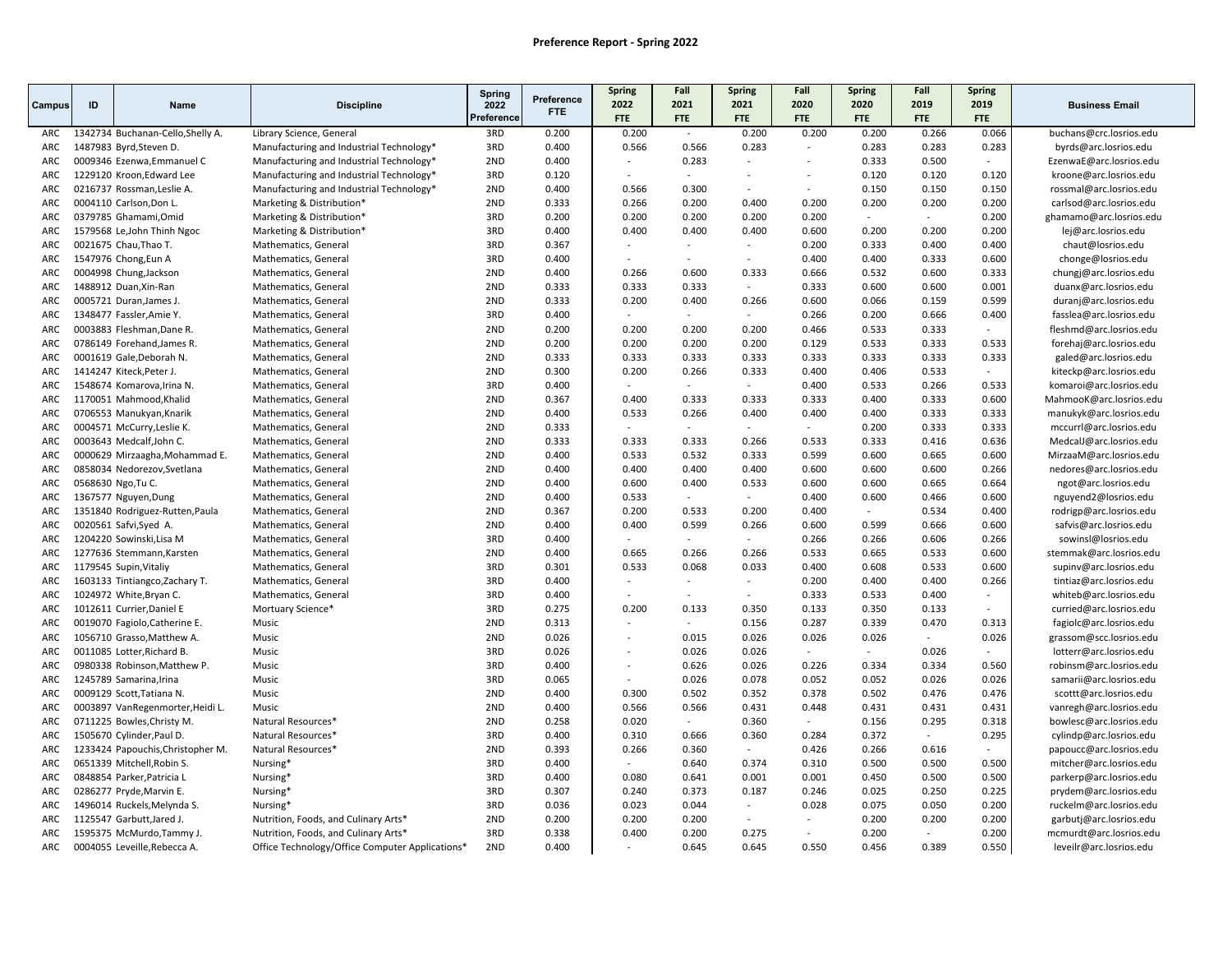|            |                    |                                   |                                                 | <b>Spring</b>      | Preference | Spring                   | Fall                     | Spring                      | Fall                     | <b>Spring</b>      | Fall                     | Spring             |                         |
|------------|--------------------|-----------------------------------|-------------------------------------------------|--------------------|------------|--------------------------|--------------------------|-----------------------------|--------------------------|--------------------|--------------------------|--------------------|-------------------------|
| Campus     | ID                 | Name                              | <b>Discipline</b>                               | 2022<br>Preference | FTE.       | 2022<br><b>FTE</b>       | 2021<br>FTE              | 2021<br><b>FTE</b>          | 2020<br><b>FTE</b>       | 2020<br><b>FTE</b> | 2019<br>FTE              | 2019<br><b>FTE</b> | <b>Business Email</b>   |
| ARC        |                    | 1342734 Buchanan-Cello, Shelly A. | Library Science, General                        | 3RD                | 0.200      | 0.200                    | $\sim$                   | 0.200                       | 0.200                    | 0.200              | 0.266                    | 0.066              | buchans@crc.losrios.edu |
| ARC        |                    | 1487983 Byrd, Steven D.           | Manufacturing and Industrial Technology*        | 3RD                | 0.400      | 0.566                    | 0.566                    | 0.283                       | $\sim$                   | 0.283              | 0.283                    | 0.283              | byrds@arc.losrios.edu   |
| ARC        |                    | 0009346 Ezenwa, Emmanuel C        | Manufacturing and Industrial Technology*        | 2ND                | 0.400      | $\overline{a}$           | 0.283                    | $\overline{\phantom{a}}$    | $\overline{\phantom{a}}$ | 0.333              | 0.500                    | $\sim$             | EzenwaE@arc.losrios.edu |
| ARC        |                    | 1229120 Kroon, Edward Lee         | Manufacturing and Industrial Technology*        | 3RD                | 0.120      |                          | $\sim$                   | $\overline{\phantom{a}}$    | $\sim$                   | 0.120              | 0.120                    | 0.120              | kroone@arc.losrios.edu  |
| ARC        |                    | 0216737 Rossman, Leslie A.        | Manufacturing and Industrial Technology*        | 2ND                | 0.400      | 0.566                    | 0.300                    | $\sim$                      | $\sim$                   | 0.150              | 0.150                    | 0.150              | rossmal@arc.losrios.edu |
| ARC        |                    | 0004110 Carlson, Don L.           | Marketing & Distribution*                       | 2ND                | 0.333      | 0.266                    | 0.200                    | 0.400                       | 0.200                    | 0.200              | 0.200                    | 0.200              | carlsod@arc.losrios.edu |
| ARC        |                    | 0379785 Ghamami, Omid             | Marketing & Distribution*                       | 3RD                | 0.200      | 0.200                    | 0.200                    | 0.200                       | 0.200                    |                    | $\sim$                   | 0.200              | ghamamo@arc.losrios.edu |
| ARC        |                    | 1579568 Le, John Thinh Ngoc       | Marketing & Distribution*                       | 3RD                | 0.400      | 0.400                    | 0.400                    | 0.400                       | 0.600                    | 0.200              | 0.200                    | 0.200              | lej@arc.losrios.edu     |
| <b>ARC</b> |                    | 0021675 Chau, Thao T.             | Mathematics, General                            | 3RD                | 0.367      | $\overline{a}$           |                          | $\overline{\phantom{a}}$    | 0.200                    | 0.333              | 0.400                    | 0.400              | chaut@losrios.edu       |
| ARC        |                    | 1547976 Chong, Eun A              | Mathematics, General                            | 3RD                | 0.400      |                          | $\overline{\phantom{a}}$ | $\sim$                      | 0.400                    | 0.400              | 0.333                    | 0.600              | chonge@losrios.edu      |
| ARC        |                    | 0004998 Chung, Jackson            | Mathematics, General                            | 2ND                | 0.400      | 0.266                    | 0.600                    | 0.333                       | 0.666                    | 0.532              | 0.600                    | 0.333              | chungj@arc.losrios.edu  |
| ARC        |                    | 1488912 Duan, Xin-Ran             | Mathematics, General                            | 2ND                | 0.333      | 0.333                    | 0.333                    | $\overline{a}$              | 0.333                    | 0.600              | 0.600                    | 0.001              | duanx@arc.losrios.edu   |
| ARC        |                    | 0005721 Duran, James J.           | Mathematics, General                            | 2ND                | 0.333      | 0.200                    | 0.400                    | 0.266                       | 0.600                    | 0.066              | 0.159                    | 0.599              | duranj@arc.losrios.edu  |
| ARC        |                    | 1348477 Fassler, Amie Y.          | Mathematics, General                            | 3RD                | 0.400      | $\overline{a}$           | $\sim$                   | $\mathcal{L}_{\mathcal{A}}$ | 0.266                    | 0.200              | 0.666                    | 0.400              | fasslea@arc.losrios.edu |
| ARC        |                    | 0003883 Fleshman, Dane R.         | Mathematics, General                            | 2ND                | 0.200      | 0.200                    | 0.200                    | 0.200                       | 0.466                    | 0.533              | 0.333                    |                    | fleshmd@arc.losrios.edu |
| ARC        |                    | 0786149 Forehand, James R.        | Mathematics, General                            | 2ND                | 0.200      | 0.200                    | 0.200                    | 0.200                       | 0.129                    | 0.533              | 0.333                    | 0.533              | forehaj@arc.losrios.edu |
| ARC        |                    | 0001619 Gale, Deborah N.          | Mathematics, General                            | 2ND                | 0.333      | 0.333                    | 0.333                    | 0.333                       | 0.333                    | 0.333              | 0.333                    | 0.333              | galed@arc.losrios.edu   |
| ARC        |                    | 1414247 Kiteck, Peter J.          | Mathematics, General                            | 2ND                | 0.300      | 0.200                    | 0.266                    | 0.333                       | 0.400                    | 0.406              | 0.533                    |                    | kiteckp@arc.losrios.edu |
| ARC        |                    | 1548674 Komarova, Irina N.        | Mathematics, General                            | 3RD                | 0.400      | $\overline{a}$           | $\sim$                   | $\sim$                      | 0.400                    | 0.533              | 0.266                    | 0.533              | komaroi@arc.losrios.edu |
| ARC        |                    | 1170051 Mahmood, Khalid           | Mathematics, General                            | 2ND                | 0.367      | 0.400                    | 0.333                    | 0.333                       | 0.333                    | 0.400              | 0.333                    | 0.600              | MahmooK@arc.losrios.edu |
| ARC        |                    | 0706553 Manukyan, Knarik          | Mathematics, General                            | 2ND                | 0.400      | 0.533                    | 0.266                    | 0.400                       | 0.400                    | 0.400              | 0.333                    | 0.333              | manukyk@arc.losrios.edu |
| ARC        |                    | 0004571 McCurry, Leslie K.        | Mathematics, General                            | 2ND                | 0.333      | ÷                        | $\sim$                   | $\sim$                      | $\sim$                   | 0.200              | 0.333                    | 0.333              | mccurrl@arc.losrios.edu |
| ARC        |                    | 0003643 Medcalf, John C.          | Mathematics, General                            | 2ND                | 0.333      | 0.333                    | 0.333                    | 0.266                       | 0.533                    | 0.333              | 0.416                    | 0.636              | MedcalJ@arc.losrios.edu |
| ARC        |                    | 0000629 Mirzaagha, Mohammad E.    | Mathematics, General                            | 2ND                | 0.400      | 0.533                    | 0.532                    | 0.333                       | 0.599                    | 0.600              | 0.665                    | 0.600              | MirzaaM@arc.losrios.edu |
| ARC        |                    | 0858034 Nedorezov, Svetlana       | Mathematics, General                            | 2ND                | 0.400      | 0.400                    | 0.400                    | 0.400                       | 0.600                    | 0.600              | 0.600                    | 0.266              | nedores@arc.losrios.edu |
| ARC        | 0568630 Ngo, Tu C. |                                   | Mathematics, General                            | 2ND                | 0.400      | 0.600                    | 0.400                    | 0.533                       | 0.600                    | 0.600              | 0.665                    | 0.664              | ngot@arc.losrios.edu    |
| ARC        |                    | 1367577 Nguyen, Dung              | Mathematics, General                            | 2ND                | 0.400      | 0.533                    |                          |                             | 0.400                    | 0.600              | 0.466                    | 0.600              | nguyend2@losrios.edu    |
| ARC        |                    | 1351840 Rodriguez-Rutten, Paula   | Mathematics, General                            | 2ND                | 0.367      | 0.200                    | 0.533                    | 0.200                       | 0.400                    | $\sim$             | 0.534                    | 0.400              | rodrigp@arc.losrios.edu |
| ARC        |                    | 0020561 Safvi, Syed A.            | Mathematics, General                            | 2ND                | 0.400      | 0.400                    | 0.599                    | 0.266                       | 0.600                    | 0.599              | 0.666                    | 0.600              | safvis@arc.losrios.edu  |
| ARC        |                    | 1204220 Sowinski, Lisa M          | Mathematics, General                            | 3RD                | 0.400      |                          |                          | $\sim$                      | 0.266                    | 0.266              | 0.606                    | 0.266              | sowinsl@losrios.edu     |
| ARC        |                    | 1277636 Stemmann, Karsten         | Mathematics, General                            | 2ND                | 0.400      | 0.665                    | 0.266                    | 0.266                       | 0.533                    | 0.665              | 0.533                    | 0.600              | stemmak@arc.losrios.edu |
| ARC        |                    | 1179545 Supin, Vitaliy            | Mathematics, General                            | 3RD                | 0.301      | 0.533                    | 0.068                    | 0.033                       | 0.400                    | 0.608              | 0.533                    | 0.600              | supinv@arc.losrios.edu  |
| ARC        |                    | 1603133 Tintiangco, Zachary T.    | Mathematics, General                            | 3RD                | 0.400      |                          |                          | $\sim$                      | 0.200                    | 0.400              | 0.400                    | 0.266              | tintiaz@arc.losrios.edu |
| ARC        |                    | 1024972 White, Bryan C.           | Mathematics, General                            | 3RD                | 0.400      |                          |                          | $\sim$                      | 0.333                    | 0.533              | 0.400                    | $\sim$             | whiteb@arc.losrios.edu  |
| ARC        |                    | 1012611 Currier, Daniel E         | Mortuary Science*                               | 3RD                | 0.275      | 0.200                    | 0.133                    | 0.350                       | 0.133                    | 0.350              | 0.133                    |                    | curried@arc.losrios.edu |
| ARC        |                    | 0019070 Fagiolo, Catherine E.     | Music                                           | 2ND                | 0.313      |                          |                          | 0.156                       | 0.287                    | 0.339              | 0.470                    | 0.313              | fagiolc@arc.losrios.edu |
| ARC        |                    | 1056710 Grasso, Matthew A.        | Music                                           | 2ND                | 0.026      | $\overline{\phantom{a}}$ | 0.015                    | 0.026                       | 0.026                    | 0.026              | $\sim$                   | 0.026              | grassom@scc.losrios.edu |
| ARC        |                    | 0011085 Lotter, Richard B.        | Music                                           | 3RD                | 0.026      | $\overline{a}$           | 0.026                    | 0.026                       | $\sim$                   | $\sim$             | 0.026                    |                    | lotterr@arc.losrios.edu |
| ARC        |                    | 0980338 Robinson, Matthew P.      | Music                                           | 3RD                | 0.400      | $\overline{a}$           | 0.626                    | 0.026                       | 0.226                    | 0.334              | 0.334                    | 0.560              | robinsm@arc.losrios.edu |
| ARC        |                    | 1245789 Samarina, Irina           | Music                                           | 3RD                | 0.065      |                          | 0.026                    | 0.078                       | 0.052                    | 0.052              | 0.026                    | 0.026              | samarii@arc.losrios.edu |
| ARC        |                    | 0009129 Scott, Tatiana N.         | Music                                           | 2ND                | 0.400      | 0.300                    | 0.502                    | 0.352                       | 0.378                    | 0.502              | 0.476                    | 0.476              | scottt@arc.losrios.edu  |
| ARC        |                    | 0003897 VanRegenmorter, Heidi L.  | Music                                           | 2ND                | 0.400      | 0.566                    | 0.566                    | 0.431                       | 0.448                    | 0.431              | 0.431                    | 0.431              | vanregh@arc.losrios.edu |
| ARC        |                    | 0711225 Bowles, Christy M.        | Natural Resources*                              | 2ND                | 0.258      | 0.020                    | $\sim$                   | 0.360                       | $\sim$                   | 0.156              | 0.295                    | 0.318              | bowlesc@arc.losrios.edu |
| ARC        |                    | 1505670 Cylinder, Paul D.         | Natural Resources*                              | 3RD                | 0.400      | 0.310                    | 0.666                    | 0.360                       | 0.284                    | 0.372              | $\overline{\phantom{a}}$ | 0.295              | cylindp@arc.losrios.edu |
| ARC        |                    | 1233424 Papouchis, Christopher M. | Natural Resources*                              | 2ND                | 0.393      | 0.266                    | 0.360                    | $\mathcal{L}_{\mathcal{A}}$ | 0.426                    | 0.266              | 0.616                    | $\sim$             | papoucc@arc.losrios.edu |
| ARC        |                    | 0651339 Mitchell, Robin S.        | Nursing*                                        | 3RD                | 0.400      | ÷                        | 0.640                    | 0.374                       | 0.310                    | 0.500              | 0.500                    | 0.500              | mitcher@arc.losrios.edu |
| ARC        |                    | 0848854 Parker, Patricia L        | Nursing*                                        | 3RD                | 0.400      | 0.080                    | 0.641                    | 0.001                       | 0.001                    | 0.450              | 0.500                    | 0.500              | parkerp@arc.losrios.edu |
| ARC        |                    | 0286277 Pryde, Marvin E.          | Nursing*                                        | 3RD                | 0.307      | 0.240                    | 0.373                    | 0.187                       | 0.246                    | 0.025              | 0.250                    | 0.225              | prydem@arc.losrios.edu  |
| ARC        |                    | 1496014 Ruckels, Melynda S.       | Nursing*                                        | 3RD                | 0.036      | 0.023                    | 0.044                    | $\mathbb{Z}^2$              | 0.028                    | 0.075              | 0.050                    | 0.200              | ruckelm@arc.losrios.edu |
| ARC        |                    | 1125547 Garbutt, Jared J.         | Nutrition, Foods, and Culinary Arts*            | 2ND                | 0.200      | 0.200                    | 0.200                    | $\blacksquare$              | $\sim$                   | 0.200              | 0.200                    | 0.200              | garbutj@arc.losrios.edu |
| ARC        |                    | 1595375 McMurdo, Tammy J          | Nutrition, Foods, and Culinary Arts*            | 3RD                | 0.338      | 0.400                    | 0.200                    | 0.275                       | $\mathcal{L}$            | 0.200              | $\sim$                   | 0.200              | mcmurdt@arc.losrios.edu |
| ARC        |                    | 0004055 Leveille, Rebecca A.      | Office Technology/Office Computer Applications* | 2ND                | 0.400      |                          | 0.645                    | 0.645                       | 0.550                    | 0.456              | 0.389                    | 0.550              | leveilr@arc.losrios.edu |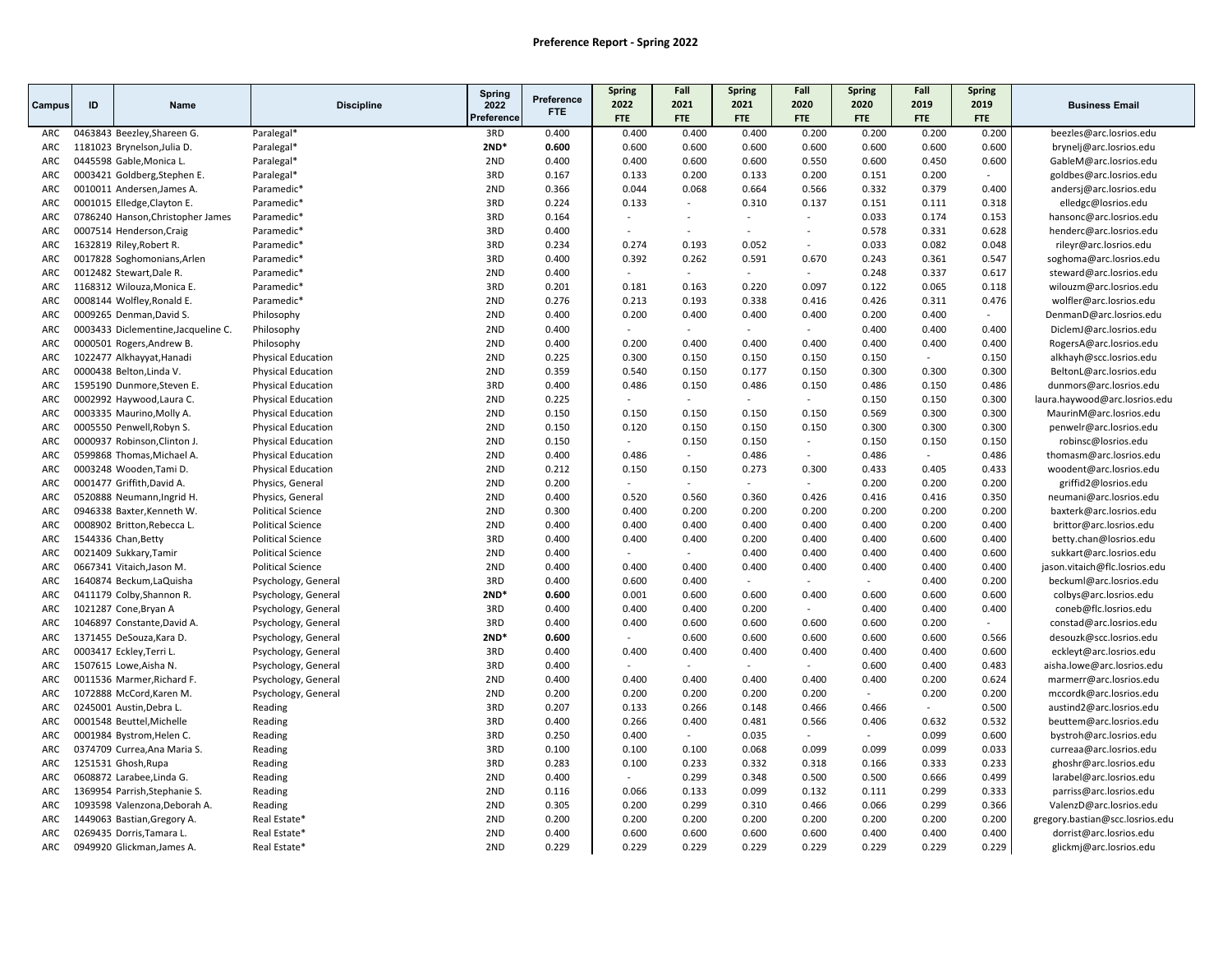|            |    |                                     |                           | Spring     |                          | <b>Spring</b> | Fall                     | Spring     | Fall                     | <b>Spring</b> | Fall   | <b>Spring</b> |                                 |
|------------|----|-------------------------------------|---------------------------|------------|--------------------------|---------------|--------------------------|------------|--------------------------|---------------|--------|---------------|---------------------------------|
| Campus     | ID | Name                                | <b>Discipline</b>         | 2022       | Preference<br><b>FTE</b> | 2022          | 2021                     | 2021       | 2020                     | 2020          | 2019   | 2019          | <b>Business Email</b>           |
|            |    |                                     |                           | Preference |                          | <b>FTE</b>    | FTE                      | <b>FTE</b> | <b>FTE</b>               | <b>FTE</b>    | FTE    | FTE           |                                 |
| ARC        |    | 0463843 Beezley, Shareen G.         | Paralegal*                | 3RD        | 0.400                    | 0.400         | 0.400                    | 0.400      | 0.200                    | 0.200         | 0.200  | 0.200         | beezles@arc.losrios.edu         |
| ARC        |    | 1181023 Brynelson, Julia D.         | Paralegal*                | $2ND*$     | 0.600                    | 0.600         | 0.600                    | 0.600      | 0.600                    | 0.600         | 0.600  | 0.600         | brynelj@arc.losrios.edu         |
| ARC        |    | 0445598 Gable, Monica L.            | Paralegal*                | 2ND        | 0.400                    | 0.400         | 0.600                    | 0.600      | 0.550                    | 0.600         | 0.450  | 0.600         | GableM@arc.losrios.edu          |
| ARC        |    | 0003421 Goldberg, Stephen E.        | Paralegal*                | 3RD        | 0.167                    | 0.133         | 0.200                    | 0.133      | 0.200                    | 0.151         | 0.200  |               | goldbes@arc.losrios.edu         |
| ARC        |    | 0010011 Andersen, James A.          | Paramedic <sup>*</sup>    | 2ND        | 0.366                    | 0.044         | 0.068                    | 0.664      | 0.566                    | 0.332         | 0.379  | 0.400         | andersj@arc.losrios.edu         |
| ARC        |    | 0001015 Elledge, Clayton E.         | Paramedic*                | 3RD        | 0.224                    | 0.133         | $\overline{a}$           | 0.310      | 0.137                    | 0.151         | 0.111  | 0.318         | elledgc@losrios.edu             |
| ARC        |    | 0786240 Hanson, Christopher James   | Paramedic*                | 3RD        | 0.164                    | $\sim$        | $\sim$                   | $\sim$     | ÷                        | 0.033         | 0.174  | 0.153         | hansonc@arc.losrios.edu         |
| ARC        |    | 0007514 Henderson, Craig            | Paramedic*                | 3RD        | 0.400                    |               | $\overline{\phantom{a}}$ |            | $\overline{\phantom{a}}$ | 0.578         | 0.331  | 0.628         | henderc@arc.losrios.edu         |
| ARC        |    | 1632819 Riley, Robert R.            | Paramedic*                | 3RD        | 0.234                    | 0.274         | 0.193                    | 0.052      | $\sim$                   | 0.033         | 0.082  | 0.048         | rileyr@arc.losrios.edu          |
| ARC        |    | 0017828 Soghomonians, Arlen         | Paramedic*                | 3RD        | 0.400                    | 0.392         | 0.262                    | 0.591      | 0.670                    | 0.243         | 0.361  | 0.547         | soghoma@arc.losrios.edu         |
| ARC        |    | 0012482 Stewart, Dale R.            | Paramedic*                | 2ND        | 0.400                    | $\sim$        | $\sim$                   | $\sim$     | $\overline{\phantom{a}}$ | 0.248         | 0.337  | 0.617         | steward@arc.losrios.edu         |
| ARC        |    | 1168312 Wilouza, Monica E.          | Paramedic*                | 3RD        | 0.201                    | 0.181         | 0.163                    | 0.220      | 0.097                    | 0.122         | 0.065  | 0.118         | wilouzm@arc.losrios.edu         |
| <b>ARC</b> |    | 0008144 Wolfley, Ronald E.          | Paramedic*                | 2ND        | 0.276                    | 0.213         | 0.193                    | 0.338      | 0.416                    | 0.426         | 0.311  | 0.476         | wolfler@arc.losrios.edu         |
| ARC        |    | 0009265 Denman, David S.            | Philosophy                | 2ND        | 0.400                    | 0.200         | 0.400                    | 0.400      | 0.400                    | 0.200         | 0.400  | $\sim$        | DenmanD@arc.losrios.edu         |
| ARC        |    | 0003433 Diclementine, Jacqueline C. | Philosophy                | 2ND        | 0.400                    |               |                          |            |                          | 0.400         | 0.400  | 0.400         | DiclemJ@arc.losrios.edu         |
| ARC        |    | 0000501 Rogers, Andrew B.           | Philosophy                | 2ND        | 0.400                    | 0.200         | 0.400                    | 0.400      | 0.400                    | 0.400         | 0.400  | 0.400         | RogersA@arc.losrios.edu         |
| ARC        |    | 1022477 Alkhayyat, Hanadi           | <b>Physical Education</b> | 2ND        | 0.225                    | 0.300         | 0.150                    | 0.150      | 0.150                    | 0.150         | $\sim$ | 0.150         | alkhayh@scc.losrios.edu         |
| ARC        |    | 0000438 Belton, Linda V.            | <b>Physical Education</b> | 2ND        | 0.359                    | 0.540         | 0.150                    | 0.177      | 0.150                    | 0.300         | 0.300  | 0.300         | BeltonL@arc.losrios.edu         |
| ARC        |    | 1595190 Dunmore, Steven E.          | <b>Physical Education</b> | 3RD        | 0.400                    | 0.486         | 0.150                    | 0.486      | 0.150                    | 0.486         | 0.150  | 0.486         | dunmors@arc.losrios.edu         |
| ARC        |    | 0002992 Haywood, Laura C.           | <b>Physical Education</b> | 2ND        | 0.225                    |               | $\sim$                   | $\sim$     | $\sim$                   | 0.150         | 0.150  | 0.300         | laura.haywood@arc.losrios.edu   |
| ARC        |    | 0003335 Maurino, Molly A.           | <b>Physical Education</b> | 2ND        | 0.150                    | 0.150         | 0.150                    | 0.150      | 0.150                    | 0.569         | 0.300  | 0.300         | MaurinM@arc.losrios.edu         |
| ARC        |    | 0005550 Penwell, Robyn S.           | <b>Physical Education</b> | 2ND        | 0.150                    | 0.120         | 0.150                    | 0.150      | 0.150                    | 0.300         | 0.300  | 0.300         | penwelr@arc.losrios.edu         |
| <b>ARC</b> |    | 0000937 Robinson, Clinton J.        | <b>Physical Education</b> | 2ND        | 0.150                    |               | 0.150                    | 0.150      | $\sim$                   | 0.150         | 0.150  | 0.150         | robinsc@losrios.edu             |
| ARC        |    | 0599868 Thomas, Michael A.          | <b>Physical Education</b> | 2ND        | 0.400                    | 0.486         | $\sim$                   | 0.486      | $\overline{a}$           | 0.486         | $\sim$ | 0.486         | thomasm@arc.losrios.edu         |
| ARC        |    | 0003248 Wooden, Tami D.             | <b>Physical Education</b> | 2ND        | 0.212                    | 0.150         | 0.150                    | 0.273      | 0.300                    | 0.433         | 0.405  | 0.433         | woodent@arc.losrios.edu         |
| ARC        |    | 0001477 Griffith, David A.          | Physics, General          | 2ND        | 0.200                    |               | $\mathbf{r}$             |            | $\sim$                   | 0.200         | 0.200  | 0.200         | griffid2@losrios.edu            |
| ARC        |    | 0520888 Neumann, Ingrid H.          | Physics, General          | 2ND        | 0.400                    | 0.520         | 0.560                    | 0.360      | 0.426                    | 0.416         | 0.416  | 0.350         | neumani@arc.losrios.edu         |
| ARC        |    | 0946338 Baxter, Kenneth W.          | <b>Political Science</b>  | 2ND        | 0.300                    | 0.400         | 0.200                    | 0.200      | 0.200                    | 0.200         | 0.200  | 0.200         | baxterk@arc.losrios.edu         |
| ARC        |    | 0008902 Britton, Rebecca L.         | <b>Political Science</b>  | 2ND        | 0.400                    | 0.400         | 0.400                    | 0.400      | 0.400                    | 0.400         | 0.200  | 0.400         | brittor@arc.losrios.edu         |
| ARC        |    | 1544336 Chan, Betty                 | <b>Political Science</b>  | 3RD        | 0.400                    | 0.400         | 0.400                    | 0.200      | 0.400                    | 0.400         | 0.600  | 0.400         | betty.chan@losrios.edu          |
| ARC        |    | 0021409 Sukkary, Tamir              | <b>Political Science</b>  | 2ND        | 0.400                    |               | $\sim$                   | 0.400      | 0.400                    | 0.400         | 0.400  | 0.600         | sukkart@arc.losrios.edu         |
| ARC        |    | 0667341 Vitaich, Jason M.           | <b>Political Science</b>  | 2ND        | 0.400                    | 0.400         | 0.400                    | 0.400      | 0.400                    | 0.400         | 0.400  | 0.400         | jason.vitaich@flc.losrios.edu   |
| ARC        |    | 1640874 Beckum, LaQuisha            | Psychology, General       | 3RD        | 0.400                    | 0.600         | 0.400                    | $\sim$     | ÷                        | $\sim$        | 0.400  | 0.200         | beckuml@arc.losrios.edu         |
| ARC        |    | 0411179 Colby, Shannon R.           | Psychology, General       | $2ND*$     | 0.600                    | 0.001         | 0.600                    | 0.600      | 0.400                    | 0.600         | 0.600  | 0.600         | colbys@arc.losrios.edu          |
| ARC        |    | 1021287 Cone, Bryan A               | Psychology, General       | 3RD        | 0.400                    | 0.400         | 0.400                    | 0.200      |                          | 0.400         | 0.400  | 0.400         | coneb@flc.losrios.edu           |
| ARC        |    | 1046897 Constante, David A.         | Psychology, General       | 3RD        | 0.400                    | 0.400         | 0.600                    | 0.600      | 0.600                    | 0.600         | 0.200  | $\sim$        | constad@arc.losrios.edu         |
| ARC        |    | 1371455 DeSouza, Kara D.            | Psychology, General       | $2ND*$     | 0.600                    |               | 0.600                    | 0.600      | 0.600                    | 0.600         | 0.600  | 0.566         | desouzk@scc.losrios.edu         |
| ARC        |    | 0003417 Eckley, Terri L.            | Psychology, General       | 3RD        | 0.400                    | 0.400         | 0.400                    | 0.400      | 0.400                    | 0.400         | 0.400  | 0.600         | eckleyt@arc.losrios.edu         |
| ARC        |    | 1507615 Lowe, Aisha N.              | Psychology, General       | 3RD        | 0.400                    |               | $\sim$                   | $\sim$     | $\sim$                   | 0.600         | 0.400  | 0.483         | aisha.lowe@arc.losrios.edu      |
| ARC        |    | 0011536 Marmer, Richard F.          | Psychology, General       | 2ND        | 0.400                    | 0.400         | 0.400                    | 0.400      | 0.400                    | 0.400         | 0.200  | 0.624         | marmerr@arc.losrios.edu         |
| ARC        |    | 1072888 McCord, Karen M.            | Psychology, General       | 2ND        | 0.200                    | 0.200         | 0.200                    | 0.200      | 0.200                    | $\sim$        | 0.200  | 0.200         | mccordk@arc.losrios.edu         |
| ARC        |    | 0245001 Austin, Debra L.            | Reading                   | 3RD        | 0.207                    | 0.133         | 0.266                    | 0.148      | 0.466                    | 0.466         | $\sim$ | 0.500         | austind2@arc.losrios.edu        |
| ARC        |    | 0001548 Beuttel, Michelle           | Reading                   | 3RD        | 0.400                    | 0.266         | 0.400                    | 0.481      | 0.566                    | 0.406         | 0.632  | 0.532         | beuttem@arc.losrios.edu         |
| ARC        |    | 0001984 Bystrom, Helen C.           | Reading                   | 3RD        | 0.250                    | 0.400         | $\sim$                   | 0.035      | $\sim$                   | $\sim$        | 0.099  | 0.600         | bystroh@arc.losrios.edu         |
| ARC        |    | 0374709 Currea, Ana Maria S.        | Reading                   | 3RD        | 0.100                    | 0.100         | 0.100                    | 0.068      | 0.099                    | 0.099         | 0.099  | 0.033         | curreaa@arc.losrios.edu         |
| ARC        |    | 1251531 Ghosh, Rupa                 | Reading                   | 3RD        | 0.283                    | 0.100         | 0.233                    | 0.332      | 0.318                    | 0.166         | 0.333  | 0.233         | ghoshr@arc.losrios.edu          |
| ARC        |    |                                     |                           | 2ND        | 0.400                    | $\sim$        | 0.299                    | 0.348      | 0.500                    | 0.500         | 0.666  | 0.499         |                                 |
|            |    | 0608872 Larabee, Linda G.           | Reading                   | 2ND        | 0.116                    | 0.066         | 0.133                    | 0.099      | 0.132                    | 0.111         | 0.299  | 0.333         | larabel@arc.losrios.edu         |
| ARC<br>ARC |    | 1369954 Parrish, Stephanie S.       | Reading                   | 2ND        |                          | 0.200         | 0.299                    |            | 0.466                    |               |        |               | parriss@arc.losrios.edu         |
|            |    | 1093598 Valenzona, Deborah A.       | Reading                   | 2ND        | 0.305<br>0.200           | 0.200         | 0.200                    | 0.310      |                          | 0.066         | 0.299  | 0.366         | ValenzD@arc.losrios.edu         |
| ARC        |    | 1449063 Bastian, Gregory A.         | Real Estate*              |            |                          |               |                          | 0.200      | 0.200                    | 0.200         | 0.200  | 0.200         | gregory.bastian@scc.losrios.edu |
| ARC        |    | 0269435 Dorris, Tamara L.           | Real Estate*              | 2ND        | 0.400                    | 0.600         | 0.600                    | 0.600      | 0.600                    | 0.400         | 0.400  | 0.400         | dorrist@arc.losrios.edu         |
| ARC        |    | 0949920 Glickman, James A.          | Real Estate*              | 2ND        | 0.229                    | 0.229         | 0.229                    | 0.229      | 0.229                    | 0.229         | 0.229  | 0.229         | glickmj@arc.losrios.edu         |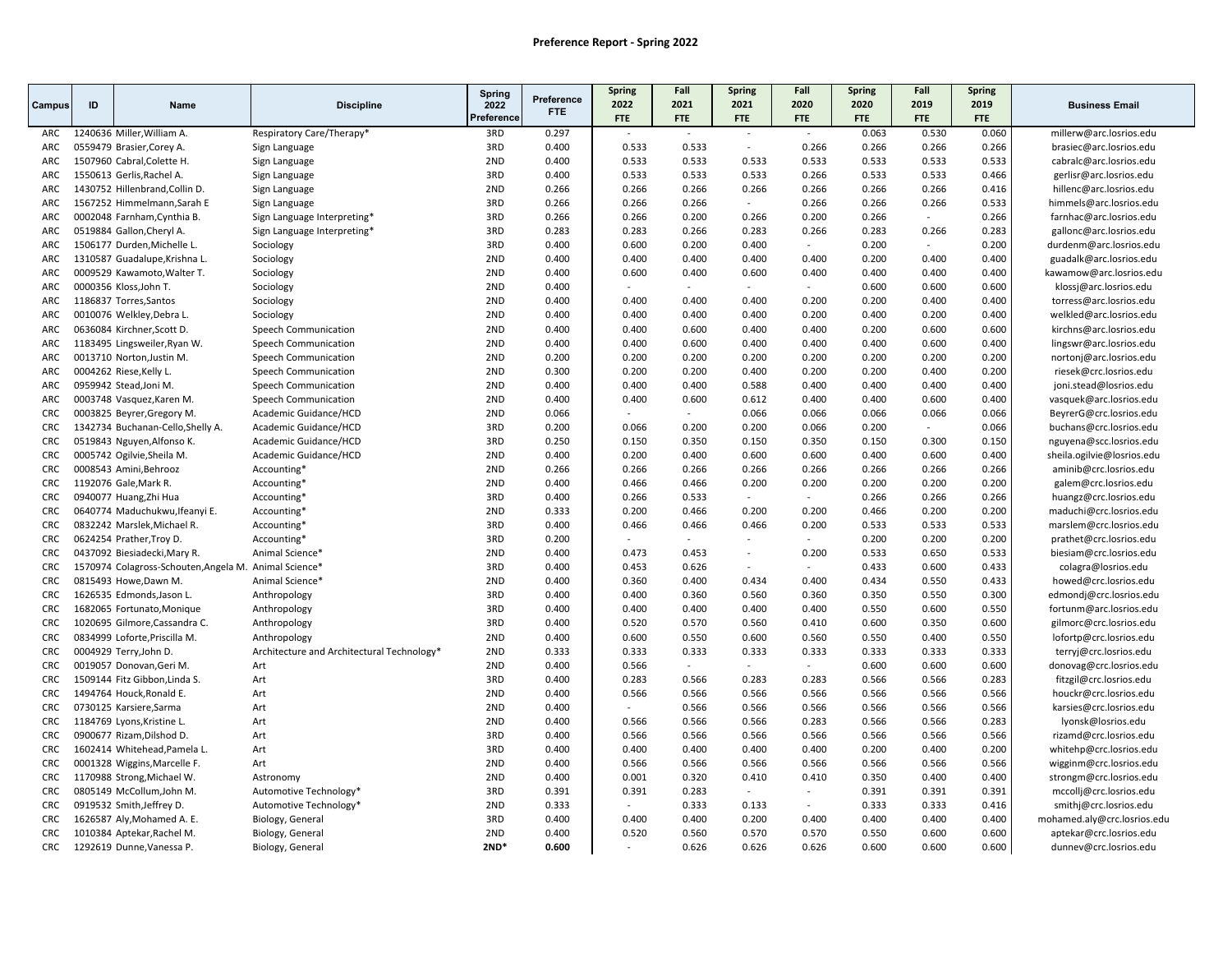|                          |    |                                                          |                                            | Spring     |                          | Spring         | Fall            | Spring                   | Fall            | <b>Spring</b>  | Fall           | <b>Spring</b>  |                                                       |
|--------------------------|----|----------------------------------------------------------|--------------------------------------------|------------|--------------------------|----------------|-----------------|--------------------------|-----------------|----------------|----------------|----------------|-------------------------------------------------------|
| Campus                   | ID | <b>Name</b>                                              | <b>Discipline</b>                          | 2022       | Preference<br><b>FTE</b> | 2022           | 2021            | 2021                     | 2020            | 2020           | 2019           | 2019           | <b>Business Email</b>                                 |
|                          |    |                                                          |                                            | Preference |                          | <b>FTE</b>     | <b>FTE</b>      | <b>FTE</b>               | <b>FTE</b>      | <b>FTE</b>     | <b>FTE</b>     | <b>FTE</b>     |                                                       |
| ARC                      |    | 1240636 Miller, William A.                               | Respiratory Care/Therapy*                  | 3RD        | 0.297                    |                | $\sim$          | $\sim$                   | $\sim$          | 0.063          | 0.530          | 0.060          | millerw@arc.losrios.edu                               |
| ARC                      |    | 0559479 Brasier, Corey A.                                | Sign Language                              | 3RD        | 0.400                    | 0.533          | 0.533           | $\sim$                   | 0.266           | 0.266          | 0.266          | 0.266          | brasiec@arc.losrios.edu                               |
| ARC                      |    | 1507960 Cabral, Colette H.                               | Sign Language                              | 2ND        | 0.400                    | 0.533          | 0.533           | 0.533                    | 0.533           | 0.533          | 0.533          | 0.533          | cabralc@arc.losrios.edu                               |
| ARC                      |    | 1550613 Gerlis, Rachel A.                                | Sign Language                              | 3RD        | 0.400                    | 0.533          | 0.533           | 0.533                    | 0.266           | 0.533          | 0.533          | 0.466          | gerlisr@arc.losrios.edu                               |
| ARC                      |    | 1430752 Hillenbrand, Collin D.                           | Sign Language                              | 2ND        | 0.266                    | 0.266          | 0.266           | 0.266                    | 0.266           | 0.266          | 0.266          | 0.416          | hillenc@arc.losrios.edu                               |
| ARC                      |    | 1567252 Himmelmann, Sarah E                              | Sign Language                              | 3RD        | 0.266                    | 0.266          | 0.266           | $\sim$                   | 0.266           | 0.266          | 0.266          | 0.533          | himmels@arc.losrios.edu                               |
| ARC                      |    | 0002048 Farnham, Cynthia B.                              | Sign Language Interpreting*                | 3RD        | 0.266                    | 0.266          | 0.200           | 0.266                    | 0.200           | 0.266          | $\sim$         | 0.266          | farnhac@arc.losrios.edu                               |
| ARC                      |    | 0519884 Gallon, Cheryl A.                                | Sign Language Interpreting*                | 3RD        | 0.283                    | 0.283          | 0.266           | 0.283                    | 0.266           | 0.283          | 0.266          | 0.283          | gallonc@arc.losrios.edu                               |
| ARC                      |    | 1506177 Durden, Michelle L.                              | Sociology                                  | 3RD        | 0.400                    | 0.600          | 0.200           | 0.400                    |                 | 0.200          | $\sim$         | 0.200          | durdenm@arc.losrios.edu                               |
| ARC                      |    | 1310587 Guadalupe, Krishna L.                            | Sociology                                  | 2ND        | 0.400                    | 0.400          | 0.400           | 0.400                    | 0.400           | 0.200          | 0.400          | 0.400          | guadalk@arc.losrios.edu                               |
| ARC                      |    | 0009529 Kawamoto, Walter T.                              | Sociology                                  | 2ND        | 0.400                    | 0.600          | 0.400           | 0.600                    | 0.400           | 0.400          | 0.400          | 0.400          | kawamow@arc.losrios.edu                               |
| ARC                      |    | 0000356 Kloss, John T.                                   | Sociology                                  | 2ND        | 0.400                    |                |                 |                          |                 | 0.600          | 0.600          | 0.600          | klossj@arc.losrios.edu                                |
| <b>ARC</b>               |    | 1186837 Torres, Santos                                   | Sociology                                  | 2ND        | 0.400                    | 0.400          | 0.400           | 0.400                    | 0.200           | 0.200          | 0.400          | 0.400          | torress@arc.losrios.edu                               |
| ARC                      |    | 0010076 Welkley, Debra L.                                | Sociology                                  | 2ND        | 0.400                    | 0.400          | 0.400           | 0.400                    | 0.200           | 0.400          | 0.200          | 0.400          | welkled@arc.losrios.edu                               |
| ARC                      |    | 0636084 Kirchner, Scott D.                               | Speech Communication                       | 2ND        | 0.400                    | 0.400          | 0.600           | 0.400                    | 0.400           | 0.200          | 0.600          | 0.600          | kirchns@arc.losrios.edu                               |
| ARC                      |    | 1183495 Lingsweiler, Ryan W.                             | Speech Communication                       | 2ND        | 0.400                    | 0.400          | 0.600           | 0.400                    | 0.400           | 0.400          | 0.600          | 0.400          | lingswr@arc.losrios.edu                               |
| ARC                      |    | 0013710 Norton, Justin M.                                | Speech Communication                       | 2ND        | 0.200                    | 0.200          | 0.200           | 0.200                    | 0.200           | 0.200          | 0.200          | 0.200          | nortonj@arc.losrios.edu                               |
| ARC                      |    | 0004262 Riese, Kelly L                                   | Speech Communication                       | 2ND        | 0.300                    | 0.200          | 0.200           | 0.400                    | 0.200           | 0.200          | 0.400          | 0.200          | riesek@crc.losrios.edu                                |
| ARC.                     |    | 0959942 Stead, Joni M.                                   | Speech Communication                       | 2ND        | 0.400                    | 0.400          | 0.400           | 0.588                    | 0.400           | 0.400          | 0.400          | 0.400          | joni.stead@losrios.edu                                |
| ARC                      |    | 0003748 Vasquez, Karen M.                                | Speech Communication                       | 2ND        | 0.400                    | 0.400          | 0.600           | 0.612                    | 0.400           | 0.400          | 0.600          | 0.400          | vasquek@arc.losrios.edu                               |
| <b>CRC</b>               |    | 0003825 Beyrer, Gregory M.                               | Academic Guidance/HCD                      | 2ND        | 0.066                    |                |                 | 0.066                    | 0.066           | 0.066          | 0.066          | 0.066          | BeyrerG@crc.losrios.edu                               |
| <b>CRC</b>               |    | 1342734 Buchanan-Cello, Shelly A.                        | Academic Guidance/HCD                      | 3RD        | 0.200                    | 0.066          | 0.200           | 0.200                    | 0.066           | 0.200          | $\sim$         | 0.066          | buchans@crc.losrios.edu                               |
| <b>CRC</b>               |    | 0519843 Nguyen, Alfonso K.                               | Academic Guidance/HCD                      | 3RD        | 0.250                    | 0.150          | 0.350           | 0.150                    | 0.350           | 0.150          | 0.300          | 0.150          | nguyena@scc.losrios.edu                               |
| <b>CRC</b>               |    | 0005742 Ogilvie, Sheila M.                               | Academic Guidance/HCD                      | 2ND        | 0.400                    | 0.200          | 0.400           | 0.600                    | 0.600           | 0.400          | 0.600          | 0.400          | sheila.ogilvie@losrios.edu                            |
| <b>CRC</b>               |    | 0008543 Amini, Behrooz                                   | Accounting*                                | 2ND        | 0.266                    | 0.266          | 0.266           | 0.266                    | 0.266           | 0.266          | 0.266          | 0.266          | aminib@crc.losrios.edu                                |
| <b>CRC</b>               |    | 1192076 Gale, Mark R.                                    | Accounting*                                | 2ND        | 0.400                    | 0.466          | 0.466           | 0.200                    | 0.200           | 0.200          | 0.200          | 0.200          | galem@crc.losrios.edu                                 |
| CRC                      |    | 0940077 Huang, Zhi Hua                                   | Accounting*                                | 3RD        | 0.400                    | 0.266          | 0.533           | $\overline{\phantom{a}}$ |                 | 0.266          | 0.266          | 0.266          | huangz@crc.losrios.edu                                |
| <b>CRC</b>               |    | 0640774 Maduchukwu, Ifeanyi E.                           | Accounting*                                | 2ND        | 0.333                    | 0.200          | 0.466           | 0.200                    | 0.200           | 0.466          | 0.200          | 0.200          | maduchi@crc.losrios.edu                               |
| <b>CRC</b>               |    | 0832242 Marslek, Michael R.                              | Accounting*                                | 3RD        | 0.400                    | 0.466          | 0.466           | 0.466                    | 0.200           | 0.533          | 0.533          | 0.533          | marslem@crc.losrios.edu                               |
| <b>CRC</b>               |    | 0624254 Prather, Troy D.                                 | Accounting*                                | 3RD        | 0.200                    |                |                 | ٠                        |                 | 0.200          | 0.200          | 0.200          | prathet@crc.losrios.edu                               |
| <b>CRC</b>               |    | 0437092 Biesiadecki, Mary R.                             | Animal Science*                            | 2ND        | 0.400                    | 0.473          | 0.453           | $\sim$                   | 0.200           | 0.533          | 0.650          | 0.533          | biesiam@crc.losrios.edu                               |
| <b>CRC</b>               |    | 1570974 Colagross-Schouten, Angela M. Animal Science*    |                                            | 3RD        | 0.400                    | 0.453          | 0.626           | $\overline{a}$           | $\sim$          | 0.433          | 0.600          | 0.433          | colagra@losrios.edu                                   |
| <b>CRC</b>               |    | 0815493 Howe, Dawn M.                                    | Animal Science*                            | 2ND        | 0.400                    | 0.360          | 0.400           | 0.434                    | 0.400           | 0.434          | 0.550          | 0.433          | howed@crc.losrios.edu                                 |
| <b>CRC</b>               |    | 1626535 Edmonds, Jason L.                                | Anthropology                               | 3RD        | 0.400                    | 0.400          | 0.360           | 0.560                    | 0.360           | 0.350          | 0.550          | 0.300          | edmondj@crc.losrios.edu                               |
| <b>CRC</b>               |    | 1682065 Fortunato, Monique                               | Anthropology                               | 3RD        | 0.400                    | 0.400          | 0.400           | 0.400                    | 0.400           | 0.550          | 0.600          | 0.550          | fortunm@arc.losrios.edu                               |
| <b>CRC</b>               |    | 1020695 Gilmore, Cassandra C.                            | Anthropology                               | 3RD        | 0.400                    | 0.520          | 0.570           | 0.560                    | 0.410           | 0.600          | 0.350          | 0.600          | gilmorc@crc.losrios.edu                               |
| <b>CRC</b>               |    | 0834999 Loforte, Priscilla M.                            | Anthropology                               | 2ND        | 0.400                    | 0.600          | 0.550           | 0.600                    | 0.560           | 0.550          | 0.400          | 0.550          | lofortp@crc.losrios.edu                               |
| <b>CRC</b><br><b>CRC</b> |    | 0004929 Terry, John D.                                   | Architecture and Architectural Technology* | 2ND        | 0.333                    | 0.333          | 0.333<br>$\sim$ | 0.333<br>$\overline{a}$  | 0.333<br>$\sim$ | 0.333          | 0.333          | 0.333          | terryj@crc.losrios.edu                                |
|                          |    | 0019057 Donovan, Geri M.                                 | Art                                        | 2ND<br>3RD | 0.400                    | 0.566          |                 |                          |                 | 0.600          | 0.600          | 0.600          | donovag@crc.losrios.edu                               |
| <b>CRC</b>               |    | 1509144 Fitz Gibbon, Linda S.                            | Art                                        | 2ND        | 0.400                    | 0.283<br>0.566 | 0.566           | 0.283                    | 0.283<br>0.566  | 0.566          | 0.566          | 0.283          | fitzgil@crc.losrios.edu                               |
| <b>CRC</b><br><b>CRC</b> |    | 1494764 Houck, Ronald E.                                 | Art                                        |            | 0.400                    | $\sim$         | 0.566           | 0.566                    |                 | 0.566          | 0.566          | 0.566          | houckr@crc.losrios.edu                                |
| <b>CRC</b>               |    | 0730125 Karsiere, Sarma                                  | Art                                        | 2ND<br>2ND | 0.400                    | 0.566          | 0.566<br>0.566  | 0.566                    | 0.566           | 0.566          | 0.566<br>0.566 | 0.566<br>0.283 | karsies@crc.losrios.edu                               |
| <b>CRC</b>               |    | 1184769 Lyons, Kristine L.                               | Art                                        | 3RD        | 0.400<br>0.400           | 0.566          | 0.566           | 0.566<br>0.566           | 0.283<br>0.566  | 0.566          | 0.566          |                | lyonsk@losrios.edu                                    |
| <b>CRC</b>               |    | 0900677 Rizam, Dilshod D.                                | Art                                        | 3RD        |                          | 0.400          | 0.400           | 0.400                    | 0.400           | 0.566<br>0.200 | 0.400          | 0.566<br>0.200 | rizamd@crc.losrios.edu                                |
|                          |    | 1602414 Whitehead, Pamela L.                             | Art                                        | 2ND        | 0.400                    |                |                 |                          |                 |                |                | 0.566          | whitehp@crc.losrios.edu                               |
| <b>CRC</b>               |    | 0001328 Wiggins, Marcelle F.                             | Art                                        |            | 0.400                    | 0.566          | 0.566           | 0.566                    | 0.566           | 0.566          | 0.566          |                | wigginm@crc.losrios.edu                               |
| <b>CRC</b><br><b>CRC</b> |    | 1170988 Strong, Michael W.                               | Astronomy                                  | 2ND        | 0.400                    | 0.001          | 0.320           | 0.410<br>$\sim$          | 0.410           | 0.350          | 0.400          | 0.400          | strongm@crc.losrios.edu                               |
| <b>CRC</b>               |    | 0805149 McCollum, John M.<br>0919532 Smith, Jeffrey D.   | Automotive Technology*                     | 3RD<br>2ND | 0.391<br>0.333           | 0.391          | 0.283<br>0.333  | 0.133                    | $\sim$          | 0.391<br>0.333 | 0.391<br>0.333 | 0.391<br>0.416 | mccollj@crc.losrios.edu                               |
| <b>CRC</b>               |    |                                                          | Automotive Technology*                     | 3RD        | 0.400                    | 0.400          | 0.400           | 0.200                    | 0.400           | 0.400          | 0.400          | 0.400          | smithj@crc.losrios.edu<br>mohamed.aly@crc.losrios.edu |
| <b>CRC</b>               |    | 1626587 Aly, Mohamed A. E.<br>1010384 Aptekar, Rachel M. | Biology, General<br>Biology, General       | 2ND        | 0.400                    | 0.520          | 0.560           | 0.570                    | 0.570           | 0.550          | 0.600          | 0.600          | aptekar@crc.losrios.edu                               |
| <b>CRC</b>               |    | 1292619 Dunne, Vanessa P.                                |                                            | $2ND*$     | 0.600                    | $\sim$         | 0.626           | 0.626                    | 0.626           | 0.600          | 0.600          | 0.600          | dunnev@crc.losrios.edu                                |
|                          |    |                                                          | Biology, General                           |            |                          |                |                 |                          |                 |                |                |                |                                                       |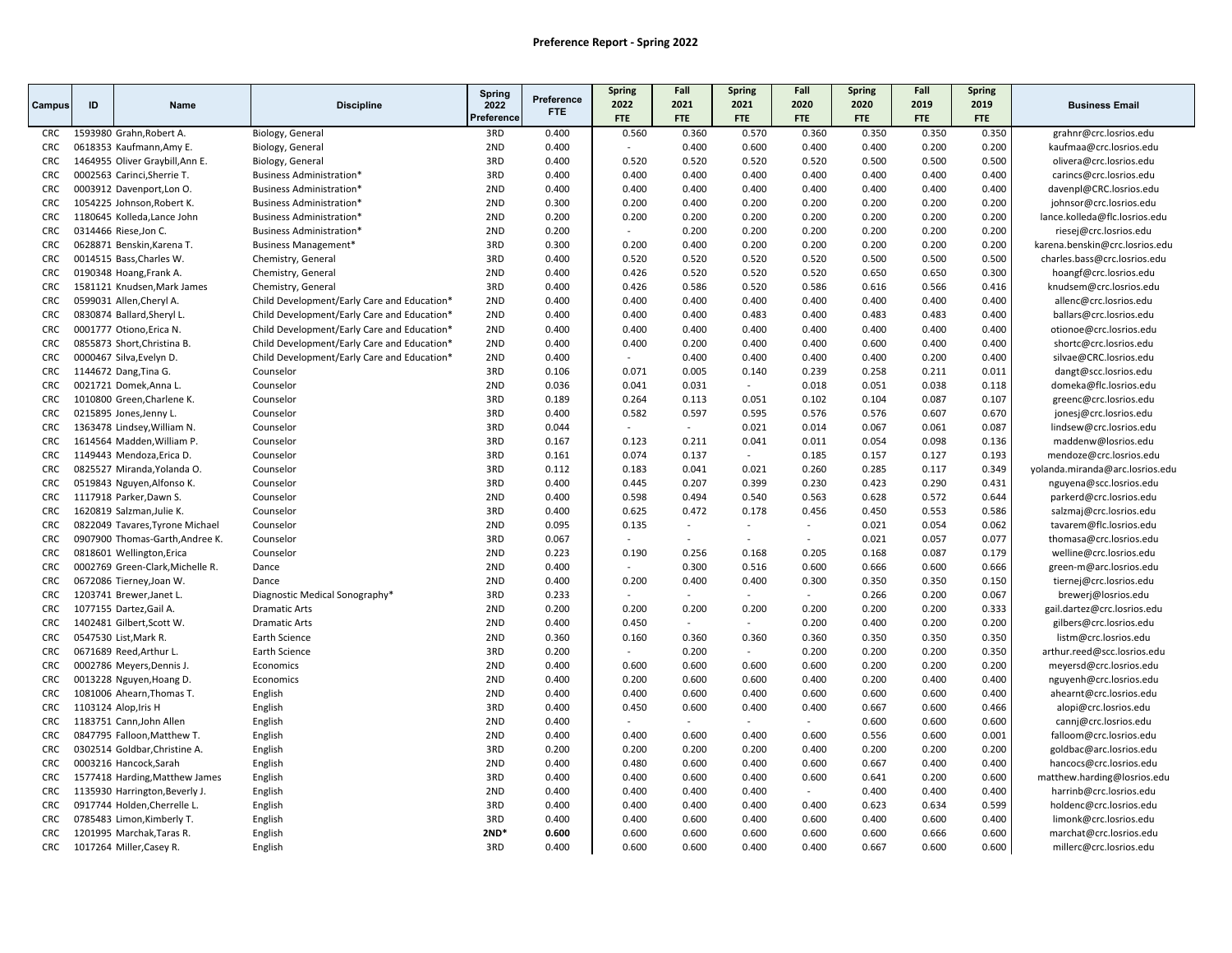|            |    |                                  |                                             | Spring     |                          | Spring                   | Fall       | Spring                   | Fall       | <b>Spring</b> | Fall  | Spring     |                                 |
|------------|----|----------------------------------|---------------------------------------------|------------|--------------------------|--------------------------|------------|--------------------------|------------|---------------|-------|------------|---------------------------------|
| Campus     | ID | <b>Name</b>                      | <b>Discipline</b>                           | 2022       | Preference<br><b>FTE</b> | 2022                     | 2021       | 2021                     | 2020       | 2020          | 2019  | 2019       | <b>Business Email</b>           |
|            |    |                                  |                                             | Preference |                          | <b>FTE</b>               | <b>FTE</b> | <b>FTE</b>               | <b>FTE</b> | FTE           | FTE   | <b>FTE</b> |                                 |
| <b>CRC</b> |    | 1593980 Grahn, Robert A.         | Biology, General                            | 3RD        | 0.400                    | 0.560                    | 0.360      | 0.570                    | 0.360      | 0.350         | 0.350 | 0.350      | grahnr@crc.losrios.edu          |
| <b>CRC</b> |    | 0618353 Kaufmann, Amy E.         | Biology, General                            | 2ND        | 0.400                    | $\overline{a}$           | 0.400      | 0.600                    | 0.400      | 0.400         | 0.200 | 0.200      | kaufmaa@crc.losrios.edu         |
| <b>CRC</b> |    | 1464955 Oliver Graybill, Ann E.  | Biology, General                            | 3RD        | 0.400                    | 0.520                    | 0.520      | 0.520                    | 0.520      | 0.500         | 0.500 | 0.500      | olivera@crc.losrios.edu         |
| <b>CRC</b> |    | 0002563 Carinci, Sherrie T.      | Business Administration*                    | 3RD        | 0.400                    | 0.400                    | 0.400      | 0.400                    | 0.400      | 0.400         | 0.400 | 0.400      | carincs@crc.losrios.edu         |
| CRC        |    | 0003912 Davenport, Lon O.        | <b>Business Administration*</b>             | 2ND        | 0.400                    | 0.400                    | 0.400      | 0.400                    | 0.400      | 0.400         | 0.400 | 0.400      | davenpl@CRC.losrios.edu         |
| <b>CRC</b> |    | 1054225 Johnson, Robert K.       | <b>Business Administration*</b>             | 2ND        | 0.300                    | 0.200                    | 0.400      | 0.200                    | 0.200      | 0.200         | 0.200 | 0.200      | johnsor@crc.losrios.edu         |
| <b>CRC</b> |    | 1180645 Kolleda, Lance John      | Business Administration*                    | 2ND        | 0.200                    | 0.200                    | 0.200      | 0.200                    | 0.200      | 0.200         | 0.200 | 0.200      | lance.kolleda@flc.losrios.edu   |
| <b>CRC</b> |    | 0314466 Riese, Jon C.            | Business Administration*                    | 2ND        | 0.200                    | ÷.                       | 0.200      | 0.200                    | 0.200      | 0.200         | 0.200 | 0.200      | riesej@crc.losrios.edu          |
| <b>CRC</b> |    | 0628871 Benskin, Karena T.       | Business Management*                        | 3RD        | 0.300                    | 0.200                    | 0.400      | 0.200                    | 0.200      | 0.200         | 0.200 | 0.200      | karena.benskin@crc.losrios.edu  |
| <b>CRC</b> |    | 0014515 Bass, Charles W.         | Chemistry, General                          | 3RD        | 0.400                    | 0.520                    | 0.520      | 0.520                    | 0.520      | 0.500         | 0.500 | 0.500      | charles.bass@crc.losrios.edu    |
| <b>CRC</b> |    | 0190348 Hoang, Frank A.          | Chemistry, General                          | 2ND        | 0.400                    | 0.426                    | 0.520      | 0.520                    | 0.520      | 0.650         | 0.650 | 0.300      | hoangf@crc.losrios.edu          |
| <b>CRC</b> |    | 1581121 Knudsen, Mark James      | Chemistry, General                          | 3RD        | 0.400                    | 0.426                    | 0.586      | 0.520                    | 0.586      | 0.616         | 0.566 | 0.416      | knudsem@crc.losrios.edu         |
| <b>CRC</b> |    | 0599031 Allen, Cheryl A.         | Child Development/Early Care and Education* | 2ND        | 0.400                    | 0.400                    | 0.400      | 0.400                    | 0.400      | 0.400         | 0.400 | 0.400      | allenc@crc.losrios.edu          |
| <b>CRC</b> |    | 0830874 Ballard, Sheryl L.       | Child Development/Early Care and Education* | 2ND        | 0.400                    | 0.400                    | 0.400      | 0.483                    | 0.400      | 0.483         | 0.483 | 0.400      | ballars@crc.losrios.edu         |
| CRC        |    | 0001777 Otiono, Erica N.         | Child Development/Early Care and Education* | 2ND        | 0.400                    | 0.400                    | 0.400      | 0.400                    | 0.400      | 0.400         | 0.400 | 0.400      | otionoe@crc.losrios.edu         |
| <b>CRC</b> |    | 0855873 Short, Christina B.      | Child Development/Early Care and Education* | 2ND        | 0.400                    | 0.400                    | 0.200      | 0.400                    | 0.400      | 0.600         | 0.400 | 0.400      | shortc@crc.losrios.edu          |
| <b>CRC</b> |    | 0000467 Silva, Evelyn D.         | Child Development/Early Care and Education* | 2ND        | 0.400                    | $\sim$                   | 0.400      | 0.400                    | 0.400      | 0.400         | 0.200 | 0.400      | silvae@CRC.losrios.edu          |
| <b>CRC</b> |    | 1144672 Dang, Tina G.            | Counselor                                   | 3RD        | 0.106                    | 0.071                    | 0.005      | 0.140                    | 0.239      | 0.258         | 0.211 | 0.011      | dangt@scc.losrios.edu           |
| <b>CRC</b> |    | 0021721 Domek, Anna L.           | Counselor                                   | 2ND        | 0.036                    | 0.041                    | 0.031      | $\sim$                   | 0.018      | 0.051         | 0.038 | 0.118      | domeka@flc.losrios.edu          |
| CRC        |    | 1010800 Green, Charlene K.       | Counselor                                   | 3RD        | 0.189                    | 0.264                    | 0.113      | 0.051                    | 0.102      | 0.104         | 0.087 | 0.107      | greenc@crc.losrios.edu          |
| <b>CRC</b> |    | 0215895 Jones, Jenny L.          | Counselor                                   | 3RD        | 0.400                    | 0.582                    | 0.597      | 0.595                    | 0.576      | 0.576         | 0.607 | 0.670      | jonesj@crc.losrios.edu          |
| <b>CRC</b> |    | 1363478 Lindsey, William N.      | Counselor                                   | 3RD        | 0.044                    | $\overline{\phantom{a}}$ | $\sim$     | 0.021                    | 0.014      | 0.067         | 0.061 | 0.087      | lindsew@crc.losrios.edu         |
| <b>CRC</b> |    | 1614564 Madden, William P.       | Counselor                                   | 3RD        | 0.167                    | 0.123                    | 0.211      | 0.041                    | 0.011      | 0.054         | 0.098 | 0.136      | maddenw@losrios.edu             |
| <b>CRC</b> |    | 1149443 Mendoza, Erica D.        | Counselor                                   | 3RD        | 0.161                    | 0.074                    | 0.137      | $\sim$                   | 0.185      | 0.157         | 0.127 | 0.193      | mendoze@crc.losrios.edu         |
| <b>CRC</b> |    | 0825527 Miranda, Yolanda O.      | Counselor                                   | 3RD        | 0.112                    | 0.183                    | 0.041      | 0.021                    | 0.260      | 0.285         | 0.117 | 0.349      | yolanda.miranda@arc.losrios.edu |
| <b>CRC</b> |    | 0519843 Nguyen, Alfonso K.       | Counselor                                   | 3RD        | 0.400                    | 0.445                    | 0.207      | 0.399                    | 0.230      | 0.423         | 0.290 | 0.431      | nguyena@scc.losrios.edu         |
| CRC        |    | 1117918 Parker, Dawn S.          | Counselor                                   | 2ND        | 0.400                    | 0.598                    | 0.494      | 0.540                    | 0.563      | 0.628         | 0.572 | 0.644      | parkerd@crc.losrios.edu         |
| <b>CRC</b> |    | 1620819 Salzman, Julie K.        | Counselor                                   | 3RD        | 0.400                    | 0.625                    | 0.472      | 0.178                    | 0.456      | 0.450         | 0.553 | 0.586      | salzmaj@crc.losrios.edu         |
| <b>CRC</b> |    | 0822049 Tavares, Tyrone Michael  | Counselor                                   | 2ND        | 0.095                    | 0.135                    | $\sim$     | $\sim$                   | $\sim$     | 0.021         | 0.054 | 0.062      | tavarem@flc.losrios.edu         |
| <b>CRC</b> |    | 0907900 Thomas-Garth, Andree K.  | Counselor                                   | 3RD        | 0.067                    | ÷,                       |            | $\overline{\phantom{a}}$ | $\sim$     | 0.021         | 0.057 | 0.077      | thomasa@crc.losrios.edu         |
| <b>CRC</b> |    | 0818601 Wellington, Erica        | Counselor                                   | 2ND        | 0.223                    | 0.190                    | 0.256      | 0.168                    | 0.205      | 0.168         | 0.087 | 0.179      | welline@crc.losrios.edu         |
| CRC        |    | 0002769 Green-Clark, Michelle R. | Dance                                       | 2ND        | 0.400                    |                          | 0.300      | 0.516                    | 0.600      | 0.666         | 0.600 | 0.666      | green-m@arc.losrios.edu         |
| CRC        |    | 0672086 Tierney, Joan W.         | Dance                                       | 2ND        | 0.400                    | 0.200                    | 0.400      | 0.400                    | 0.300      | 0.350         | 0.350 | 0.150      | tiernej@crc.losrios.edu         |
| <b>CRC</b> |    | 1203741 Brewer, Janet L.         | Diagnostic Medical Sonography*              | 3RD        | 0.233                    | $\overline{a}$           | $\sim$     | $\sim$                   | $\sim$     | 0.266         | 0.200 | 0.067      | brewerj@losrios.edu             |
| <b>CRC</b> |    | 1077155 Dartez, Gail A.          | <b>Dramatic Arts</b>                        | 2ND        | 0.200                    | 0.200                    | 0.200      | 0.200                    | 0.200      | 0.200         | 0.200 | 0.333      | gail.dartez@crc.losrios.edu     |
| <b>CRC</b> |    | 1402481 Gilbert, Scott W.        | <b>Dramatic Arts</b>                        | 2ND        | 0.400                    | 0.450                    | $\sim$     | $\sim$                   | 0.200      | 0.400         | 0.200 | 0.200      | gilbers@crc.losrios.edu         |
| <b>CRC</b> |    | 0547530 List, Mark R.            | Earth Science                               | 2ND        | 0.360                    | 0.160                    | 0.360      | 0.360                    | 0.360      | 0.350         | 0.350 | 0.350      | listm@crc.losrios.edu           |
| <b>CRC</b> |    | 0671689 Reed, Arthur L.          | Earth Science                               | 3RD        | 0.200                    |                          | 0.200      | $\sim$                   | 0.200      | 0.200         | 0.200 | 0.350      | arthur.reed@scc.losrios.edu     |
| CRC        |    | 0002786 Meyers, Dennis J.        | Economics                                   | 2ND        | 0.400                    | 0.600                    | 0.600      | 0.600                    | 0.600      | 0.200         | 0.200 | 0.200      | meyersd@crc.losrios.edu         |
| <b>CRC</b> |    | 0013228 Nguyen, Hoang D.         | Economics                                   | 2ND        | 0.400                    | 0.200                    | 0.600      | 0.600                    | 0.400      | 0.200         | 0.400 | 0.400      | nguyenh@crc.losrios.edu         |
| <b>CRC</b> |    | 1081006 Ahearn, Thomas T.        | English                                     | 2ND        | 0.400                    | 0.400                    | 0.600      | 0.400                    | 0.600      | 0.600         | 0.600 | 0.400      | ahearnt@crc.losrios.edu         |
| <b>CRC</b> |    | 1103124 Alop, Iris H             | English                                     | 3RD        | 0.400                    | 0.450                    | 0.600      | 0.400                    | 0.400      | 0.667         | 0.600 | 0.466      | alopi@crc.losrios.edu           |
| <b>CRC</b> |    | 1183751 Cann, John Allen         | English                                     | 2ND        | 0.400                    |                          |            |                          | $\sim$     | 0.600         | 0.600 | 0.600      | cannj@crc.losrios.edu           |
| <b>CRC</b> |    | 0847795 Falloon, Matthew T       | English                                     | 2ND        | 0.400                    | 0.400                    | 0.600      | 0.400                    | 0.600      | 0.556         | 0.600 | 0.001      | falloom@crc.losrios.edu         |
| <b>CRC</b> |    | 0302514 Goldbar, Christine A.    | English                                     | 3RD        | 0.200                    | 0.200                    | 0.200      | 0.200                    | 0.400      | 0.200         | 0.200 | 0.200      | goldbac@arc.losrios.edu         |
| <b>CRC</b> |    | 0003216 Hancock, Sarah           | English                                     | 2ND        | 0.400                    | 0.480                    | 0.600      | 0.400                    | 0.600      | 0.667         | 0.400 | 0.400      | hancocs@crc.losrios.edu         |
| <b>CRC</b> |    | 1577418 Harding, Matthew James   | English                                     | 3RD        | 0.400                    | 0.400                    | 0.600      | 0.400                    | 0.600      | 0.641         | 0.200 | 0.600      | matthew.harding@losrios.edu     |
| <b>CRC</b> |    | 1135930 Harrington, Beverly J.   | English                                     | 2ND        | 0.400                    | 0.400                    | 0.400      | 0.400                    | $\sim$     | 0.400         | 0.400 | 0.400      | harrinb@crc.losrios.edu         |
| CRC        |    | 0917744 Holden, Cherrelle L.     | English                                     | 3RD        | 0.400                    | 0.400                    | 0.400      | 0.400                    | 0.400      | 0.623         | 0.634 | 0.599      | holdenc@crc.losrios.edu         |
| <b>CRC</b> |    | 0785483 Limon, Kimberly T.       | English                                     | 3RD        | 0.400                    | 0.400                    | 0.600      | 0.400                    | 0.600      | 0.400         | 0.600 | 0.400      | limonk@crc.losrios.edu          |
| <b>CRC</b> |    | 1201995 Marchak, Taras R.        | English                                     | $2ND*$     | 0.600                    | 0.600                    | 0.600      | 0.600                    | 0.600      | 0.600         | 0.666 | 0.600      | marchat@crc.losrios.edu         |
| <b>CRC</b> |    | 1017264 Miller, Casey R.         | English                                     | 3RD        | 0.400                    | 0.600                    | 0.600      | 0.400                    | 0.400      | 0.667         | 0.600 | 0.600      | millerc@crc.losrios.edu         |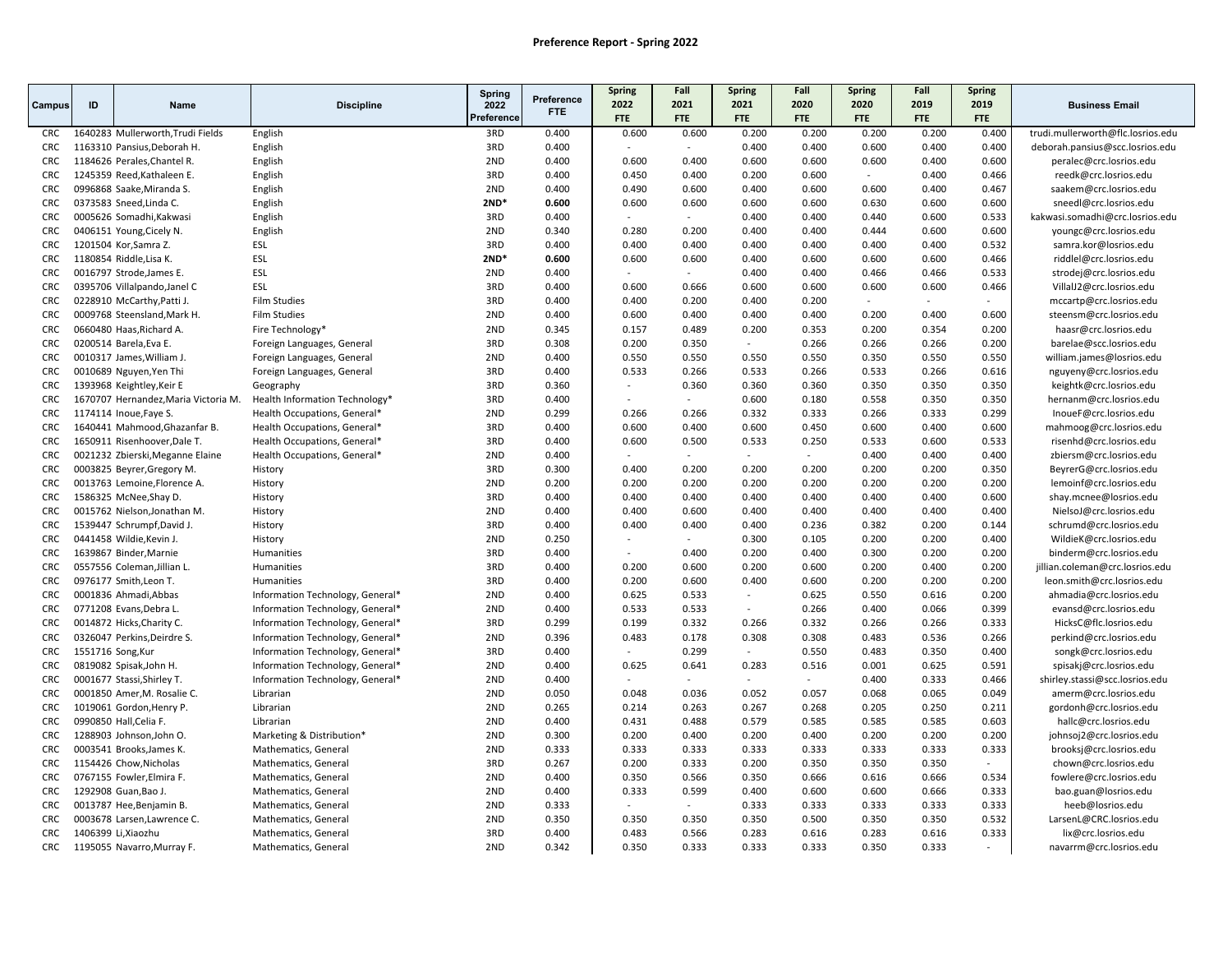|            |                    |                                      |                                  | Spring             | Preference | Spring<br>2022           | Fall<br>2021 | <b>Spring</b><br>2021 | Fall<br>2020 | <b>Spring</b><br>2020 | Fall<br>2019   | <b>Spring</b><br>2019 |                                   |
|------------|--------------------|--------------------------------------|----------------------------------|--------------------|------------|--------------------------|--------------|-----------------------|--------------|-----------------------|----------------|-----------------------|-----------------------------------|
| Campus     | ID                 | Name                                 | <b>Discipline</b>                | 2022<br>Preference | FTE.       | <b>FTE</b>               | <b>FTE</b>   | <b>FTE</b>            | <b>FTE</b>   | <b>FTE</b>            | <b>FTE</b>     | FTE                   | <b>Business Email</b>             |
| <b>CRC</b> |                    | 1640283 Mullerworth, Trudi Fields    | English                          | 3RD                | 0.400      | 0.600                    | 0.600        | 0.200                 | 0.200        | 0.200                 | 0.200          | 0.400                 | trudi.mullerworth@flc.losrios.edu |
| <b>CRC</b> |                    | 1163310 Pansius, Deborah H.          | English                          | 3RD                | 0.400      |                          | $\sim$       | 0.400                 | 0.400        | 0.600                 | 0.400          | 0.400                 | deborah.pansius@scc.losrios.edu   |
| <b>CRC</b> |                    | 1184626 Perales, Chantel R.          | English                          | 2ND                | 0.400      | 0.600                    | 0.400        | 0.600                 | 0.600        | 0.600                 | 0.400          | 0.600                 | peralec@crc.losrios.edu           |
| <b>CRC</b> |                    | 1245359 Reed, Kathaleen E.           | English                          | 3RD                | 0.400      | 0.450                    | 0.400        | 0.200                 | 0.600        |                       | 0.400          | 0.466                 | reedk@crc.losrios.edu             |
| CRC        |                    | 0996868 Saake, Miranda S.            | English                          | 2ND                | 0.400      | 0.490                    | 0.600        | 0.400                 | 0.600        | 0.600                 | 0.400          | 0.467                 | saakem@crc.losrios.edu            |
| <b>CRC</b> |                    | 0373583 Sneed, Linda C.              | English                          | $2ND*$             | 0.600      | 0.600                    | 0.600        | 0.600                 | 0.600        | 0.630                 | 0.600          | 0.600                 | sneedl@crc.losrios.edu            |
| <b>CRC</b> |                    | 0005626 Somadhi, Kakwasi             | English                          | 3RD                | 0.400      |                          | $\sim$       | 0.400                 | 0.400        | 0.440                 | 0.600          | 0.533                 | kakwasi.somadhi@crc.losrios.edu   |
| <b>CRC</b> |                    | 0406151 Young, Cicely N.             | English                          | 2ND                | 0.340      | 0.280                    | 0.200        | 0.400                 | 0.400        | 0.444                 | 0.600          | 0.600                 | youngc@crc.losrios.edu            |
| <b>CRC</b> |                    | 1201504 Kor, Samra Z.                | ESL                              | 3RD                | 0.400      | 0.400                    | 0.400        | 0.400                 | 0.400        | 0.400                 | 0.400          | 0.532                 | samra.kor@losrios.edu             |
| <b>CRC</b> |                    | 1180854 Riddle, Lisa K.              | ESL                              | $2ND*$             | 0.600      | 0.600                    | 0.600        | 0.400                 | 0.600        | 0.600                 | 0.600          | 0.466                 | riddlel@crc.losrios.edu           |
| <b>CRC</b> |                    | 0016797 Strode, James E.             | ESL                              | 2ND                | 0.400      |                          | $\sim$       | 0.400                 | 0.400        | 0.466                 | 0.466          | 0.533                 | strodej@crc.losrios.edu           |
| <b>CRC</b> |                    | 0395706 Villalpando, Janel C         | ESL                              | 3RD                | 0.400      | 0.600                    | 0.666        | 0.600                 | 0.600        | 0.600                 | 0.600          | 0.466                 | VillalJ2@crc.losrios.edu          |
| <b>CRC</b> |                    | 0228910 McCarthy, Patti J.           | <b>Film Studies</b>              | 3RD                | 0.400      | 0.400                    | 0.200        | 0.400                 | 0.200        | $\sim$                | $\blacksquare$ |                       | mccartp@crc.losrios.edu           |
| <b>CRC</b> |                    | 0009768 Steensland, Mark H.          | <b>Film Studies</b>              | 2ND                | 0.400      | 0.600                    | 0.400        | 0.400                 | 0.400        | 0.200                 | 0.400          | 0.600                 | steensm@crc.losrios.edu           |
| <b>CRC</b> |                    | 0660480 Haas, Richard A.             | Fire Technology*                 | 2ND                | 0.345      | 0.157                    | 0.489        | 0.200                 | 0.353        | 0.200                 | 0.354          | 0.200                 | haasr@crc.losrios.edu             |
| <b>CRC</b> |                    | 0200514 Barela, Eva E.               | Foreign Languages, General       | 3RD                | 0.308      | 0.200                    | 0.350        | $\sim$                | 0.266        | 0.266                 | 0.266          | 0.200                 | barelae@scc.losrios.edu           |
| <b>CRC</b> |                    | 0010317 James, William J.            | Foreign Languages, General       | 2ND                | 0.400      | 0.550                    | 0.550        | 0.550                 | 0.550        | 0.350                 | 0.550          | 0.550                 | william.james@losrios.edu         |
| <b>CRC</b> |                    | 0010689 Nguyen, Yen Thi              | Foreign Languages, General       | 3RD                | 0.400      | 0.533                    | 0.266        | 0.533                 | 0.266        | 0.533                 | 0.266          | 0.616                 | nguyeny@crc.losrios.edu           |
| <b>CRC</b> |                    | 1393968 Keightley, Keir E            | Geography                        | 3RD                | 0.360      | $\sim$                   | 0.360        | 0.360                 | 0.360        | 0.350                 | 0.350          | 0.350                 | keightk@crc.losrios.edu           |
| <b>CRC</b> |                    | 1670707 Hernandez, Maria Victoria M. | Health Information Technology*   | 3RD                | 0.400      | $\overline{\phantom{a}}$ | $\sim$       | 0.600                 | 0.180        | 0.558                 | 0.350          | 0.350                 | hernanm@crc.losrios.edu           |
| <b>CRC</b> |                    | 1174114 Inoue, Faye S.               | Health Occupations, General*     | 2ND                | 0.299      | 0.266                    | 0.266        | 0.332                 | 0.333        | 0.266                 | 0.333          | 0.299                 | InoueF@crc.losrios.edu            |
| <b>CRC</b> |                    | 1640441 Mahmood, Ghazanfar B.        | Health Occupations, General*     | 3RD                | 0.400      | 0.600                    | 0.400        | 0.600                 | 0.450        | 0.600                 | 0.400          | 0.600                 | mahmoog@crc.losrios.edu           |
| <b>CRC</b> |                    | 1650911 Risenhoover, Dale T.         | Health Occupations, General*     | 3RD                | 0.400      | 0.600                    | 0.500        | 0.533                 | 0.250        | 0.533                 | 0.600          | 0.533                 | risenhd@crc.losrios.edu           |
| <b>CRC</b> |                    | 0021232 Zbierski, Meganne Elaine     | Health Occupations, General*     | 2ND                | 0.400      |                          |              |                       |              | 0.400                 | 0.400          | 0.400                 | zbiersm@crc.losrios.edu           |
| <b>CRC</b> |                    | 0003825 Beyrer, Gregory M.           | History                          | 3RD                | 0.300      | 0.400                    | 0.200        | 0.200                 | 0.200        | 0.200                 | 0.200          | 0.350                 | BeyrerG@crc.losrios.edu           |
| <b>CRC</b> |                    | 0013763 Lemoine, Florence A.         | History                          | 2ND                | 0.200      | 0.200                    | 0.200        | 0.200                 | 0.200        | 0.200                 | 0.200          | 0.200                 | lemoinf@crc.losrios.edu           |
| <b>CRC</b> |                    | 1586325 McNee, Shay D.               | History                          | 3RD                | 0.400      | 0.400                    | 0.400        | 0.400                 | 0.400        | 0.400                 | 0.400          | 0.600                 | shay.mcnee@losrios.edu            |
| <b>CRC</b> |                    | 0015762 Nielson, Jonathan M.         | History                          | 2ND                | 0.400      | 0.400                    | 0.600        | 0.400                 | 0.400        | 0.400                 | 0.400          | 0.400                 | NielsoJ@crc.losrios.edu           |
| <b>CRC</b> |                    | 1539447 Schrumpf, David J.           | History                          | 3RD                | 0.400      | 0.400                    | 0.400        | 0.400                 | 0.236        | 0.382                 | 0.200          | 0.144                 | schrumd@crc.losrios.edu           |
| <b>CRC</b> |                    | 0441458 Wildie, Kevin J.             | History                          | 2ND                | 0.250      | $\overline{\phantom{a}}$ | $\sim$       | 0.300                 | 0.105        | 0.200                 | 0.200          | 0.400                 | WildieK@crc.losrios.edu           |
| <b>CRC</b> |                    | 1639867 Binder, Marnie               | Humanities                       | 3RD                | 0.400      |                          | 0.400        | 0.200                 | 0.400        | 0.300                 | 0.200          | 0.200                 | binderm@crc.losrios.edu           |
| <b>CRC</b> |                    | 0557556 Coleman, Jillian L.          | Humanities                       | 3RD                | 0.400      | 0.200                    | 0.600        | 0.200                 | 0.600        | 0.200                 | 0.400          | 0.200                 | jillian.coleman@crc.losrios.edu   |
| <b>CRC</b> |                    | 0976177 Smith, Leon T.               | Humanities                       | 3RD                | 0.400      | 0.200                    | 0.600        | 0.400                 | 0.600        | 0.200                 | 0.200          | 0.200                 | leon.smith@crc.losrios.edu        |
| <b>CRC</b> |                    | 0001836 Ahmadi, Abbas                | Information Technology, General* | 2ND                | 0.400      | 0.625                    | 0.533        | $\sim$                | 0.625        | 0.550                 | 0.616          | 0.200                 | ahmadia@crc.losrios.edu           |
| <b>CRC</b> |                    | 0771208 Evans, Debra L.              | Information Technology, General* | 2ND                | 0.400      | 0.533                    | 0.533        | $\sim$                | 0.266        | 0.400                 | 0.066          | 0.399                 | evansd@crc.losrios.edu            |
| <b>CRC</b> |                    | 0014872 Hicks, Charity C.            | Information Technology, General* | 3RD                | 0.299      | 0.199                    | 0.332        | 0.266                 | 0.332        | 0.266                 | 0.266          | 0.333                 | HicksC@flc.losrios.edu            |
| <b>CRC</b> |                    | 0326047 Perkins, Deirdre S.          | Information Technology, General* | 2ND                | 0.396      | 0.483                    | 0.178        | 0.308                 | 0.308        | 0.483                 | 0.536          | 0.266                 | perkind@crc.losrios.edu           |
| <b>CRC</b> | 1551716 Song, Kur  |                                      | Information Technology, General* | 3RD                | 0.400      |                          | 0.299        | $\sim$                | 0.550        | 0.483                 | 0.350          | 0.400                 | songk@crc.losrios.edu             |
| <b>CRC</b> |                    | 0819082 Spisak, John H.              | Information Technology, General* | 2ND                | 0.400      | 0.625                    | 0.641        | 0.283                 | 0.516        | 0.001                 | 0.625          | 0.591                 | spisakj@crc.losrios.edu           |
| <b>CRC</b> |                    | 0001677 Stassi, Shirley T.           | Information Technology, General* | 2ND                | 0.400      | $\overline{a}$           | $\sim$       | $\sim$                | $\sim$       | 0.400                 | 0.333          | 0.466                 | shirley.stassi@scc.losrios.edu    |
| <b>CRC</b> |                    | 0001850 Amer, M. Rosalie C.          | Librarian                        | 2ND                | 0.050      | 0.048                    | 0.036        | 0.052                 | 0.057        | 0.068                 | 0.065          | 0.049                 | amerm@crc.losrios.edu             |
| <b>CRC</b> |                    | 1019061 Gordon, Henry P.             | Librarian                        | 2ND                | 0.265      | 0.214                    | 0.263        | 0.267                 | 0.268        | 0.205                 | 0.250          | 0.211                 | gordonh@crc.losrios.edu           |
| <b>CRC</b> |                    | 0990850 Hall, Celia F.               | Librarian                        | 2ND                | 0.400      | 0.431                    | 0.488        | 0.579                 | 0.585        | 0.585                 | 0.585          | 0.603                 | hallc@crc.losrios.edu             |
| <b>CRC</b> |                    | 1288903 Johnson, John O.             | Marketing & Distribution*        | 2ND                | 0.300      | 0.200                    | 0.400        | 0.200                 | 0.400        | 0.200                 | 0.200          | 0.200                 | johnsoj2@crc.losrios.edu          |
| <b>CRC</b> |                    | 0003541 Brooks, James K.             | Mathematics, General             | 2ND                | 0.333      | 0.333                    | 0.333        | 0.333                 | 0.333        | 0.333                 | 0.333          | 0.333                 | brooksj@crc.losrios.edu           |
| <b>CRC</b> |                    | 1154426 Chow, Nicholas               | Mathematics, General             | 3RD                | 0.267      | 0.200                    | 0.333        | 0.200                 | 0.350        | 0.350                 | 0.350          | $\sim$                | chown@crc.losrios.edu             |
| <b>CRC</b> |                    | 0767155 Fowler, Elmira F.            | Mathematics, General             | 2ND                | 0.400      | 0.350                    | 0.566        | 0.350                 | 0.666        | 0.616                 | 0.666          | 0.534                 | fowlere@crc.losrios.edu           |
| <b>CRC</b> |                    | 1292908 Guan, Bao J.                 | Mathematics, General             | 2ND                | 0.400      | 0.333                    | 0.599        | 0.400                 | 0.600        | 0.600                 | 0.666          | 0.333                 | bao.guan@losrios.edu              |
| <b>CRC</b> |                    | 0013787 Hee, Benjamin B.             | Mathematics, General             | 2ND                | 0.333      |                          | $\sim$       | 0.333                 | 0.333        | 0.333                 | 0.333          | 0.333                 | heeb@losrios.edu                  |
| <b>CRC</b> |                    | 0003678 Larsen, Lawrence C.          | Mathematics, General             | 2ND                | 0.350      | 0.350                    | 0.350        | 0.350                 | 0.500        | 0.350                 | 0.350          | 0.532                 | LarsenL@CRC.losrios.edu           |
| <b>CRC</b> | 1406399 Li,Xiaozhu |                                      | Mathematics, General             | 3RD                | 0.400      | 0.483                    | 0.566        | 0.283                 | 0.616        | 0.283                 | 0.616          | 0.333                 | lix@crc.losrios.edu               |
| <b>CRC</b> |                    | 1195055 Navarro, Murray F.           | Mathematics, General             | 2ND                | 0.342      | 0.350                    | 0.333        | 0.333                 | 0.333        | 0.350                 | 0.333          |                       | navarrm@crc.losrios.edu           |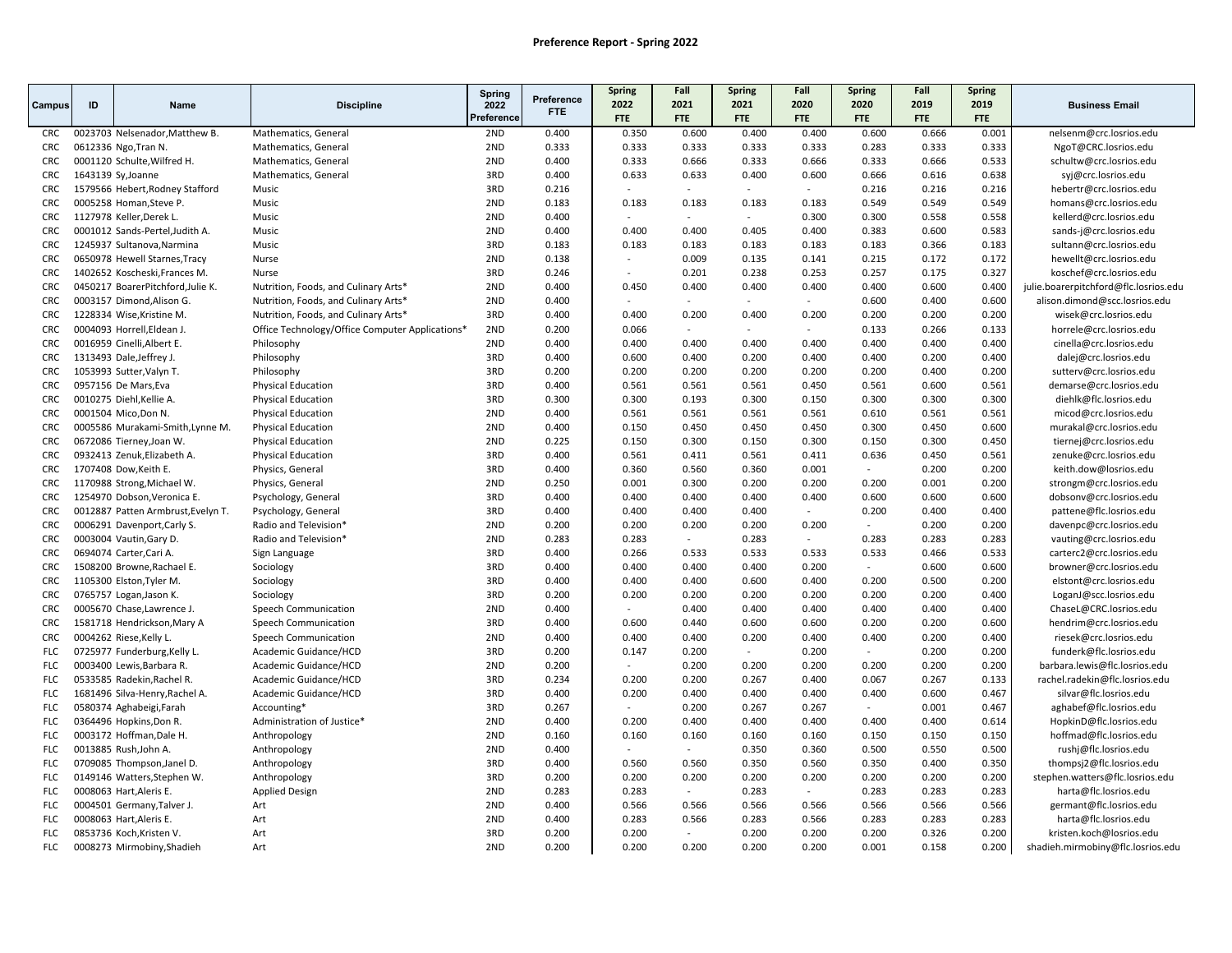|            |                    |                                    |                                                 | Spring     |                    | <b>Spring</b>            | Fall       | <b>Spring</b> | Fall       | <b>Spring</b> | Fall       | <b>Spring</b> |                                       |
|------------|--------------------|------------------------------------|-------------------------------------------------|------------|--------------------|--------------------------|------------|---------------|------------|---------------|------------|---------------|---------------------------------------|
| Campus     | ID                 | Name                               | <b>Discipline</b>                               | 2022       | Preference<br>FTE. | 2022                     | 2021       | 2021          | 2020       | 2020          | 2019       | 2019          | <b>Business Email</b>                 |
|            |                    |                                    |                                                 | Preference |                    | <b>FTE</b>               | <b>FTE</b> | <b>FTE</b>    | <b>FTE</b> | <b>FTE</b>    | <b>FTE</b> | <b>FTE</b>    |                                       |
| <b>CRC</b> |                    | 0023703 Nelsenador, Matthew B.     | Mathematics, General                            | 2ND        | 0.400              | 0.350                    | 0.600      | 0.400         | 0.400      | 0.600         | 0.666      | 0.001         | nelsenm@crc.losrios.edu               |
| <b>CRC</b> |                    | 0612336 Ngo, Tran N.               | Mathematics, General                            | 2ND        | 0.333              | 0.333                    | 0.333      | 0.333         | 0.333      | 0.283         | 0.333      | 0.333         | NgoT@CRC.losrios.edu                  |
| <b>CRC</b> |                    | 0001120 Schulte, Wilfred H.        | Mathematics, General                            | 2ND        | 0.400              | 0.333                    | 0.666      | 0.333         | 0.666      | 0.333         | 0.666      | 0.533         | schultw@crc.losrios.edu               |
| <b>CRC</b> | 1643139 Sy, Joanne |                                    | Mathematics, General                            | 3RD        | 0.400              | 0.633                    | 0.633      | 0.400         | 0.600      | 0.666         | 0.616      | 0.638         | svi@crc.losrios.edu                   |
| <b>CRC</b> |                    | 1579566 Hebert, Rodney Stafford    | Music                                           | 3RD        | 0.216              | $\overline{a}$           | $\sim$     | $\sim$        | $\sim$     | 0.216         | 0.216      | 0.216         | hebertr@crc.losrios.edu               |
| <b>CRC</b> |                    | 0005258 Homan, Steve P.            | Music                                           | 2ND        | 0.183              | 0.183                    | 0.183      | 0.183         | 0.183      | 0.549         | 0.549      | 0.549         | homans@crc.losrios.edu                |
| <b>CRC</b> |                    | 1127978 Keller, Derek L.           | Music                                           | 2ND        | 0.400              | $\sim$                   | $\sim$     | $\sim$        | 0.300      | 0.300         | 0.558      | 0.558         | kellerd@crc.losrios.edu               |
| <b>CRC</b> |                    | 0001012 Sands-Pertel, Judith A.    | Music                                           | 2ND        | 0.400              | 0.400                    | 0.400      | 0.405         | 0.400      | 0.383         | 0.600      | 0.583         | sands-j@crc.losrios.edu               |
| CRC        |                    | 1245937 Sultanova, Narmina         | Music                                           | 3RD        | 0.183              | 0.183                    | 0.183      | 0.183         | 0.183      | 0.183         | 0.366      | 0.183         | sultann@crc.losrios.edu               |
| <b>CRC</b> |                    | 0650978 Hewell Starnes, Tracy      | Nurse                                           | 2ND        | 0.138              | $\sim$                   | 0.009      | 0.135         | 0.141      | 0.215         | 0.172      | 0.172         | hewellt@crc.losrios.edu               |
| <b>CRC</b> |                    | 1402652 Koscheski, Frances M.      | Nurse                                           | 3RD        | 0.246              | $\overline{\phantom{a}}$ | 0.201      | 0.238         | 0.253      | 0.257         | 0.175      | 0.327         | koschef@crc.losrios.edu               |
| <b>CRC</b> |                    | 0450217 BoarerPitchford.Julie K.   | Nutrition, Foods, and Culinary Arts*            | 2ND        | 0.400              | 0.450                    | 0.400      | 0.400         | 0.400      | 0.400         | 0.600      | 0.400         | julie.boarerpitchford@flc.losrios.edu |
| <b>CRC</b> |                    | 0003157 Dimond, Alison G.          | Nutrition, Foods, and Culinary Arts*            | 2ND        | 0.400              | $\overline{a}$           | $\sim$     | $\sim$        | $\sim$     | 0.600         | 0.400      | 0.600         | alison.dimond@scc.losrios.edu         |
| <b>CRC</b> |                    | 1228334 Wise, Kristine M.          | Nutrition, Foods, and Culinary Arts*            | 3RD        | 0.400              | 0.400                    | 0.200      | 0.400         | 0.200      | 0.200         | 0.200      | 0.200         | wisek@crc.losrios.edu                 |
| <b>CRC</b> |                    | 0004093 Horrell, Eldean J.         | Office Technology/Office Computer Applications* | 2ND        | 0.200              | 0.066                    |            |               |            | 0.133         | 0.266      | 0.133         | horrele@crc.losrios.edu               |
| CRC        |                    | 0016959 Cinelli, Albert E.         | Philosophy                                      | 2ND        | 0.400              | 0.400                    | 0.400      | 0.400         | 0.400      | 0.400         | 0.400      | 0.400         | cinella@crc.losrios.edu               |
| <b>CRC</b> |                    | 1313493 Dale, Jeffrey J.           | Philosophy                                      | 3RD        | 0.400              | 0.600                    | 0.400      | 0.200         | 0.400      | 0.400         | 0.200      | 0.400         | dalej@crc.losrios.edu                 |
| <b>CRC</b> |                    | 1053993 Sutter, Valyn T.           | Philosophy                                      | 3RD        | 0.200              | 0.200                    | 0.200      | 0.200         | 0.200      | 0.200         | 0.400      | 0.200         | sutterv@crc.losrios.edu               |
| <b>CRC</b> |                    | 0957156 De Mars, Eva               | <b>Physical Education</b>                       | 3RD        | 0.400              | 0.561                    | 0.561      | 0.561         | 0.450      | 0.561         | 0.600      | 0.561         | demarse@crc.losrios.edu               |
| <b>CRC</b> |                    | 0010275 Diehl, Kellie A.           | <b>Physical Education</b>                       | 3RD        | 0.300              | 0.300                    | 0.193      | 0.300         | 0.150      | 0.300         | 0.300      | 0.300         | diehlk@flc.losrios.edu                |
| <b>CRC</b> |                    | 0001504 Mico, Don N.               | <b>Physical Education</b>                       | 2ND        | 0.400              | 0.561                    | 0.561      | 0.561         | 0.561      | 0.610         | 0.561      | 0.561         | micod@crc.losrios.edu                 |
| <b>CRC</b> |                    | 0005586 Murakami-Smith, Lynne M.   | <b>Physical Education</b>                       | 2ND        | 0.400              | 0.150                    | 0.450      | 0.450         | 0.450      | 0.300         | 0.450      | 0.600         | murakal@crc.losrios.edu               |
| CRC        |                    | 0672086 Tierney, Joan W.           | <b>Physical Education</b>                       | 2ND        | 0.225              | 0.150                    | 0.300      | 0.150         | 0.300      | 0.150         | 0.300      | 0.450         | tiernej@crc.losrios.edu               |
| <b>CRC</b> |                    | 0932413 Zenuk, Elizabeth A.        | <b>Physical Education</b>                       | 3RD        | 0.400              | 0.561                    | 0.411      | 0.561         | 0.411      | 0.636         | 0.450      | 0.561         | zenuke@crc.losrios.edu                |
| <b>CRC</b> |                    | 1707408 Dow, Keith E.              | Physics, General                                | 3RD        | 0.400              | 0.360                    | 0.560      | 0.360         | 0.001      | $\sim$        | 0.200      | 0.200         | keith.dow@losrios.edu                 |
| CRC        |                    | 1170988 Strong, Michael W.         | Physics, General                                | 2ND        | 0.250              | 0.001                    | 0.300      | 0.200         | 0.200      | 0.200         | 0.001      | 0.200         | strongm@crc.losrios.edu               |
| <b>CRC</b> |                    | 1254970 Dobson, Veronica E.        | Psychology, General                             | 3RD        | 0.400              | 0.400                    | 0.400      | 0.400         | 0.400      | 0.600         | 0.600      | 0.600         | dobsonv@crc.losrios.edu               |
| <b>CRC</b> |                    | 0012887 Patten Armbrust, Evelyn T. | Psychology, General                             | 3RD        | 0.400              | 0.400                    | 0.400      | 0.400         | $\sim$     | 0.200         | 0.400      | 0.400         | pattene@flc.losrios.edu               |
| CRC        |                    | 0006291 Davenport, Carly S.        | Radio and Television <sup>*</sup>               | 2ND        | 0.200              | 0.200                    | 0.200      | 0.200         | 0.200      |               | 0.200      | 0.200         | davenpc@crc.losrios.edu               |
| <b>CRC</b> |                    | 0003004 Vautin, Gary D.            | Radio and Television*                           | 2ND        | 0.283              | 0.283                    | $\sim$     | 0.283         | $\sim$     | 0.283         | 0.283      | 0.283         | vauting@crc.losrios.edu               |
| CRC        |                    | 0694074 Carter, Cari A.            | Sign Language                                   | 3RD        | 0.400              | 0.266                    | 0.533      | 0.533         | 0.533      | 0.533         | 0.466      | 0.533         | carterc2@crc.losrios.edu              |
| <b>CRC</b> |                    | 1508200 Browne, Rachael E.         | Sociology                                       | 3RD        | 0.400              | 0.400                    | 0.400      | 0.400         | 0.200      |               | 0.600      | 0.600         | browner@crc.losrios.edu               |
| <b>CRC</b> |                    | 1105300 Elston, Tyler M.           | Sociology                                       | 3RD        | 0.400              | 0.400                    | 0.400      | 0.600         | 0.400      | 0.200         | 0.500      | 0.200         | elstont@crc.losrios.edu               |
| <b>CRC</b> |                    | 0765757 Logan, Jason K.            | Sociology                                       | 3RD        | 0.200              | 0.200                    | 0.200      | 0.200         | 0.200      | 0.200         | 0.200      | 0.400         | LoganJ@scc.losrios.edu                |
| <b>CRC</b> |                    | 0005670 Chase, Lawrence J.         | Speech Communication                            | 2ND        | 0.400              |                          | 0.400      | 0.400         | 0.400      | 0.400         | 0.400      | 0.400         | ChaseL@CRC.losrios.edu                |
| <b>CRC</b> |                    | 1581718 Hendrickson, Mary A        | Speech Communication                            | 3RD        | 0.400              | 0.600                    | 0.440      | 0.600         | 0.600      | 0.200         | 0.200      | 0.600         | hendrim@crc.losrios.edu               |
| <b>CRC</b> |                    | 0004262 Riese, Kelly L.            | Speech Communication                            | 2ND        | 0.400              | 0.400                    | 0.400      | 0.200         | 0.400      | 0.400         | 0.200      | 0.400         | riesek@crc.losrios.edu                |
| <b>FLC</b> |                    | 0725977 Funderburg, Kelly L.       | Academic Guidance/HCD                           | 3RD        | 0.200              | 0.147                    | 0.200      | $\sim$        | 0.200      | $\sim$        | 0.200      | 0.200         | funderk@flc.losrios.edu               |
| <b>FLC</b> |                    | 0003400 Lewis, Barbara R.          | Academic Guidance/HCD                           | 2ND        | 0.200              | $\sim$                   | 0.200      | 0.200         | 0.200      | 0.200         | 0.200      | 0.200         | barbara.lewis@flc.losrios.edu         |
| <b>FLC</b> |                    | 0533585 Radekin, Rachel R.         | Academic Guidance/HCD                           | 3RD        | 0.234              | 0.200                    | 0.200      | 0.267         | 0.400      | 0.067         | 0.267      | 0.133         | rachel.radekin@flc.losrios.edu        |
| <b>FLC</b> |                    | 1681496 Silva-Henry Rachel A.      | Academic Guidance/HCD                           | 3RD        | 0.400              | 0.200                    | 0.400      | 0.400         | 0.400      | 0.400         | 0.600      | 0.467         | silvar@flc.losrios.edu                |
| <b>FLC</b> |                    | 0580374 Aghabeigi, Farah           | Accounting*                                     | 3RD        | 0.267              | $\sim$                   | 0.200      | 0.267         | 0.267      | $\sim$        | 0.001      | 0.467         | aghabef@flc.losrios.edu               |
| <b>FLC</b> |                    | 0364496 Hopkins, Don R.            | Administration of Justice*                      | 2ND        | 0.400              | 0.200                    | 0.400      | 0.400         | 0.400      | 0.400         | 0.400      | 0.614         | HopkinD@flc.losrios.edu               |
| <b>FLC</b> |                    | 0003172 Hoffman, Dale H.           | Anthropology                                    | 2ND        | 0.160              | 0.160                    | 0.160      | 0.160         | 0.160      | 0.150         | 0.150      | 0.150         | hoffmad@flc.losrios.edu               |
| <b>FLC</b> |                    | 0013885 Rush, John A.              | Anthropology                                    | 2ND        | 0.400              | $\overline{\phantom{a}}$ | $\sim$     | 0.350         | 0.360      | 0.500         | 0.550      | 0.500         | rushj@flc.losrios.edu                 |
| <b>FLC</b> |                    | 0709085 Thompson, Janel D.         | Anthropology                                    | 3RD        | 0.400              | 0.560                    | 0.560      | 0.350         | 0.560      | 0.350         | 0.400      | 0.350         | thompsj2@flc.losrios.edu              |
| <b>FLC</b> |                    | 0149146 Watters, Stephen W.        | Anthropology                                    | 3RD        | 0.200              | 0.200                    | 0.200      | 0.200         | 0.200      | 0.200         | 0.200      | 0.200         | stephen.watters@flc.losrios.edu       |
| <b>FLC</b> |                    | 0008063 Hart, Aleris E.            | <b>Applied Design</b>                           | 2ND        | 0.283              | 0.283                    | $\sim$     | 0.283         | $\sim$     | 0.283         | 0.283      | 0.283         | harta@flc.losrios.edu                 |
| <b>FLC</b> |                    | 0004501 Germany, Talver J.         | Art                                             | 2ND        | 0.400              | 0.566                    | 0.566      | 0.566         | 0.566      | 0.566         | 0.566      | 0.566         | germant@flc.losrios.edu               |
| <b>FLC</b> |                    | 0008063 Hart, Aleris E.            | Art                                             | 2ND        | 0.400              | 0.283                    | 0.566      | 0.283         | 0.566      | 0.283         | 0.283      | 0.283         | harta@flc.losrios.edu                 |
| <b>FLC</b> |                    | 0853736 Koch, Kristen V.           | Art                                             | 3RD        | 0.200              | 0.200                    | $\sim$     | 0.200         | 0.200      | 0.200         | 0.326      | 0.200         | kristen.koch@losrios.edu              |
| <b>FLC</b> |                    | 0008273 Mirmobiny, Shadieh         | Art                                             | 2ND        | 0.200              | 0.200                    | 0.200      | 0.200         | 0.200      | 0.001         | 0.158      | 0.200         | shadieh.mirmobiny@flc.losrios.edu     |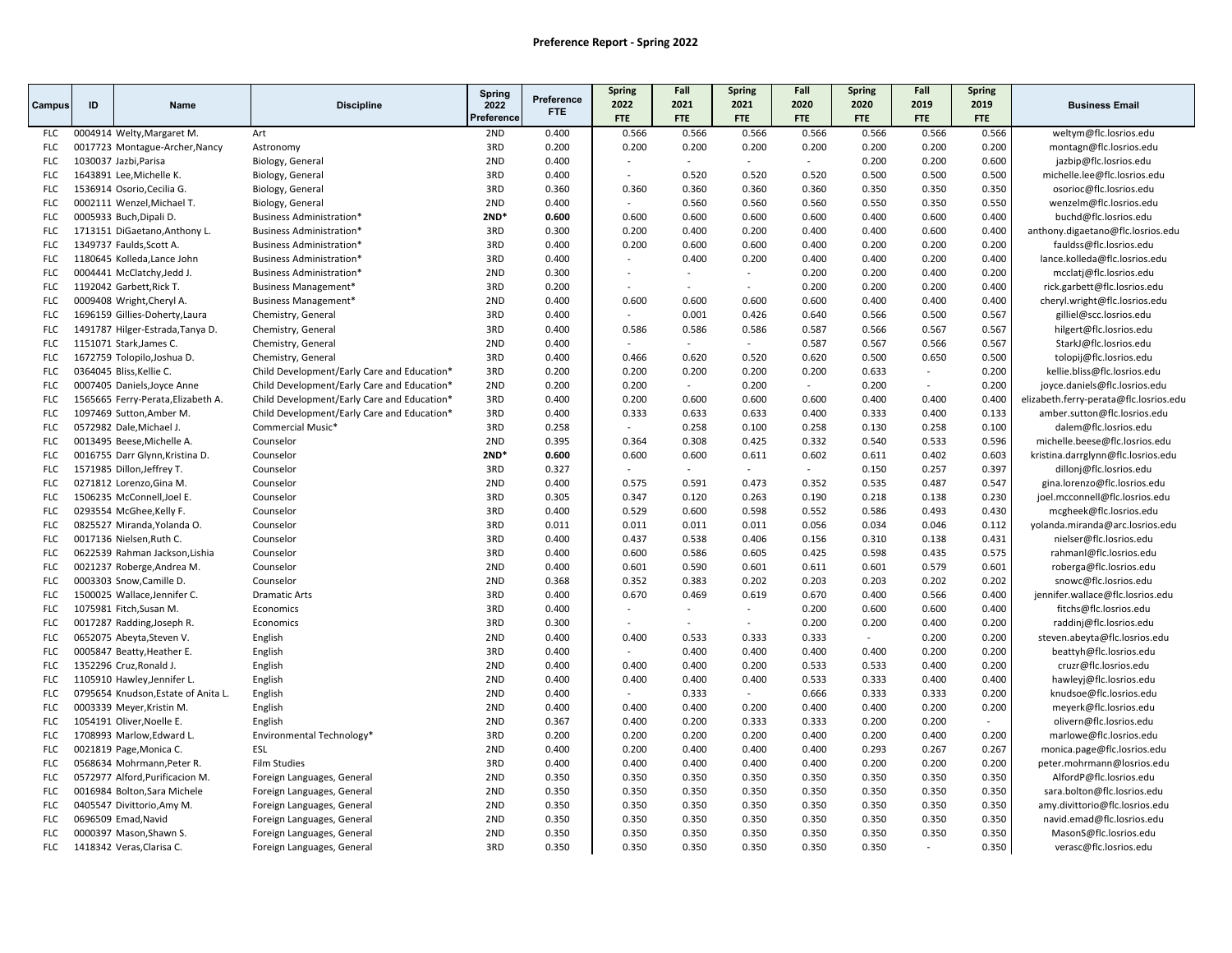|                          |    |                                                        |                                             | <b>Spring</b> |                          | <b>Spring</b>   | Fall            | Spring                   | Fall            | <b>Spring</b>  | Fall           | <b>Spring</b>  |                                                         |
|--------------------------|----|--------------------------------------------------------|---------------------------------------------|---------------|--------------------------|-----------------|-----------------|--------------------------|-----------------|----------------|----------------|----------------|---------------------------------------------------------|
| Campus                   | ID | Name                                                   | <b>Discipline</b>                           | 2022          | Preference<br><b>FTE</b> | 2022            | 2021            | 2021                     | 2020            | 2020           | 2019           | 2019           | <b>Business Email</b>                                   |
|                          |    |                                                        |                                             | Preferenc     |                          | <b>FTE</b>      | <b>FTE</b>      | <b>FTE</b>               | <b>FTE</b>      | FTE            | FTE            | FTE            |                                                         |
| <b>FLC</b>               |    | 0004914 Welty, Margaret M.                             | Art                                         | 2ND           | 0.400                    | 0.566           | 0.566           | 0.566                    | 0.566           | 0.566          | 0.566          | 0.566          | weltym@flc.losrios.edu                                  |
| <b>FLC</b>               |    | 0017723 Montague-Archer, Nancy                         | Astronomy                                   | 3RD           | 0.200                    | 0.200           | 0.200           | 0.200                    | 0.200           | 0.200          | 0.200          | 0.200          | montagn@flc.losrios.edu                                 |
| <b>FLC</b>               |    | 1030037 Jazbi, Parisa                                  | Biology, General                            | 2ND           | 0.400                    |                 | $\mathbf{r}$    | $\sim$                   | $\sim$          | 0.200          | 0.200          | 0.600          | jazbip@flc.losrios.edu                                  |
| <b>FLC</b>               |    | 1643891 Lee, Michelle K.                               | Biology, General                            | 3RD           | 0.400                    |                 | 0.520           | 0.520                    | 0.520           | 0.500          | 0.500          | 0.500          | michelle.lee@flc.losrios.edu                            |
| <b>FLC</b>               |    | 1536914 Osorio, Cecilia G.                             | Biology, General                            | 3RD           | 0.360                    | 0.360           | 0.360           | 0.360                    | 0.360           | 0.350          | 0.350          | 0.350          | osorioc@flc.losrios.edu                                 |
| <b>FLC</b>               |    | 0002111 Wenzel, Michael T.                             | Biology, General                            | 2ND           | 0.400                    | $\sim$          | 0.560           | 0.560                    | 0.560           | 0.550          | 0.350          | 0.550          | wenzelm@flc.losrios.edu                                 |
| <b>FLC</b>               |    | 0005933 Buch, Dipali D.                                | <b>Business Administration*</b>             | $2ND*$        | 0.600                    | 0.600           | 0.600           | 0.600                    | 0.600           | 0.400          | 0.600          | 0.400          | buchd@flc.losrios.edu                                   |
| <b>FLC</b>               |    | 1713151 DiGaetano, Anthony L.                          | Business Administration*                    | 3RD           | 0.300                    | 0.200           | 0.400           | 0.200                    | 0.400           | 0.400          | 0.600          | 0.400          | anthony.digaetano@flc.losrios.edu                       |
| <b>FLC</b>               |    | 1349737 Faulds, Scott A.                               | Business Administration*                    | 3RD           | 0.400                    | 0.200           | 0.600           | 0.600                    | 0.400           | 0.200          | 0.200          | 0.200          | fauldss@flc.losrios.edu                                 |
| <b>FLC</b>               |    | 1180645 Kolleda, Lance John                            | <b>Business Administration*</b>             | 3RD           | 0.400                    | $\sim$          | 0.400           | 0.200                    | 0.400           | 0.400          | 0.200          | 0.400          | lance.kolleda@flc.losrios.edu                           |
| <b>FLC</b>               |    | 0004441 McClatchy, Jedd J.                             | Business Administration*                    | 2ND           | 0.300                    |                 | $\sim$          | $\overline{\phantom{a}}$ | 0.200           | 0.200          | 0.400          | 0.200          | mcclatj@flc.losrios.edu                                 |
| <b>FLC</b>               |    | 1192042 Garbett, Rick T.                               | Business Management*                        | 3RD           | 0.200                    |                 | $\sim$          | $\sim$                   | 0.200           | 0.200          | 0.200          | 0.400          | rick.garbett@flc.losrios.edu                            |
| <b>FLC</b>               |    | 0009408 Wright, Cheryl A.                              | Business Management*                        | 2ND           | 0.400                    | 0.600           | 0.600           | 0.600                    | 0.600           | 0.400          | 0.400          | 0.400          | cheryl.wright@flc.losrios.edu                           |
| <b>FLC</b>               |    | 1696159 Gillies-Doherty, Laura                         | Chemistry, General                          | 3RD           | 0.400                    |                 | 0.001           | 0.426                    | 0.640           | 0.566          | 0.500          | 0.567          | gilliel@scc.losrios.edu                                 |
| <b>FLC</b>               |    | 1491787 Hilger-Estrada, Tanya D.                       | Chemistry, General                          | 3RD           | 0.400                    | 0.586           | 0.586           | 0.586                    | 0.587           | 0.566          | 0.567          | 0.567          | hilgert@flc.losrios.edu                                 |
| <b>FLC</b>               |    | 1151071 Stark, James C.                                | Chemistry, General                          | 2ND           | 0.400                    |                 | $\sim$          | $\sim$                   | 0.587           | 0.567          | 0.566          | 0.567          | StarkJ@flc.losrios.edu                                  |
| <b>FLC</b>               |    | 1672759 Tolopilo, Joshua D.                            | Chemistry, General                          | 3RD           | 0.400                    | 0.466           | 0.620           | 0.520                    | 0.620           | 0.500          | 0.650          | 0.500          | tolopij@flc.losrios.edu                                 |
| <b>FLC</b>               |    | 0364045 Bliss, Kellie C.                               | Child Development/Early Care and Education* | 3RD           | 0.200                    | 0.200           | 0.200           | 0.200                    | 0.200           | 0.633          |                | 0.200          | kellie.bliss@flc.losrios.edu                            |
| <b>FLC</b>               |    | 0007405 Daniels, Joyce Anne                            | Child Development/Early Care and Education* | 2ND           | 0.200                    | 0.200           | $\blacksquare$  | 0.200                    | $\sim$          | 0.200          | $\sim$         | 0.200          | joyce.daniels@flc.losrios.edu                           |
| <b>FLC</b>               |    | 1565665 Ferry-Perata, Elizabeth A.                     | Child Development/Early Care and Education* | 3RD           | 0.400                    | 0.200           | 0.600           | 0.600                    | 0.600           | 0.400          | 0.400          | 0.400          | elizabeth.ferry-perata@flc.losrios.edu                  |
| <b>FLC</b>               |    | 1097469 Sutton, Amber M.                               | Child Development/Early Care and Education* | 3RD<br>3RD    | 0.400                    | 0.333           | 0.633           | 0.633                    | 0.400           | 0.333          | 0.400          | 0.133          | amber.sutton@flc.losrios.edu                            |
| <b>FLC</b>               |    | 0572982 Dale, Michael J.                               | Commercial Music*                           | 2ND           | 0.258                    | $\sim$          | 0.258           | 0.100                    | 0.258           | 0.130          | 0.258          | 0.100          | dalem@flc.losrios.edu                                   |
| <b>FLC</b>               |    | 0013495 Beese, Michelle A.                             | Counselor                                   | $2ND*$        | 0.395                    | 0.364           | 0.308           | 0.425                    | 0.332           | 0.540          | 0.533          | 0.596          | michelle.beese@flc.losrios.edu                          |
| <b>FLC</b>               |    | 0016755 Darr Glynn, Kristina D.                        | Counselor                                   | 3RD           | 0.600<br>0.327           | 0.600<br>$\sim$ | 0.600<br>$\sim$ | 0.611<br>$\sim$          | 0.602<br>$\sim$ | 0.611<br>0.150 | 0.402<br>0.257 | 0.603<br>0.397 | kristina.darrglynn@flc.losrios.edu                      |
| <b>FLC</b><br><b>FLC</b> |    | 1571985 Dillon, Jeffrey T.<br>0271812 Lorenzo, Gina M. | Counselor<br>Counselor                      | 2ND           | 0.400                    | 0.575           | 0.591           | 0.473                    | 0.352           | 0.535          | 0.487          | 0.547          | dillonj@flc.losrios.edu<br>gina.lorenzo@flc.losrios.edu |
| <b>FLC</b>               |    | 1506235 McConnell, Joel E.                             | Counselor                                   | 3RD           | 0.305                    | 0.347           | 0.120           | 0.263                    | 0.190           | 0.218          | 0.138          | 0.230          | joel.mcconnell@flc.losrios.edu                          |
| <b>FLC</b>               |    | 0293554 McGhee,Kelly F.                                | Counselor                                   | 3RD           | 0.400                    | 0.529           | 0.600           | 0.598                    | 0.552           | 0.586          | 0.493          | 0.430          | mcgheek@flc.losrios.edu                                 |
| <b>FLC</b>               |    | 0825527 Miranda, Yolanda O.                            | Counselor                                   | 3RD           | 0.011                    | 0.011           | 0.011           | 0.011                    | 0.056           | 0.034          | 0.046          | 0.112          | yolanda.miranda@arc.losrios.edu                         |
| <b>FLC</b>               |    | 0017136 Nielsen, Ruth C.                               | Counselor                                   | 3RD           | 0.400                    | 0.437           | 0.538           | 0.406                    | 0.156           | 0.310          | 0.138          | 0.431          | nielser@flc.losrios.edu                                 |
| <b>FLC</b>               |    | 0622539 Rahman Jackson, Lishia                         | Counselor                                   | 3RD           | 0.400                    | 0.600           | 0.586           | 0.605                    | 0.425           | 0.598          | 0.435          | 0.575          | rahmanl@flc.losrios.edu                                 |
| <b>FLC</b>               |    | 0021237 Roberge, Andrea M.                             | Counselor                                   | 2ND           | 0.400                    | 0.601           | 0.590           | 0.601                    | 0.611           | 0.601          | 0.579          | 0.601          | roberga@flc.losrios.edu                                 |
| <b>FLC</b>               |    | 0003303 Snow, Camille D.                               | Counselor                                   | 2ND           | 0.368                    | 0.352           | 0.383           | 0.202                    | 0.203           | 0.203          | 0.202          | 0.202          | snowc@flc.losrios.edu                                   |
| <b>FLC</b>               |    | 1500025 Wallace, Jennifer C.                           | <b>Dramatic Arts</b>                        | 3RD           | 0.400                    | 0.670           | 0.469           | 0.619                    | 0.670           | 0.400          | 0.566          | 0.400          | jennifer.wallace@flc.losrios.edu                        |
| <b>FLC</b>               |    | 1075981 Fitch, Susan M.                                | Economics                                   | 3RD           | 0.400                    |                 |                 | $\sim$                   | 0.200           | 0.600          | 0.600          | 0.400          | fitchs@flc.losrios.edu                                  |
| <b>FLC</b>               |    | 0017287 Radding, Joseph R.                             | Economics                                   | 3RD           | 0.300                    |                 |                 | $\overline{\phantom{a}}$ | 0.200           | 0.200          | 0.400          | 0.200          | raddinj@flc.losrios.edu                                 |
| <b>FLC</b>               |    | 0652075 Abeyta, Steven V.                              | English                                     | 2ND           | 0.400                    | 0.400           | 0.533           | 0.333                    | 0.333           | $\sim$         | 0.200          | 0.200          | steven.abeyta@flc.losrios.edu                           |
| <b>FLC</b>               |    | 0005847 Beatty, Heather E.                             | English                                     | 3RD           | 0.400                    |                 | 0.400           | 0.400                    | 0.400           | 0.400          | 0.200          | 0.200          | beattyh@flc.losrios.edu                                 |
| <b>FLC</b>               |    | 1352296 Cruz, Ronald J.                                | English                                     | 2ND           | 0.400                    | 0.400           | 0.400           | 0.200                    | 0.533           | 0.533          | 0.400          | 0.200          | cruzr@flc.losrios.edu                                   |
| <b>FLC</b>               |    | 1105910 Hawley, Jennifer L.                            | English                                     | 2ND           | 0.400                    | 0.400           | 0.400           | 0.400                    | 0.533           | 0.333          | 0.400          | 0.400          | hawleyj@flc.losrios.edu                                 |
| <b>FLC</b>               |    | 0795654 Knudson, Estate of Anita L.                    | English                                     | 2ND           | 0.400                    |                 | 0.333           |                          | 0.666           | 0.333          | 0.333          | 0.200          | knudsoe@flc.losrios.edu                                 |
| <b>FLC</b>               |    | 0003339 Meyer, Kristin M.                              | English                                     | 2ND           | 0.400                    | 0.400           | 0.400           | 0.200                    | 0.400           | 0.400          | 0.200          | 0.200          | meyerk@flc.losrios.edu                                  |
| <b>FLC</b>               |    | 1054191 Oliver, Noelle E.                              | English                                     | 2ND           | 0.367                    | 0.400           | 0.200           | 0.333                    | 0.333           | 0.200          | 0.200          | $\sim$         | olivern@flc.losrios.edu                                 |
| <b>FLC</b>               |    | 1708993 Marlow, Edward L.                              | Environmental Technology*                   | 3RD           | 0.200                    | 0.200           | 0.200           | 0.200                    | 0.400           | 0.200          | 0.400          | 0.200          | marlowe@flc.losrios.edu                                 |
| <b>FLC</b>               |    | 0021819 Page, Monica C.                                | ESL                                         | 2ND           | 0.400                    | 0.200           | 0.400           | 0.400                    | 0.400           | 0.293          | 0.267          | 0.267          | monica.page@flc.losrios.edu                             |
| <b>FLC</b>               |    | 0568634 Mohrmann, Peter R.                             | <b>Film Studies</b>                         | 3RD           | 0.400                    | 0.400           | 0.400           | 0.400                    | 0.400           | 0.200          | 0.200          | 0.200          | peter.mohrmann@losrios.edu                              |
| <b>FLC</b>               |    | 0572977 Alford, Purificacion M.                        | Foreign Languages, General                  | 2ND           | 0.350                    | 0.350           | 0.350           | 0.350                    | 0.350           | 0.350          | 0.350          | 0.350          | AlfordP@flc.losrios.edu                                 |
| <b>FLC</b>               |    | 0016984 Bolton, Sara Michele                           | Foreign Languages, General                  | 2ND           | 0.350                    | 0.350           | 0.350           | 0.350                    | 0.350           | 0.350          | 0.350          | 0.350          | sara.bolton@flc.losrios.edu                             |
| <b>FLC</b>               |    | 0405547 Divittorio, Amy M.                             | Foreign Languages, General                  | 2ND           | 0.350                    | 0.350           | 0.350           | 0.350                    | 0.350           | 0.350          | 0.350          | 0.350          | amy.divittorio@flc.losrios.edu                          |
| <b>FLC</b>               |    | 0696509 Emad, Navid                                    | Foreign Languages, General                  | 2ND           | 0.350                    | 0.350           | 0.350           | 0.350                    | 0.350           | 0.350          | 0.350          | 0.350          | navid.emad@flc.losrios.edu                              |
| <b>FLC</b>               |    | 0000397 Mason, Shawn S.                                | Foreign Languages, General                  | 2ND           | 0.350                    | 0.350           | 0.350           | 0.350                    | 0.350           | 0.350          | 0.350          | 0.350          | MasonS@flc.losrios.edu                                  |
| <b>FLC</b>               |    | 1418342 Veras, Clarisa C.                              | Foreign Languages, General                  | 3RD           | 0.350                    | 0.350           | 0.350           | 0.350                    | 0.350           | 0.350          | $\sim$         | 0.350          | verasc@flc.losrios.edu                                  |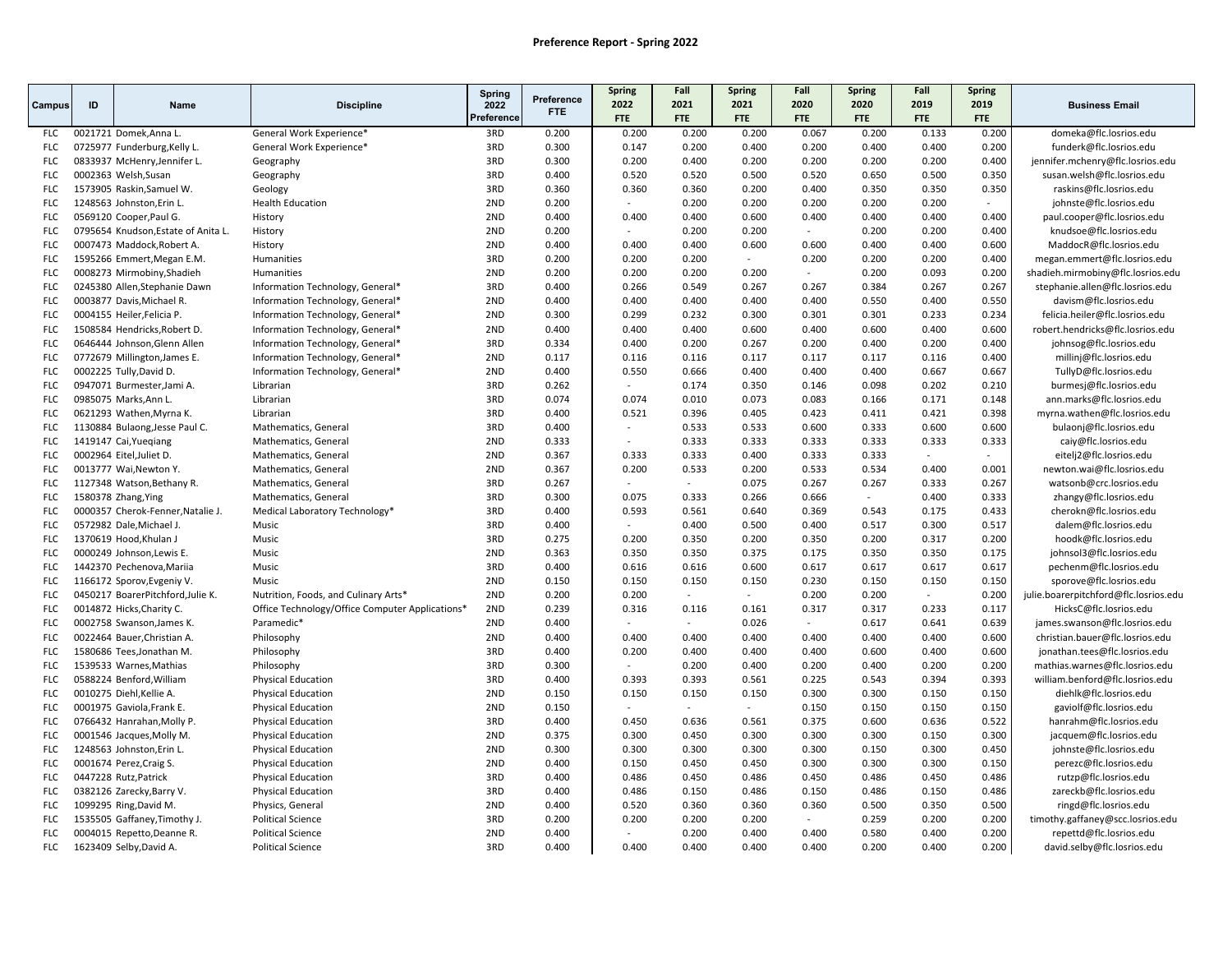|                          |    |                                                      |                                                        | Spring     |                    | Spring                            | Fall            | Spring          | Fall           | <b>Spring</b>  | Fall           | Spring         |                                                   |
|--------------------------|----|------------------------------------------------------|--------------------------------------------------------|------------|--------------------|-----------------------------------|-----------------|-----------------|----------------|----------------|----------------|----------------|---------------------------------------------------|
| Campus                   | ID | Name                                                 | <b>Discipline</b>                                      | 2022       | Preference<br>FTE. | 2022                              | 2021            | 2021            | 2020           | 2020           | 2019           | 2019           | <b>Business Email</b>                             |
|                          |    |                                                      |                                                        | Preference |                    | <b>FTE</b>                        | <b>FTE</b>      | <b>FTE</b>      | <b>FTE</b>     | <b>FTE</b>     | FTE            | FTE            |                                                   |
| FLC                      |    | 0021721 Domek, Anna L.                               | General Work Experience*                               | 3RD        | 0.200              | 0.200                             | 0.200           | 0.200           | 0.067          | 0.200          | 0.133          | 0.200          | domeka@flc.losrios.edu                            |
| <b>FLC</b>               |    | 0725977 Funderburg, Kelly L.                         | General Work Experience*                               | 3RD        | 0.300              | 0.147                             | 0.200           | 0.400           | 0.200          | 0.400          | 0.400          | 0.200          | funderk@flc.losrios.edu                           |
| <b>FLC</b>               |    | 0833937 McHenry, Jennifer L.                         | Geography                                              | 3RD        | 0.300              | 0.200                             | 0.400           | 0.200           | 0.200          | 0.200          | 0.200          | 0.400          | jennifer.mchenry@flc.losrios.edu                  |
| <b>FLC</b>               |    | 0002363 Welsh, Susan                                 | Geography                                              | 3RD        | 0.400              | 0.520                             | 0.520           | 0.500           | 0.520          | 0.650          | 0.500          | 0.350          | susan.welsh@flc.losrios.edu                       |
| <b>FLC</b>               |    | 1573905 Raskin, Samuel W.                            | Geology                                                | 3RD        | 0.360              | 0.360                             | 0.360           | 0.200           | 0.400          | 0.350          | 0.350          | 0.350          | raskins@flc.losrios.edu                           |
| <b>FLC</b>               |    | 1248563 Johnston, Erin L.                            | <b>Health Education</b>                                | 2ND        | 0.200              |                                   | 0.200           | 0.200           | 0.200          | 0.200          | 0.200          | $\sim$         | johnste@flc.losrios.edu                           |
| <b>FLC</b>               |    | 0569120 Cooper, Paul G.                              | History                                                | 2ND        | 0.400              | 0.400                             | 0.400           | 0.600           | 0.400          | 0.400          | 0.400          | 0.400          | paul.cooper@flc.losrios.edu                       |
| <b>FLC</b>               |    | 0795654 Knudson, Estate of Anita L.                  | History                                                | 2ND        | 0.200              |                                   | 0.200           | 0.200           | $\sim$         | 0.200          | 0.200          | 0.400          | knudsoe@flc.losrios.edu                           |
| <b>FLC</b>               |    | 0007473 Maddock, Robert A.                           | History                                                | 2ND        | 0.400              | 0.400                             | 0.400           | 0.600           | 0.600          | 0.400          | 0.400          | 0.600          | MaddocR@flc.losrios.edu                           |
| <b>FLC</b>               |    | 1595266 Emmert, Megan E.M.                           | Humanities                                             | 3RD        | 0.200              | 0.200                             | 0.200           | $\sim$          | 0.200          | 0.200          | 0.200          | 0.400          | megan.emmert@flc.losrios.edu                      |
| <b>FLC</b>               |    | 0008273 Mirmobiny, Shadieh                           | Humanities                                             | 2ND        | 0.200              | 0.200                             | 0.200           | 0.200           | $\sim$         | 0.200          | 0.093          | 0.200          | shadieh.mirmobiny@flc.losrios.edu                 |
| <b>FLC</b>               |    | 0245380 Allen, Stephanie Dawn                        | Information Technology, General*                       | 3RD        | 0.400              | 0.266                             | 0.549           | 0.267           | 0.267          | 0.384          | 0.267          | 0.267          | stephanie.allen@flc.losrios.edu                   |
| <b>FLC</b>               |    | 0003877 Davis, Michael R.                            | Information Technology, General*                       | 2ND        | 0.400              | 0.400                             | 0.400           | 0.400           | 0.400          | 0.550          | 0.400          | 0.550          | davism@flc.losrios.edu                            |
| <b>FLC</b>               |    | 0004155 Heiler, Felicia P.                           | Information Technology, General*                       | 2ND        | 0.300              | 0.299                             | 0.232           | 0.300           | 0.301          | 0.301          | 0.233          | 0.234          | felicia.heiler@flc.losrios.edu                    |
| <b>FLC</b>               |    | 1508584 Hendricks, Robert D.                         | Information Technology, General*                       | 2ND        | 0.400              | 0.400                             | 0.400           | 0.600           | 0.400          | 0.600          | 0.400          | 0.600          | robert.hendricks@flc.losrios.edu                  |
| <b>FLC</b>               |    | 0646444 Johnson, Glenn Allen                         | Information Technology, General*                       | 3RD        | 0.334              | 0.400                             | 0.200           | 0.267           | 0.200          | 0.400          | 0.200          | 0.400          | johnsog@flc.losrios.edu                           |
| <b>FLC</b>               |    | 0772679 Millington, James E.                         | Information Technology, General*                       | 2ND        | 0.117              | 0.116                             | 0.116           | 0.117           | 0.117          | 0.117          | 0.116          | 0.400          | millinj@flc.losrios.edu                           |
| <b>FLC</b>               |    | 0002225 Tully, David D.                              | Information Technology, General*                       | 2ND        | 0.400              | 0.550                             | 0.666           | 0.400           | 0.400          | 0.400          | 0.667          | 0.667          | TullyD@flc.losrios.edu                            |
| <b>FLC</b>               |    | 0947071 Burmester, Jami A.                           | Librarian                                              | 3RD        | 0.262              | $\sim$                            | 0.174           | 0.350           | 0.146          | 0.098          | 0.202          | 0.210          | burmesj@flc.losrios.edu                           |
| <b>FLC</b>               |    | 0985075 Marks, Ann L.                                | Librarian                                              | 3RD        | 0.074              | 0.074                             | 0.010           | 0.073           | 0.083          | 0.166          | 0.171          | 0.148          | ann.marks@flc.losrios.edu                         |
| <b>FLC</b>               |    | 0621293 Wathen, Myrna K.                             | Librarian                                              | 3RD        | 0.400              | 0.521                             | 0.396           | 0.405           | 0.423          | 0.411          | 0.421          | 0.398          | myrna.wathen@flc.losrios.edu                      |
| <b>FLC</b>               |    | 1130884 Bulaong, Jesse Paul C.                       | Mathematics, General                                   | 3RD        | 0.400              | $\overline{\phantom{a}}$          | 0.533           | 0.533           | 0.600          | 0.333          | 0.600          | 0.600          | bulaonj@flc.losrios.edu                           |
| <b>FLC</b>               |    | 1419147 Cai, Yueqiang                                | Mathematics, General                                   | 2ND        | 0.333              | $\sim$                            | 0.333           | 0.333           | 0.333          | 0.333          | 0.333          | 0.333          | caiy@flc.losrios.edu                              |
| <b>FLC</b>               |    | 0002964 Eitel, Juliet D.                             | Mathematics, General                                   | 2ND        | 0.367              | 0.333                             | 0.333           | 0.400           | 0.333          | 0.333          | $\sim$         |                | eitelj2@flc.losrios.edu                           |
| <b>FLC</b>               |    | 0013777 Wai, Newton Y.                               | Mathematics, General                                   | 2ND        | 0.367              | 0.200                             | 0.533           | 0.200           | 0.533          | 0.534          | 0.400          | 0.001          | newton.wai@flc.losrios.edu                        |
| <b>FLC</b>               |    | 1127348 Watson, Bethany R.                           | Mathematics, General                                   | 3RD        | 0.267              | $\overline{a}$                    | $\sim$          | 0.075           | 0.267          | 0.267          | 0.333          | 0.267          | watsonb@crc.losrios.edu                           |
| <b>FLC</b>               |    | 1580378 Zhang, Ying                                  | Mathematics, General                                   | 3RD        | 0.300              | 0.075                             | 0.333           | 0.266           | 0.666          | $\sim$         | 0.400          | 0.333          | zhangy@flc.losrios.edu                            |
| <b>FLC</b>               |    | 0000357 Cherok-Fenner, Natalie J.                    | Medical Laboratory Technology*                         | 3RD        | 0.400              | 0.593                             | 0.561           | 0.640           | 0.369          | 0.543          | 0.175          | 0.433          | cherokn@flc.losrios.edu                           |
| <b>FLC</b>               |    | 0572982 Dale, Michael J.                             | Music                                                  | 3RD        | 0.400              |                                   | 0.400           | 0.500           | 0.400          | 0.517          | 0.300          | 0.517          | dalem@flc.losrios.edu                             |
| <b>FLC</b>               |    | 1370619 Hood, Khulan J                               | Music                                                  | 3RD        | 0.275              | 0.200                             | 0.350           | 0.200           | 0.350          | 0.200          | 0.317          | 0.200          | hoodk@flc.losrios.edu                             |
| <b>FLC</b>               |    | 0000249 Johnson, Lewis E.                            | Music                                                  | 2ND        | 0.363              | 0.350                             | 0.350           | 0.375           | 0.175          | 0.350          | 0.350          | 0.175          | johnsol3@flc.losrios.edu                          |
| <b>FLC</b>               |    | 1442370 Pechenova, Mariia                            | Music                                                  | 3RD        | 0.400              | 0.616                             | 0.616           | 0.600           | 0.617          | 0.617          | 0.617          | 0.617          | pechenm@flc.losrios.edu                           |
| <b>FLC</b>               |    | 1166172 Sporov, Evgeniy V.                           | Music                                                  | 2ND        | 0.150              | 0.150                             | 0.150           | 0.150           | 0.230          | 0.150          | 0.150          | 0.150          | sporove@flc.losrios.edu                           |
| <b>FLC</b>               |    | 0450217 BoarerPitchford, Julie K.                    | Nutrition, Foods, and Culinary Arts*                   | 2ND        | 0.200              | 0.200                             | $\sim$          | $\sim$          | 0.200          | 0.200          | $\sim$         | 0.200          | julie.boarerpitchford@flc.losrios.edu             |
| <b>FLC</b>               |    | 0014872 Hicks, Charity C.                            | Office Technology/Office Computer Applications*        | 2ND        | 0.239              | 0.316                             | 0.116           | 0.161           | 0.317          | 0.317          | 0.233          | 0.117          | HicksC@flc.losrios.edu                            |
| <b>FLC</b>               |    | 0002758 Swanson, James K.                            | Paramedic*                                             | 2ND        | 0.400              | $\overline{\phantom{a}}$          | $\sim$          | 0.026           | $\sim$         | 0.617          | 0.641          | 0.639          | james.swanson@flc.losrios.edu                     |
| <b>FLC</b>               |    | 0022464 Bauer, Christian A.                          | Philosophy                                             | 2ND        | 0.400              | 0.400                             | 0.400           | 0.400           | 0.400          | 0.400          | 0.400          | 0.600          | christian.bauer@flc.losrios.edu                   |
| <b>FLC</b>               |    | 1580686 Tees, Jonathan M.                            | Philosophy                                             | 3RD        | 0.400              | 0.200                             | 0.400           | 0.400           | 0.400          | 0.600          | 0.400          | 0.600          | jonathan.tees@flc.losrios.edu                     |
| <b>FLC</b><br><b>FLC</b> |    | 1539533 Warnes, Mathias                              | Philosophy                                             | 3RD<br>3RD | 0.300              | $\overline{\phantom{a}}$<br>0.393 | 0.200<br>0.393  | 0.400           | 0.200          | 0.400          | 0.200          | 0.200          | mathias.warnes@flc.losrios.edu                    |
|                          |    | 0588224 Benford, William                             | <b>Physical Education</b>                              |            | 0.400              |                                   |                 | 0.561           | 0.225          | 0.543          | 0.394          | 0.393          | william.benford@flc.losrios.edu                   |
| <b>FLC</b><br><b>FLC</b> |    | 0010275 Diehl, Kellie A.                             | <b>Physical Education</b>                              | 2ND        | 0.150              | 0.150<br>$\sim$                   | 0.150<br>$\sim$ | 0.150           | 0.300          | 0.300          | 0.150          | 0.150          | diehlk@flc.losrios.edu                            |
| <b>FLC</b>               |    | 0001975 Gaviola Frank E.                             | <b>Physical Education</b>                              | 2ND<br>3RD | 0.150<br>0.400     | 0.450                             | 0.636           | $\sim$<br>0.561 | 0.150<br>0.375 | 0.150<br>0.600 | 0.150<br>0.636 | 0.150<br>0.522 | gaviolf@flc.losrios.edu                           |
| <b>FLC</b>               |    | 0766432 Hanrahan, Molly P.                           | <b>Physical Education</b>                              | 2ND        | 0.375              | 0.300                             | 0.450           | 0.300           | 0.300          | 0.300          | 0.150          | 0.300          | hanrahm@flc.losrios.edu                           |
|                          |    | 0001546 Jacques, Molly M.                            | <b>Physical Education</b>                              |            |                    | 0.300                             |                 |                 |                |                |                |                | jacquem@flc.losrios.edu                           |
| <b>FLC</b><br><b>FLC</b> |    | 1248563 Johnston, Erin L.<br>0001674 Perez, Craig S. | <b>Physical Education</b><br><b>Physical Education</b> | 2ND<br>2ND | 0.300<br>0.400     | 0.150                             | 0.300<br>0.450  | 0.300<br>0.450  | 0.300<br>0.300 | 0.150<br>0.300 | 0.300<br>0.300 | 0.450<br>0.150 | johnste@flc.losrios.edu<br>perezc@flc.losrios.edu |
| <b>FLC</b>               |    | 0447228 Rutz, Patrick                                | <b>Physical Education</b>                              | 3RD        | 0.400              | 0.486                             | 0.450           | 0.486           | 0.450          | 0.486          | 0.450          | 0.486          | rutzp@flc.losrios.edu                             |
| <b>FLC</b>               |    | 0382126 Zarecky, Barry V.                            | <b>Physical Education</b>                              | 3RD        | 0.400              | 0.486                             | 0.150           | 0.486           | 0.150          | 0.486          | 0.150          | 0.486          | zareckb@flc.losrios.edu                           |
| <b>FLC</b>               |    | 1099295 Ring, David M.                               | Physics, General                                       | 2ND        | 0.400              | 0.520                             | 0.360           | 0.360           | 0.360          | 0.500          | 0.350          | 0.500          | ringd@flc.losrios.edu                             |
| <b>FLC</b>               |    | 1535505 Gaffaney, Timothy J.                         | <b>Political Science</b>                               | 3RD        | 0.200              | 0.200                             | 0.200           | 0.200           | $\sim$         | 0.259          | 0.200          | 0.200          | timothy.gaffaney@scc.losrios.edu                  |
| <b>FLC</b>               |    | 0004015 Repetto, Deanne R.                           | <b>Political Science</b>                               | 2ND        | 0.400              | $\sim$                            | 0.200           | 0.400           | 0.400          | 0.580          | 0.400          | 0.200          | repettd@flc.losrios.edu                           |
| <b>FLC</b>               |    | 1623409 Selby, David A.                              | <b>Political Science</b>                               | 3RD        | 0.400              | 0.400                             | 0.400           | 0.400           | 0.400          | 0.200          | 0.400          | 0.200          | david.selby@flc.losrios.edu                       |
|                          |    |                                                      |                                                        |            |                    |                                   |                 |                 |                |                |                |                |                                                   |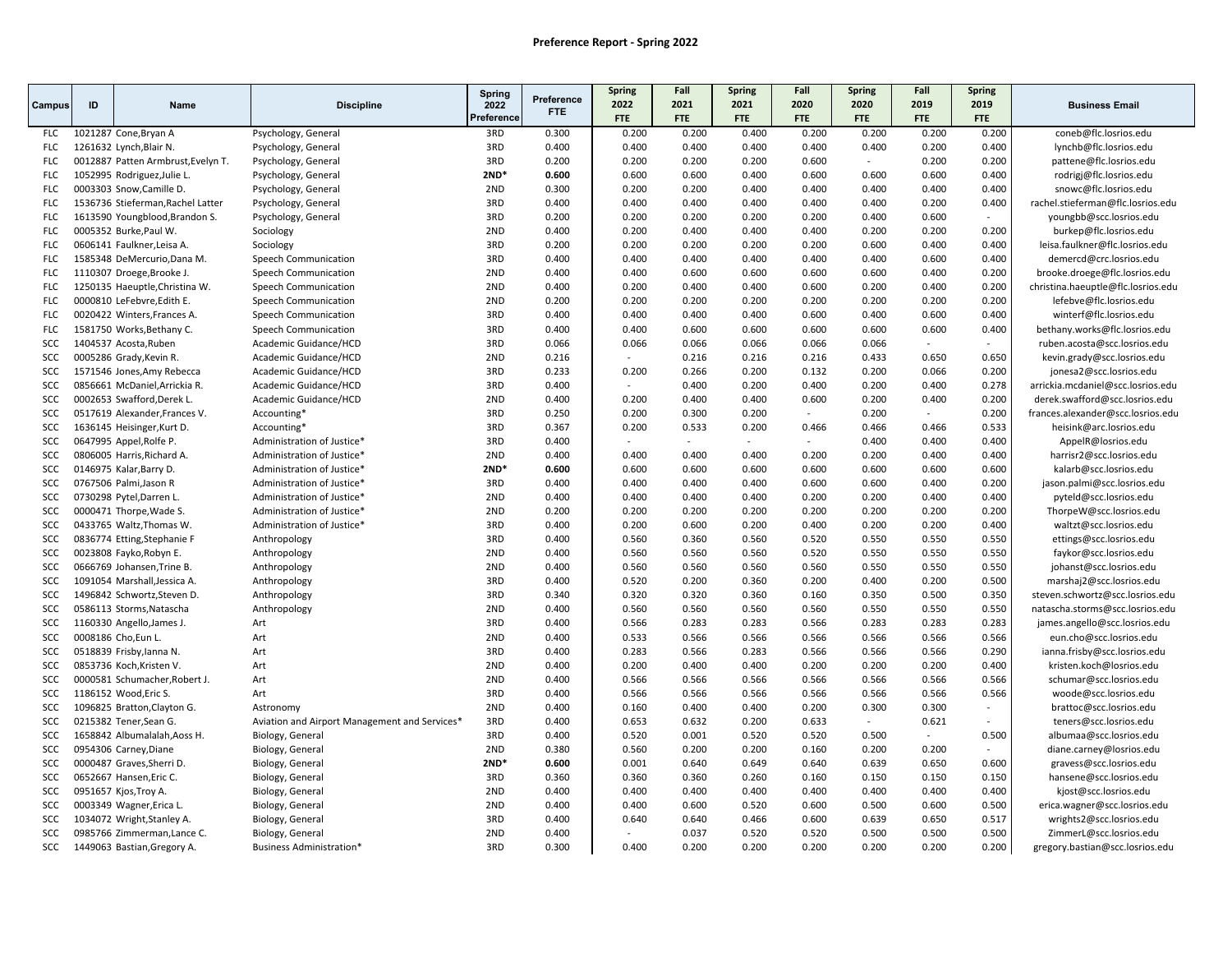|            |    |                                    |                                               | Spring             | Preference | <b>Spring</b>      | Fall        | <b>Spring</b> | Fall        | <b>Spring</b>      | Fall        | Spring      |                                    |
|------------|----|------------------------------------|-----------------------------------------------|--------------------|------------|--------------------|-------------|---------------|-------------|--------------------|-------------|-------------|------------------------------------|
| Campus     | ID | <b>Name</b>                        | <b>Discipline</b>                             | 2022<br>Preference | <b>FTE</b> | 2022<br><b>FTE</b> | 2021<br>FTE | 2021<br>FTE   | 2020<br>FTE | 2020<br><b>FTE</b> | 2019<br>FTE | 2019<br>FTE | <b>Business Email</b>              |
| <b>FLC</b> |    | 1021287 Cone, Bryan A              | Psychology, General                           | 3RD                | 0.300      | 0.200              | 0.200       | 0.400         | 0.200       | 0.200              | 0.200       | 0.200       | coneb@flc.losrios.edu              |
| <b>FLC</b> |    | 1261632 Lynch, Blair N.            | Psychology, General                           | 3RD                | 0.400      | 0.400              | 0.400       | 0.400         | 0.400       | 0.400              | 0.200       | 0.400       | lynchb@flc.losrios.edu             |
| <b>FLC</b> |    | 0012887 Patten Armbrust, Evelyn T. | Psychology, General                           | 3RD                | 0.200      | 0.200              | 0.200       | 0.200         | 0.600       | $\sim$             | 0.200       | 0.200       | pattene@flc.losrios.edu            |
| <b>FLC</b> |    | 1052995 Rodriguez, Julie L.        | Psychology, General                           | $2ND*$             | 0.600      | 0.600              | 0.600       | 0.400         | 0.600       | 0.600              | 0.600       | 0.400       | rodrigj@flc.losrios.edu            |
| <b>FLC</b> |    | 0003303 Snow, Camille D.           | Psychology, General                           | 2ND                | 0.300      | 0.200              | 0.200       | 0.400         | 0.400       | 0.400              | 0.400       | 0.400       | snowc@flc.losrios.edu              |
| <b>FLC</b> |    | 1536736 Stieferman, Rachel Latter  | Psychology, General                           | 3RD                | 0.400      | 0.400              | 0.400       | 0.400         | 0.400       | 0.400              | 0.200       | 0.400       | rachel.stieferman@flc.losrios.edu  |
| <b>FLC</b> |    | 1613590 Youngblood, Brandon S.     | Psychology, General                           | 3RD                | 0.200      | 0.200              | 0.200       | 0.200         | 0.200       | 0.400              | 0.600       |             | youngbb@scc.losrios.edu            |
| <b>FLC</b> |    | 0005352 Burke, Paul W.             | Sociology                                     | 2ND                | 0.400      | 0.200              | 0.400       | 0.400         | 0.400       | 0.200              | 0.200       | 0.200       | burkep@flc.losrios.edu             |
| <b>FLC</b> |    | 0606141 Faulkner, Leisa A.         | Sociology                                     | 3RD                | 0.200      | 0.200              | 0.200       | 0.200         | 0.200       | 0.600              | 0.400       | 0.400       | leisa.faulkner@flc.losrios.edu     |
| <b>FLC</b> |    | 1585348 DeMercurio, Dana M.        | Speech Communication                          | 3RD                | 0.400      | 0.400              | 0.400       | 0.400         | 0.400       | 0.400              | 0.600       | 0.400       | demercd@crc.losrios.edu            |
| <b>FLC</b> |    | 1110307 Droege, Brooke J.          | Speech Communication                          | 2ND                | 0.400      | 0.400              | 0.600       | 0.600         | 0.600       | 0.600              | 0.400       | 0.200       | brooke.droege@flc.losrios.edu      |
| <b>FLC</b> |    | 1250135 Haeuptle, Christina W.     | Speech Communication                          | 2ND                | 0.400      | 0.200              | 0.400       | 0.400         | 0.600       | 0.200              | 0.400       | 0.200       | christina.haeuptle@flc.losrios.edu |
| <b>FLC</b> |    | 0000810 LeFebvre, Edith E.         | Speech Communication                          | 2ND                | 0.200      | 0.200              | 0.200       | 0.200         | 0.200       | 0.200              | 0.200       | 0.200       | lefebve@flc.losrios.edu            |
| <b>FLC</b> |    | 0020422 Winters, Frances A.        | Speech Communication                          | 3RD                | 0.400      | 0.400              | 0.400       | 0.400         | 0.600       | 0.400              | 0.600       | 0.400       | winterf@flc.losrios.edu            |
| <b>FLC</b> |    | 1581750 Works, Bethany C.          | Speech Communication                          | 3RD                | 0.400      | 0.400              | 0.600       | 0.600         | 0.600       | 0.600              | 0.600       | 0.400       | bethany.works@flc.losrios.edu      |
| SCC        |    | 1404537 Acosta, Ruben              | Academic Guidance/HCD                         | 3RD                | 0.066      | 0.066              | 0.066       | 0.066         | 0.066       | 0.066              | $\sim$      | $\sim$      | ruben.acosta@scc.losrios.edu       |
| SCC        |    | 0005286 Grady, Kevin R.            | Academic Guidance/HCD                         | 2ND                | 0.216      | $\sim$             | 0.216       | 0.216         | 0.216       | 0.433              | 0.650       | 0.650       | kevin.grady@scc.losrios.edu        |
| SCC        |    | 1571546 Jones, Amy Rebecca         | Academic Guidance/HCD                         | 3RD                | 0.233      | 0.200              | 0.266       | 0.200         | 0.132       | 0.200              | 0.066       | 0.200       | jonesa2@scc.losrios.edu            |
| SCC        |    | 0856661 McDaniel, Arrickia R.      | Academic Guidance/HCD                         | 3RD                | 0.400      | $\sim$             | 0.400       | 0.200         | 0.400       | 0.200              | 0.400       | 0.278       | arrickia.mcdaniel@scc.losrios.edu  |
| SCC        |    | 0002653 Swafford, Derek L          | Academic Guidance/HCD                         | 2ND                | 0.400      | 0.200              | 0.400       | 0.400         | 0.600       | 0.200              | 0.400       | 0.200       | derek.swafford@scc.losrios.edu     |
| SCC        |    | 0517619 Alexander, Frances V.      | Accounting*                                   | 3RD                | 0.250      | 0.200              | 0.300       | 0.200         |             | 0.200              |             | 0.200       | frances.alexander@scc.losrios.edu  |
| SCC        |    | 1636145 Heisinger, Kurt D.         | Accounting*                                   | 3RD                | 0.367      | 0.200              | 0.533       | 0.200         | 0.466       | 0.466              | 0.466       | 0.533       | heisink@arc.losrios.edu            |
| <b>SCC</b> |    | 0647995 Appel, Rolfe P.            | Administration of Justice*                    | 3RD                | 0.400      |                    |             |               | $\sim$      | 0.400              | 0.400       | 0.400       | AppelR@losrios.edu                 |
| SCC        |    | 0806005 Harris, Richard A.         | Administration of Justice*                    | 2ND                | 0.400      | 0.400              | 0.400       | 0.400         | 0.200       | 0.200              | 0.400       | 0.400       | harrisr2@scc.losrios.edu           |
| SCC        |    | 0146975 Kalar, Barry D.            | Administration of Justice*                    | $2ND*$             | 0.600      | 0.600              | 0.600       | 0.600         | 0.600       | 0.600              | 0.600       | 0.600       | kalarb@scc.losrios.edu             |
| SCC        |    | 0767506 Palmi, Jason R             | Administration of Justice*                    | 3RD                | 0.400      | 0.400              | 0.400       | 0.400         | 0.600       | 0.600              | 0.400       | 0.200       | jason.palmi@scc.losrios.edu        |
| SCC        |    | 0730298 Pytel, Darren L.           | Administration of Justice*                    | 2ND                | 0.400      | 0.400              | 0.400       | 0.400         | 0.200       | 0.200              | 0.400       | 0.400       | pyteld@scc.losrios.edu             |
| SCC        |    | 0000471 Thorpe, Wade S.            | Administration of Justice*                    | 2ND                | 0.200      | 0.200              | 0.200       | 0.200         | 0.200       | 0.200              | 0.200       | 0.200       | ThorpeW@scc.losrios.edu            |
| <b>SCC</b> |    | 0433765 Waltz, Thomas W.           | Administration of Justice*                    | 3RD                | 0.400      | 0.200              | 0.600       | 0.200         | 0.400       | 0.200              | 0.200       | 0.400       | waltzt@scc.losrios.edu             |
| <b>SCC</b> |    | 0836774 Etting, Stephanie F        | Anthropology                                  | 3RD                | 0.400      | 0.560              | 0.360       | 0.560         | 0.520       | 0.550              | 0.550       | 0.550       | ettings@scc.losrios.edu            |
| SCC        |    | 0023808 Fayko, Robyn E.            | Anthropology                                  | 2ND                | 0.400      | 0.560              | 0.560       | 0.560         | 0.520       | 0.550              | 0.550       | 0.550       | faykor@scc.losrios.edu             |
| SCC        |    | 0666769 Johansen, Trine B.         | Anthropology                                  | 2ND                | 0.400      | 0.560              | 0.560       | 0.560         | 0.560       | 0.550              | 0.550       | 0.550       | johanst@scc.losrios.edu            |
| SCC        |    | 1091054 Marshall, Jessica A.       | Anthropology                                  | 3RD                | 0.400      | 0.520              | 0.200       | 0.360         | 0.200       | 0.400              | 0.200       | 0.500       | marshaj2@scc.losrios.edu           |
| <b>SCC</b> |    | 1496842 Schwortz, Steven D.        | Anthropology                                  | 3RD                | 0.340      | 0.320              | 0.320       | 0.360         | 0.160       | 0.350              | 0.500       | 0.350       | steven.schwortz@scc.losrios.edu    |
| <b>SCC</b> |    | 0586113 Storms, Natascha           | Anthropology                                  | 2ND                | 0.400      | 0.560              | 0.560       | 0.560         | 0.560       | 0.550              | 0.550       | 0.550       | natascha.storms@scc.losrios.edu    |
| SCC        |    | 1160330 Angello, James J.          | Art                                           | 3RD                | 0.400      | 0.566              | 0.283       | 0.283         | 0.566       | 0.283              | 0.283       | 0.283       | james.angello@scc.losrios.edu      |
| SCC        |    | 0008186 Cho, Eun L.                | Art                                           | 2ND                | 0.400      | 0.533              | 0.566       | 0.566         | 0.566       | 0.566              | 0.566       | 0.566       | eun.cho@scc.losrios.edu            |
| SCC        |    | 0518839 Frisby, lanna N.           | Art                                           | 3RD                | 0.400      | 0.283              | 0.566       | 0.283         | 0.566       | 0.566              | 0.566       | 0.290       | ianna.frisby@scc.losrios.edu       |
| SCC        |    | 0853736 Koch, Kristen V.           | Art                                           | 2ND                | 0.400      | 0.200              | 0.400       | 0.400         | 0.200       | 0.200              | 0.200       | 0.400       | kristen.koch@losrios.edu           |
| SCC        |    | 0000581 Schumacher, Robert J.      | Art                                           | 2 <sub>ND</sub>    | 0.400      | 0.566              | 0.566       | 0.566         | 0.566       | 0.566              | 0.566       | 0.566       | schumar@scc.losrios.edu            |
| <b>SCC</b> |    | 1186152 Wood, Eric S.              | Art                                           | 3RD                | 0.400      | 0.566              | 0.566       | 0.566         | 0.566       | 0.566              | 0.566       | 0.566       | woode@scc.losrios.edu              |
| <b>SCC</b> |    | 1096825 Bratton, Clayton G.        | Astronomy                                     | 2ND                | 0.400      | 0.160              | 0.400       | 0.400         | 0.200       | 0.300              | 0.300       | $\sim$      | brattoc@scc.losrios.edu            |
| SCC        |    | 0215382 Tener, Sean G.             | Aviation and Airport Management and Services* | 3RD                | 0.400      | 0.653              | 0.632       | 0.200         | 0.633       | $\sim$             | 0.621       |             | teners@scc.losrios.edu             |
| <b>SCC</b> |    | 1658842 Albumalalah, Aoss H.       | Biology, General                              | 3RD                | 0.400      | 0.520              | 0.001       | 0.520         | 0.520       | 0.500              | $\sim$      | 0.500       | albumaa@scc.losrios.edu            |
| <b>SCC</b> |    | 0954306 Carney, Diane              | Biology, General                              | 2ND                | 0.380      | 0.560              | 0.200       | 0.200         | 0.160       | 0.200              | 0.200       | $\sim$      | diane.carney@losrios.edu           |
| SCC        |    | 0000487 Graves, Sherri D.          | Biology, General                              | $2ND*$             | 0.600      | 0.001              | 0.640       | 0.649         | 0.640       | 0.639              | 0.650       | 0.600       | gravess@scc.losrios.edu            |
| <b>SCC</b> |    | 0652667 Hansen, Eric C.            | Biology, General                              | 3RD                | 0.360      | 0.360              | 0.360       | 0.260         | 0.160       | 0.150              | 0.150       | 0.150       | hansene@scc.losrios.edu            |
| SCC        |    | 0951657 Kjos, Troy A.              | Biology, General                              | 2ND                | 0.400      | 0.400              | 0.400       | 0.400         | 0.400       | 0.400              | 0.400       | 0.400       | kjost@scc.losrios.edu              |
| SCC        |    | 0003349 Wagner, Erica L.           | Biology, General                              | 2ND                | 0.400      | 0.400              | 0.600       | 0.520         | 0.600       | 0.500              | 0.600       | 0.500       | erica.wagner@scc.losrios.edu       |
| <b>SCC</b> |    | 1034072 Wright, Stanley A.         | Biology, General                              | 3RD                | 0.400      | 0.640              | 0.640       | 0.466         | 0.600       | 0.639              | 0.650       | 0.517       | wrights2@scc.losrios.edu           |
| SCC        |    | 0985766 Zimmerman, Lance C.        | Biology, General                              | 2ND                | 0.400      |                    | 0.037       | 0.520         | 0.520       | 0.500              | 0.500       | 0.500       | ZimmerL@scc.losrios.edu            |
| SCC        |    | 1449063 Bastian, Gregory A.        | <b>Business Administration*</b>               | 3RD                | 0.300      | 0.400              | 0.200       | 0.200         | 0.200       | 0.200              | 0.200       | 0.200       | gregory.bastian@scc.losrios.edu    |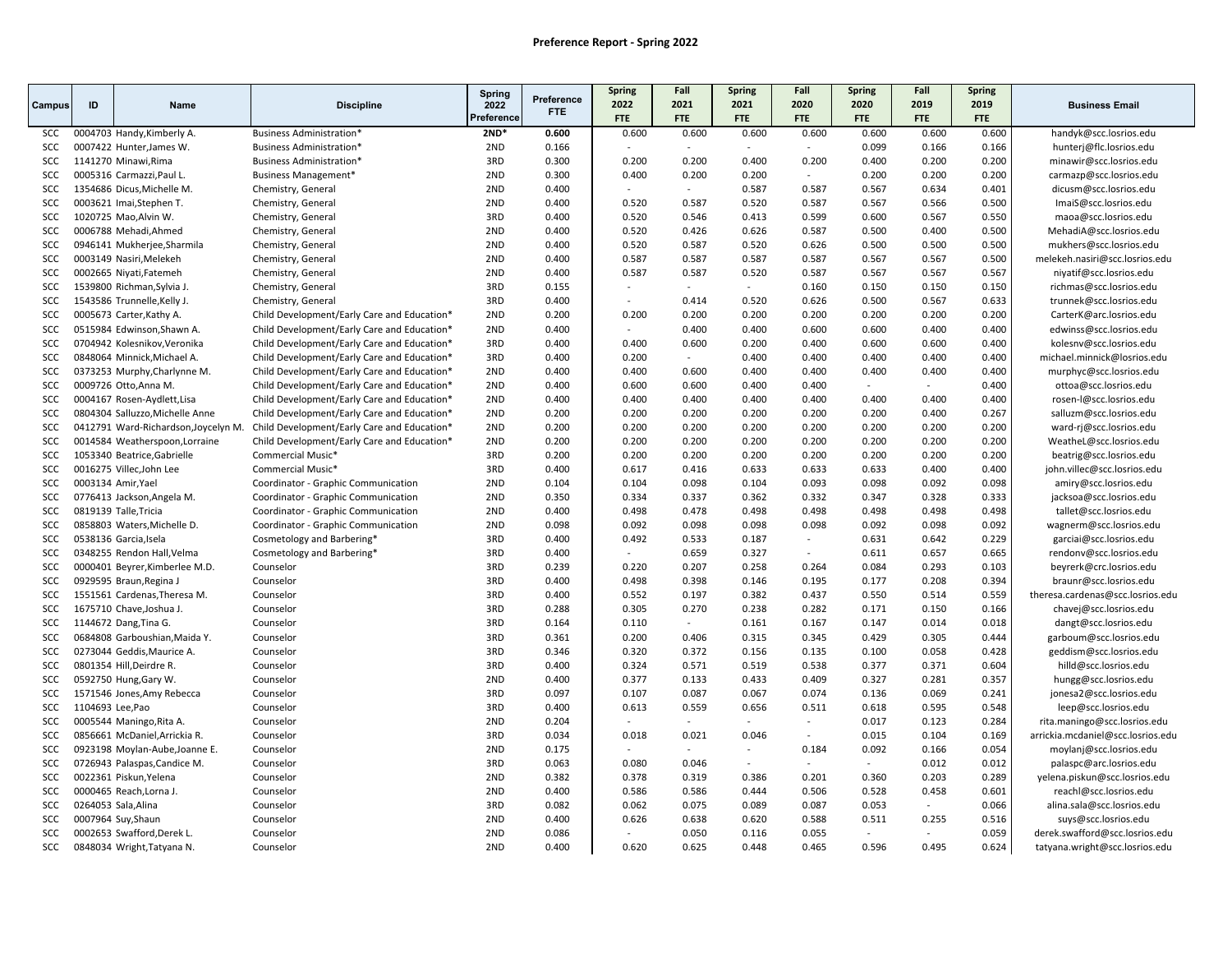|            |                     |                                      |                                             | Spring             | Preference | <b>Spring</b>       | Fall                     | <b>Spring</b>       | Fall                | <b>Spring</b>       | Fall                | Spring              |                                   |
|------------|---------------------|--------------------------------------|---------------------------------------------|--------------------|------------|---------------------|--------------------------|---------------------|---------------------|---------------------|---------------------|---------------------|-----------------------------------|
| Campus     | ID                  | Name                                 | <b>Discipline</b>                           | 2022<br>Preference | <b>FTE</b> | 2022                | 2021                     | 2021                | 2020                | 2020                | 2019                | 2019                | <b>Business Email</b>             |
| SCC        |                     | 0004703 Handy, Kimberly A.           | <b>Business Administration*</b>             | $2ND*$             | 0.600      | <b>FTE</b><br>0.600 | <b>FTE</b><br>0.600      | <b>FTE</b><br>0.600 | <b>FTE</b><br>0.600 | <b>FTE</b><br>0.600 | <b>FTE</b><br>0.600 | <b>FTE</b><br>0.600 | handyk@scc.losrios.edu            |
| <b>SCC</b> |                     | 0007422 Hunter, James W.             | <b>Business Administration*</b>             | 2ND                | 0.166      |                     | $\overline{\phantom{a}}$ | $\sim$              | ÷                   | 0.099               | 0.166               | 0.166               | hunterj@flc.losrios.edu           |
| SCC        |                     | 1141270 Minawi, Rima                 | <b>Business Administration*</b>             | 3RD                | 0.300      | 0.200               | 0.200                    | 0.400               | 0.200               | 0.400               | 0.200               | 0.200               | minawir@scc.losrios.edu           |
| SCC        |                     | 0005316 Carmazzi, Paul L.            | Business Management*                        | 2ND                | 0.300      | 0.400               | 0.200                    | 0.200               | $\sim$              | 0.200               | 0.200               | 0.200               | carmazp@scc.losrios.edu           |
| SCC        |                     | 1354686 Dicus, Michelle M.           | Chemistry, General                          | 2ND                | 0.400      |                     | $\sim$                   | 0.587               | 0.587               | 0.567               | 0.634               | 0.401               | dicusm@scc.losrios.edu            |
| SCC        |                     | 0003621 Imai, Stephen T.             | Chemistry, General                          | 2ND                | 0.400      | 0.520               | 0.587                    | 0.520               | 0.587               | 0.567               | 0.566               | 0.500               | ImaiS@scc.losrios.edu             |
| SCC        |                     | 1020725 Mao, Alvin W.                | Chemistry, General                          | 3RD                | 0.400      | 0.520               | 0.546                    | 0.413               | 0.599               | 0.600               | 0.567               | 0.550               | maoa@scc.losrios.edu              |
| SCC        |                     | 0006788 Mehadi, Ahmed                | Chemistry, General                          | 2ND                | 0.400      | 0.520               | 0.426                    | 0.626               | 0.587               | 0.500               | 0.400               | 0.500               | MehadiA@scc.losrios.edu           |
| SCC        |                     | 0946141 Mukherjee, Sharmila          | Chemistry, General                          | 2ND                | 0.400      | 0.520               | 0.587                    | 0.520               | 0.626               | 0.500               | 0.500               | 0.500               | mukhers@scc.losrios.edu           |
| SCC        |                     | 0003149 Nasiri, Melekeh              | Chemistry, General                          | 2ND                | 0.400      | 0.587               | 0.587                    | 0.587               | 0.587               | 0.567               | 0.567               | 0.500               | melekeh.nasiri@scc.losrios.edu    |
| SCC        |                     | 0002665 Niyati, Fatemeh              | Chemistry, General                          | 2ND                | 0.400      | 0.587               | 0.587                    | 0.520               | 0.587               | 0.567               | 0.567               | 0.567               | niyatif@scc.losrios.edu           |
| SCC        |                     | 1539800 Richman, Sylvia J.           | Chemistry, General                          | 3RD                | 0.155      |                     |                          | $\sim$              | 0.160               | 0.150               | 0.150               | 0.150               | richmas@scc.losrios.edu           |
| SCC        |                     | 1543586 Trunnelle, Kelly J.          | Chemistry, General                          | 3RD                | 0.400      | $\overline{a}$      | 0.414                    | 0.520               | 0.626               | 0.500               | 0.567               | 0.633               | trunnek@scc.losrios.edu           |
| SCC        |                     | 0005673 Carter, Kathy A.             | Child Development/Early Care and Education* | 2ND                | 0.200      | 0.200               | 0.200                    | 0.200               | 0.200               | 0.200               | 0.200               | 0.200               | CarterK@arc.losrios.edu           |
| SCC        |                     | 0515984 Edwinson, Shawn A.           | Child Development/Early Care and Education* | 2ND                | 0.400      |                     | 0.400                    | 0.400               | 0.600               | 0.600               | 0.400               | 0.400               | edwinss@scc.losrios.edu           |
| SCC        |                     | 0704942 Kolesnikov, Veronika         | Child Development/Early Care and Education* | 3RD                | 0.400      | 0.400               | 0.600                    | 0.200               | 0.400               | 0.600               | 0.600               | 0.400               | kolesnv@scc.losrios.edu           |
| SCC        |                     | 0848064 Minnick, Michael A.          | Child Development/Early Care and Education* | 3RD                | 0.400      | 0.200               | $\sim$                   | 0.400               | 0.400               | 0.400               | 0.400               | 0.400               | michael.minnick@losrios.edu       |
| SCC        |                     | 0373253 Murphy, Charlynne M.         | Child Development/Early Care and Education* | 2ND                | 0.400      | 0.400               | 0.600                    | 0.400               | 0.400               | 0.400               | 0.400               | 0.400               | murphyc@scc.losrios.edu           |
| SCC        |                     | 0009726 Otto, Anna M.                | Child Development/Early Care and Education* | 2ND                | 0.400      | 0.600               | 0.600                    | 0.400               | 0.400               | $\sim$              | $\sim$              | 0.400               | ottoa@scc.losrios.edu             |
| SCC        |                     | 0004167 Rosen-Aydlett, Lisa          | Child Development/Early Care and Education* | 2ND                | 0.400      | 0.400               | 0.400                    | 0.400               | 0.400               | 0.400               | 0.400               | 0.400               | rosen-I@scc.losrios.edu           |
| SCC        |                     | 0804304 Salluzzo, Michelle Anne      | Child Development/Early Care and Education* | 2ND                | 0.200      | 0.200               | 0.200                    | 0.200               | 0.200               | 0.200               | 0.400               | 0.267               | salluzm@scc.losrios.edu           |
| SCC        |                     | 0412791 Ward-Richardson, Joycelyn M. | Child Development/Early Care and Education* | 2ND                | 0.200      | 0.200               | 0.200                    | 0.200               | 0.200               | 0.200               | 0.200               | 0.200               | ward-rj@scc.losrios.edu           |
| <b>SCC</b> |                     | 0014584 Weatherspoon, Lorraine       | Child Development/Early Care and Education* | 2ND                | 0.200      | 0.200               | 0.200                    | 0.200               | 0.200               | 0.200               | 0.200               | 0.200               | WeatheL@scc.losrios.edu           |
| SCC        |                     | 1053340 Beatrice, Gabrielle          | Commercial Music*                           | 3RD                | 0.200      | 0.200               | 0.200                    | 0.200               | 0.200               | 0.200               | 0.200               | 0.200               | beatrig@scc.losrios.edu           |
| SCC        |                     | 0016275 Villec, John Lee             | Commercial Music*                           | 3RD                | 0.400      | 0.617               | 0.416                    | 0.633               | 0.633               | 0.633               | 0.400               | 0.400               | john.villec@scc.losrios.edu       |
| SCC        | 0003134 Amir, Yael  |                                      | Coordinator - Graphic Communication         | 2ND                | 0.104      | 0.104               | 0.098                    | 0.104               | 0.093               | 0.098               | 0.092               | 0.098               | amiry@scc.losrios.edu             |
| SCC        |                     | 0776413 Jackson, Angela M.           | Coordinator - Graphic Communication         | 2ND                | 0.350      | 0.334               | 0.337                    | 0.362               | 0.332               | 0.347               | 0.328               | 0.333               | jacksoa@scc.losrios.edu           |
| <b>SCC</b> |                     | 0819139 Talle, Tricia                | Coordinator - Graphic Communication         | 2ND                | 0.400      | 0.498               | 0.478                    | 0.498               | 0.498               | 0.498               | 0.498               | 0.498               | tallet@scc.losrios.edu            |
| SCC        |                     | 0858803 Waters, Michelle D.          | Coordinator - Graphic Communication         | 2ND                | 0.098      | 0.092               | 0.098                    | 0.098               | 0.098               | 0.092               | 0.098               | 0.092               | wagnerm@scc.losrios.edu           |
| SCC        |                     | 0538136 Garcia, Isela                | Cosmetology and Barbering*                  | 3RD                | 0.400      | 0.492               | 0.533                    | 0.187               | ÷.                  | 0.631               | 0.642               | 0.229               | garciai@scc.losrios.edu           |
| SCC        |                     | 0348255 Rendon Hall, Velma           | Cosmetology and Barbering*                  | 3RD                | 0.400      | $\sim$              | 0.659                    | 0.327               | $\sim$              | 0.611               | 0.657               | 0.665               | rendonv@scc.losrios.edu           |
| SCC        |                     | 0000401 Beyrer, Kimberlee M.D.       | Counselor                                   | 3RD                | 0.239      | 0.220               | 0.207                    | 0.258               | 0.264               | 0.084               | 0.293               | 0.103               | beyrerk@crc.losrios.edu           |
| <b>SCC</b> |                     | 0929595 Braun, Regina J              | Counselor                                   | 3RD                | 0.400      | 0.498               | 0.398                    | 0.146               | 0.195               | 0.177               | 0.208               | 0.394               | braunr@scc.losrios.edu            |
| SCC        |                     | 1551561 Cardenas, Theresa M.         | Counselor                                   | 3RD                | 0.400      | 0.552               | 0.197                    | 0.382               | 0.437               | 0.550               | 0.514               | 0.559               | theresa.cardenas@scc.losrios.edu  |
| <b>SCC</b> |                     | 1675710 Chave, Joshua J.             | Counselor                                   | 3RD                | 0.288      | 0.305               | 0.270                    | 0.238               | 0.282               | 0.171               | 0.150               | 0.166               | chavej@scc.losrios.edu            |
| SCC        |                     | 1144672 Dang, Tina G.                | Counselor                                   | 3RD                | 0.164      | 0.110               | $\sim$                   | 0.161               | 0.167               | 0.147               | 0.014               | 0.018               | dangt@scc.losrios.edu             |
| <b>SCC</b> |                     | 0684808 Garboushian, Maida Y.        | Counselor                                   | 3RD                | 0.361      | 0.200               | 0.406                    | 0.315               | 0.345               | 0.429               | 0.305               | 0.444               | garboum@scc.losrios.edu           |
| SCC        |                     | 0273044 Geddis, Maurice A.           | Counselor                                   | 3RD                | 0.346      | 0.320               | 0.372                    | 0.156               | 0.135               | 0.100               | 0.058               | 0.428               | geddism@scc.losrios.edu           |
| SCC        |                     | 0801354 Hill, Deirdre R.             | Counselor                                   | 3RD                | 0.400      | 0.324               | 0.571                    | 0.519               | 0.538               | 0.377               | 0.371               | 0.604               | hilld@scc.losrios.edu             |
| <b>SCC</b> |                     | 0592750 Hung, Gary W.                | Counselor                                   | 2ND                | 0.400      | 0.377               | 0.133                    | 0.433               | 0.409               | 0.327               | 0.281               | 0.357               | hungg@scc.losrios.edu             |
| SCC        |                     | 1571546 Jones, Amy Rebecca           | Counselor                                   | 3RD                | 0.097      | 0.107               | 0.087                    | 0.067               | 0.074               | 0.136               | 0.069               | 0.241               | jonesa2@scc.losrios.edu           |
| SCC        | 1104693 Lee, Pao    |                                      | Counselor                                   | 3RD                | 0.400      | 0.613               | 0.559                    | 0.656               | 0.511               | 0.618               | 0.595               | 0.548               | leep@scc.losrios.edu              |
| SCC        |                     | 0005544 Maningo, Rita A.             | Counselor                                   | 2ND                | 0.204      |                     |                          |                     | $\overline{a}$      | 0.017               | 0.123               | 0.284               | rita.maningo@scc.losrios.edu      |
| SCC        |                     | 0856661 McDaniel, Arrickia R.        | Counselor                                   | 3RD                | 0.034      | 0.018               | 0.021                    | 0.046               | $\sim$              | 0.015               | 0.104               | 0.169               | arrickia.mcdaniel@scc.losrios.edu |
| <b>SCC</b> |                     | 0923198 Moylan-Aube, Joanne E.       | Counselor                                   | 2ND                | 0.175      |                     | $\sim$                   | $\sim$              | 0.184               | 0.092               | 0.166               | 0.054               | moylanj@scc.losrios.edu           |
| SCC        |                     | 0726943 Palaspas, Candice M.         | Counselor                                   | 3RD                | 0.063      | 0.080               | 0.046                    | $\sim$              | $\overline{a}$      | $\sim$              | 0.012               | 0.012               | palaspc@arc.losrios.edu           |
| <b>SCC</b> |                     | 0022361 Piskun, Yelena               | Counselor                                   | 2ND                | 0.382      | 0.378               | 0.319                    | 0.386               | 0.201               | 0.360               | 0.203               | 0.289               | yelena.piskun@scc.losrios.edu     |
| SCC        |                     | 0000465 Reach, Lorna J.              | Counselor                                   | 2ND                | 0.400      | 0.586               | 0.586                    | 0.444               | 0.506               | 0.528               | 0.458               | 0.601               | reachl@scc.losrios.edu            |
| SCC        | 0264053 Sala, Alina |                                      | Counselor                                   | 3RD                | 0.082      | 0.062               | 0.075                    | 0.089               | 0.087               | 0.053               |                     | 0.066               | alina.sala@scc.losrios.edu        |
| <b>SCC</b> |                     | 0007964 Suy, Shaun                   | Counselor                                   | 2ND                | 0.400      | 0.626               | 0.638                    | 0.620               | 0.588               | 0.511               | 0.255               | 0.516               | suys@scc.losrios.edu              |
| SCC        |                     | 0002653 Swafford, Derek L.           | Counselor                                   | 2ND                | 0.086      | $\overline{a}$      | 0.050                    | 0.116               | 0.055               | $\sim$              | $\sim$              | 0.059               | derek.swafford@scc.losrios.edu    |
| SCC        |                     | 0848034 Wright, Tatyana N.           | Counselor                                   | 2ND                | 0.400      | 0.620               | 0.625                    | 0.448               | 0.465               | 0.596               | 0.495               | 0.624               | tatyana.wright@scc.losrios.edu    |
|            |                     |                                      |                                             |                    |            |                     |                          |                     |                     |                     |                     |                     |                                   |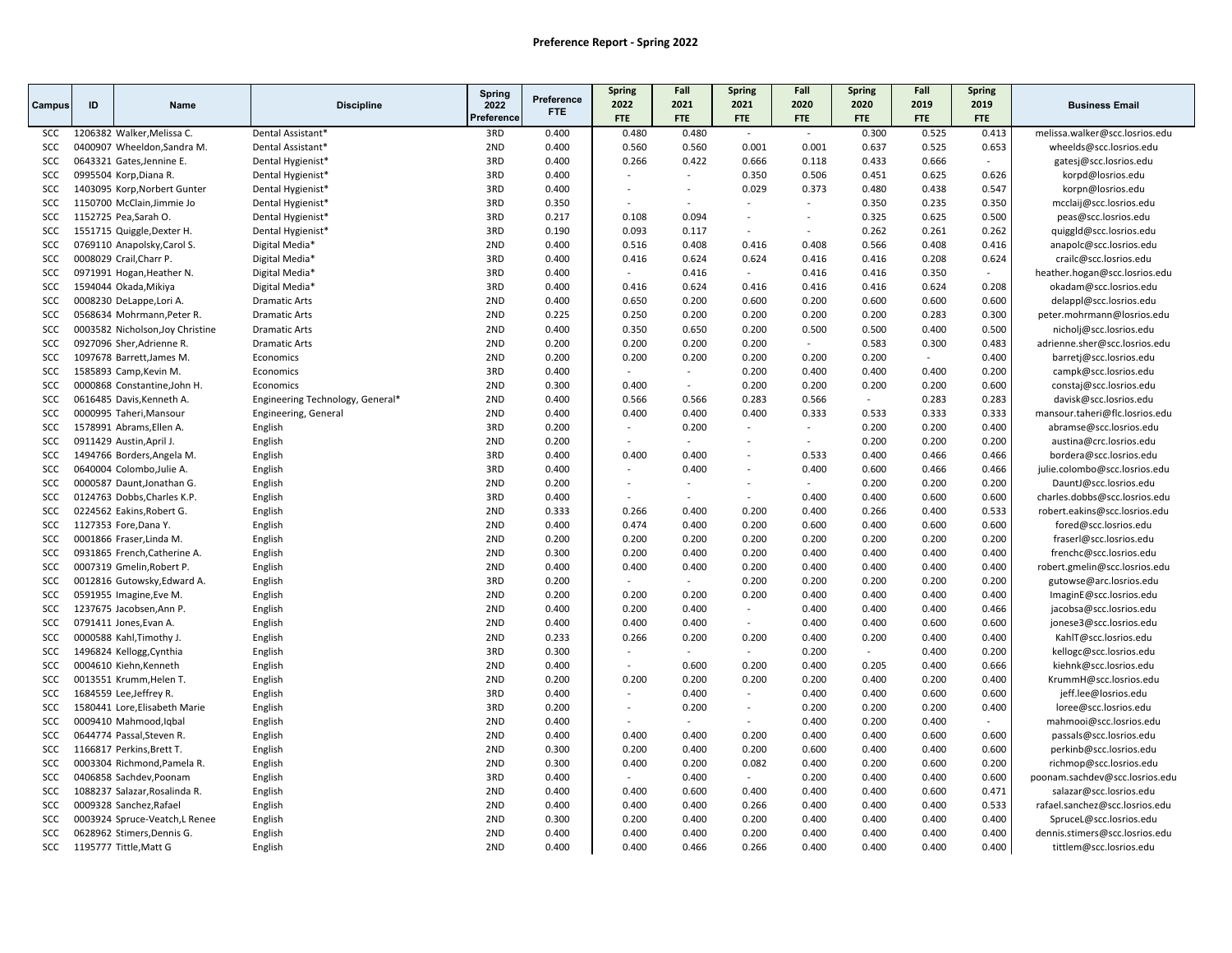|            |    |                                  |                                  | Spring          |                          | <b>Spring</b>            | Fall                     | Spring | Fall                     | <b>Spring</b> | Fall   | Spring         |                                |
|------------|----|----------------------------------|----------------------------------|-----------------|--------------------------|--------------------------|--------------------------|--------|--------------------------|---------------|--------|----------------|--------------------------------|
| Campus     | ID | <b>Name</b>                      | <b>Discipline</b>                | 2022            | Preference<br><b>FTE</b> | 2022                     | 2021                     | 2021   | 2020                     | 2020          | 2019   | 2019           | <b>Business Email</b>          |
|            |    |                                  |                                  | Preference      |                          | <b>FTE</b>               | <b>FTE</b>               | FTE    | FTE                      | <b>FTE</b>    | FTE    | FTE            |                                |
| SCC        |    | 1206382 Walker, Melissa C.       | Dental Assistant*                | 3RD             | 0.400                    | 0.480                    | 0.480                    | $\sim$ | $\sim$                   | 0.300         | 0.525  | 0.413          | melissa.walker@scc.losrios.edu |
| <b>SCC</b> |    | 0400907 Wheeldon, Sandra M.      | Dental Assistant*                | 2ND             | 0.400                    | 0.560                    | 0.560                    | 0.001  | 0.001                    | 0.637         | 0.525  | 0.653          | wheelds@scc.losrios.edu        |
| <b>SCC</b> |    | 0643321 Gates, Jennine E.        | Dental Hygienist*                | 3RD             | 0.400                    | 0.266                    | 0.422                    | 0.666  | 0.118                    | 0.433         | 0.666  | $\mathcal{L}$  | gatesj@scc.losrios.edu         |
| <b>SCC</b> |    | 0995504 Korp, Diana R.           | Dental Hygienist*                | 3RD             | 0.400                    | $\overline{\phantom{a}}$ | $\sim$                   | 0.350  | 0.506                    | 0.451         | 0.625  | 0.626          | korpd@losrios.edu              |
| <b>SCC</b> |    | 1403095 Korp, Norbert Gunter     | Dental Hygienist*                | 3RD             | 0.400                    |                          | $\sim$                   | 0.029  | 0.373                    | 0.480         | 0.438  | 0.547          | korpn@losrios.edu              |
| SCC        |    | 1150700 McClain, Jimmie Jo       | Dental Hygienist*                | 3RD             | 0.350                    |                          |                          |        | $\sim$                   | 0.350         | 0.235  | 0.350          | mcclaij@scc.losrios.edu        |
| SCC        |    | 1152725 Pea, Sarah O.            | Dental Hygienist*                | 3RD             | 0.217                    | 0.108                    | 0.094                    | $\sim$ | $\overline{\phantom{a}}$ | 0.325         | 0.625  | 0.500          | peas@scc.losrios.edu           |
| <b>SCC</b> |    | 1551715 Quiggle, Dexter H.       | Dental Hygienist*                | 3RD             | 0.190                    | 0.093                    | 0.117                    | $\sim$ | ÷.                       | 0.262         | 0.261  | 0.262          | quiggId@scc.losrios.edu        |
| SCC        |    | 0769110 Anapolsky, Carol S.      | Digital Media*                   | 2ND             | 0.400                    | 0.516                    | 0.408                    | 0.416  | 0.408                    | 0.566         | 0.408  | 0.416          | anapolc@scc.losrios.edu        |
| SCC        |    | 0008029 Crail, Charr P.          | Digital Media*                   | 3RD             | 0.400                    | 0.416                    | 0.624                    | 0.624  | 0.416                    | 0.416         | 0.208  | 0.624          | crailc@scc.losrios.edu         |
| SCC        |    | 0971991 Hogan, Heather N.        | Digital Media*                   | 3RD             | 0.400                    | $\mathcal{L}$            | 0.416                    | $\sim$ | 0.416                    | 0.416         | 0.350  | $\sim$         | heather.hogan@scc.losrios.edu  |
| SCC        |    | 1594044 Okada, Mikiya            | Digital Media*                   | 3RD             | 0.400                    | 0.416                    | 0.624                    | 0.416  | 0.416                    | 0.416         | 0.624  | 0.208          | okadam@scc.losrios.edu         |
| <b>SCC</b> |    | 0008230 DeLappe, Lori A.         | <b>Dramatic Arts</b>             | 2ND             | 0.400                    | 0.650                    | 0.200                    | 0.600  | 0.200                    | 0.600         | 0.600  | 0.600          | delappl@scc.losrios.edu        |
| SCC        |    | 0568634 Mohrmann, Peter R.       | <b>Dramatic Arts</b>             | 2ND             | 0.225                    | 0.250                    | 0.200                    | 0.200  | 0.200                    | 0.200         | 0.283  | 0.300          | peter.mohrmann@losrios.edu     |
| SCC        |    | 0003582 Nicholson, Joy Christine | <b>Dramatic Arts</b>             | 2ND             | 0.400                    | 0.350                    | 0.650                    | 0.200  | 0.500                    | 0.500         | 0.400  | 0.500          | nicholj@scc.losrios.edu        |
| SCC        |    | 0927096 Sher, Adrienne R.        | <b>Dramatic Arts</b>             | 2ND             | 0.200                    | 0.200                    | 0.200                    | 0.200  | $\sim$                   | 0.583         | 0.300  | 0.483          | adrienne.sher@scc.losrios.edu  |
| <b>SCC</b> |    | 1097678 Barrett, James M.        | Economics                        | 2ND             | 0.200                    | 0.200                    | 0.200                    | 0.200  | 0.200                    | 0.200         | $\sim$ | 0.400          | barretj@scc.losrios.edu        |
| SCC        |    | 1585893 Camp, Kevin M.           | Economics                        | 3RD             | 0.400                    |                          | $\sim$                   | 0.200  | 0.400                    | 0.400         | 0.400  | 0.200          | campk@scc.losrios.edu          |
| SCC        |    | 0000868 Constantine, John H      | Economics                        | 2ND             | 0.300                    | 0.400                    | $\sim$                   | 0.200  | 0.200                    | 0.200         | 0.200  | 0.600          | constaj@scc.losrios.edu        |
| <b>SCC</b> |    | 0616485 Davis, Kenneth A.        | Engineering Technology, General* | 2ND             | 0.400                    | 0.566                    | 0.566                    | 0.283  | 0.566                    | $\sim$        | 0.283  | 0.283          | davisk@scc.losrios.edu         |
| SCC        |    | 0000995 Taheri, Mansour          | Engineering, General             | 2ND             | 0.400                    | 0.400                    | 0.400                    | 0.400  | 0.333                    | 0.533         | 0.333  | 0.333          | mansour.taheri@flc.losrios.edu |
| <b>SCC</b> |    | 1578991 Abrams, Ellen A.         | English                          | 3RD             | 0.200                    | $\blacksquare$           | 0.200                    | $\sim$ | $\overline{\phantom{a}}$ | 0.200         | 0.200  | 0.400          | abramse@scc.losrios.edu        |
| <b>SCC</b> |    | 0911429 Austin, April J.         | English                          | 2ND             | 0.200                    |                          | $\sim$                   |        | ÷                        | 0.200         | 0.200  | 0.200          | austina@crc.losrios.edu        |
| SCC        |    | 1494766 Borders, Angela M.       | English                          | 3RD             | 0.400                    | 0.400                    | 0.400                    |        | 0.533                    | 0.400         | 0.466  | 0.466          | bordera@scc.losrios.edu        |
| <b>SCC</b> |    | 0640004 Colombo, Julie A.        | English                          | 3RD             | 0.400                    | ÷                        | 0.400                    | $\sim$ | 0.400                    | 0.600         | 0.466  | 0.466          | julie.colombo@scc.losrios.edu  |
| SCC        |    | 0000587 Daunt, Jonathan G.       | English                          | 2ND             | 0.200                    | ÷                        | $\sim$                   |        | ÷                        | 0.200         | 0.200  | 0.200          | DauntJ@scc.losrios.edu         |
| SCC        |    | 0124763 Dobbs, Charles K.P.      | English                          | 3RD             | 0.400                    |                          | $\overline{\phantom{a}}$ | $\sim$ | 0.400                    | 0.400         | 0.600  | 0.600          | charles.dobbs@scc.losrios.edu  |
| <b>SCC</b> |    | 0224562 Eakins, Robert G.        | English                          | 2ND             | 0.333                    | 0.266                    | 0.400                    | 0.200  | 0.400                    | 0.266         | 0.400  | 0.533          | robert.eakins@scc.losrios.edu  |
| SCC        |    | 1127353 Fore, Dana Y.            | English                          | 2ND             | 0.400                    | 0.474                    | 0.400                    | 0.200  | 0.600                    | 0.400         | 0.600  | 0.600          | fored@scc.losrios.edu          |
| <b>SCC</b> |    | 0001866 Fraser, Linda M.         | English                          | 2ND             | 0.200                    | 0.200                    | 0.200                    | 0.200  | 0.200                    | 0.200         | 0.200  | 0.200          | fraserl@scc.losrios.edu        |
| SCC        |    | 0931865 French, Catherine A.     | English                          | 2ND             | 0.300                    | 0.200                    | 0.400                    | 0.200  | 0.400                    | 0.400         | 0.400  | 0.400          | frenchc@scc.losrios.edu        |
| SCC        |    | 0007319 Gmelin, Robert P.        | English                          | 2ND             | 0.400                    | 0.400                    | 0.400                    | 0.200  | 0.400                    | 0.400         | 0.400  | 0.400          | robert.gmelin@scc.losrios.edu  |
| SCC        |    | 0012816 Gutowsky, Edward A.      | English                          | 3RD             | 0.200                    | $\sim$                   | $\sim$                   | 0.200  | 0.200                    | 0.200         | 0.200  | 0.200          | gutowse@arc.losrios.edu        |
| SCC        |    | 0591955 Imagine, Eve M.          | English                          | 2ND             | 0.200                    | 0.200                    | 0.200                    | 0.200  | 0.400                    | 0.400         | 0.400  | 0.400          | ImaginE@scc.losrios.edu        |
| SCC        |    | 1237675 Jacobsen, Ann P.         | English                          | 2ND             | 0.400                    | 0.200                    | 0.400                    | $\sim$ | 0.400                    | 0.400         | 0.400  | 0.466          | jacobsa@scc.losrios.edu        |
| SCC        |    | 0791411 Jones, Evan A.           | English                          | 2ND             | 0.400                    | 0.400                    | 0.400                    | $\sim$ | 0.400                    | 0.400         | 0.600  | 0.600          | jonese3@scc.losrios.edu        |
| <b>SCC</b> |    | 0000588 Kahl, Timothy J.         | English                          | 2ND             | 0.233                    | 0.266                    | 0.200                    | 0.200  | 0.400                    | 0.200         | 0.400  | 0.400          | KahlT@scc.losrios.edu          |
| SCC        |    | 1496824 Kellogg, Cynthia         | English                          | 3RD             | 0.300                    | ٠                        | $\sim$                   | $\sim$ | 0.200                    | $\sim$        | 0.400  | 0.200          | kellogc@scc.losrios.edu        |
| <b>SCC</b> |    | 0004610 Kiehn, Kenneth           | English                          | 2ND             | 0.400                    | ÷.                       | 0.600                    | 0.200  | 0.400                    | 0.205         | 0.400  | 0.666          | kiehnk@scc.losrios.edu         |
| <b>SCC</b> |    | 0013551 Krumm, Helen T.          | English                          | 2ND             | 0.200                    | 0.200                    | 0.200                    | 0.200  | 0.200                    | 0.400         | 0.200  | 0.400          | KrummH@scc.losrios.edu         |
| SCC        |    | 1684559 Lee, Jeffrey R.          | English                          | 3RD             | 0.400                    | $\overline{\phantom{a}}$ | 0.400                    | $\sim$ | 0.400                    | 0.400         | 0.600  | 0.600          | jeff.lee@losrios.edu           |
| SCC        |    | 1580441 Lore, Elisabeth Marie    | English                          | 3RD             | 0.200                    | ÷.                       | 0.200                    | $\sim$ | 0.200                    | 0.200         | 0.200  | 0.400          | loree@scc.losrios.edu          |
| SCC        |    | 0009410 Mahmood, Iqbal           | English                          | 2ND             | 0.400                    |                          | $\sim$                   | $\sim$ | 0.400                    | 0.200         | 0.400  | $\overline{a}$ | mahmooi@scc.losrios.edu        |
| SCC        |    | 0644774 Passal, Steven R.        | English                          | 2ND             | 0.400                    | 0.400                    | 0.400                    | 0.200  | 0.400                    | 0.400         | 0.600  | 0.600          | passals@scc.losrios.edu        |
| SCC        |    | 1166817 Perkins Brett T.         | English                          | 2ND             | 0.300                    | 0.200                    | 0.400                    | 0.200  | 0.600                    | 0.400         | 0.400  | 0.600          | perkinb@scc.losrios.edu        |
| SCC        |    | 0003304 Richmond, Pamela R.      | English                          | 2ND             | 0.300                    | 0.400                    | 0.200                    | 0.082  | 0.400                    | 0.200         | 0.600  | 0.200          | richmop@scc.losrios.edu        |
| SCC        |    | 0406858 Sachdev, Poonam          | English                          | 3RD             | 0.400                    | $\sim$                   | 0.400                    | $\sim$ | 0.200                    | 0.400         | 0.400  | 0.600          | poonam.sachdev@scc.losrios.edu |
| <b>SCC</b> |    | 1088237 Salazar, Rosalinda R.    | English                          | 2ND             | 0.400                    | 0.400                    | 0.600                    | 0.400  | 0.400                    | 0.400         | 0.600  | 0.471          | salazar@scc.losrios.edu        |
| SCC        |    | 0009328 Sanchez, Rafael          | English                          | 2ND             | 0.400                    | 0.400                    | 0.400                    | 0.266  | 0.400                    | 0.400         | 0.400  | 0.533          | rafael.sanchez@scc.losrios.edu |
| SCC        |    | 0003924 Spruce-Veatch,L Renee    | English                          | 2ND             | 0.300                    | 0.200                    | 0.400                    | 0.200  | 0.400                    | 0.400         | 0.400  | 0.400          | SpruceL@scc.losrios.edu        |
| SCC        |    | 0628962 Stimers, Dennis G.       | English                          | 2ND             | 0.400                    | 0.400                    | 0.400                    | 0.200  | 0.400                    | 0.400         | 0.400  | 0.400          | dennis.stimers@scc.losrios.edu |
| SCC        |    | 1195777 Tittle, Matt G           | English                          | 2 <sub>ND</sub> | 0.400                    | 0.400                    | 0.466                    | 0.266  | 0.400                    | 0.400         | 0.400  | 0.400          | tittlem@scc.losrios.edu        |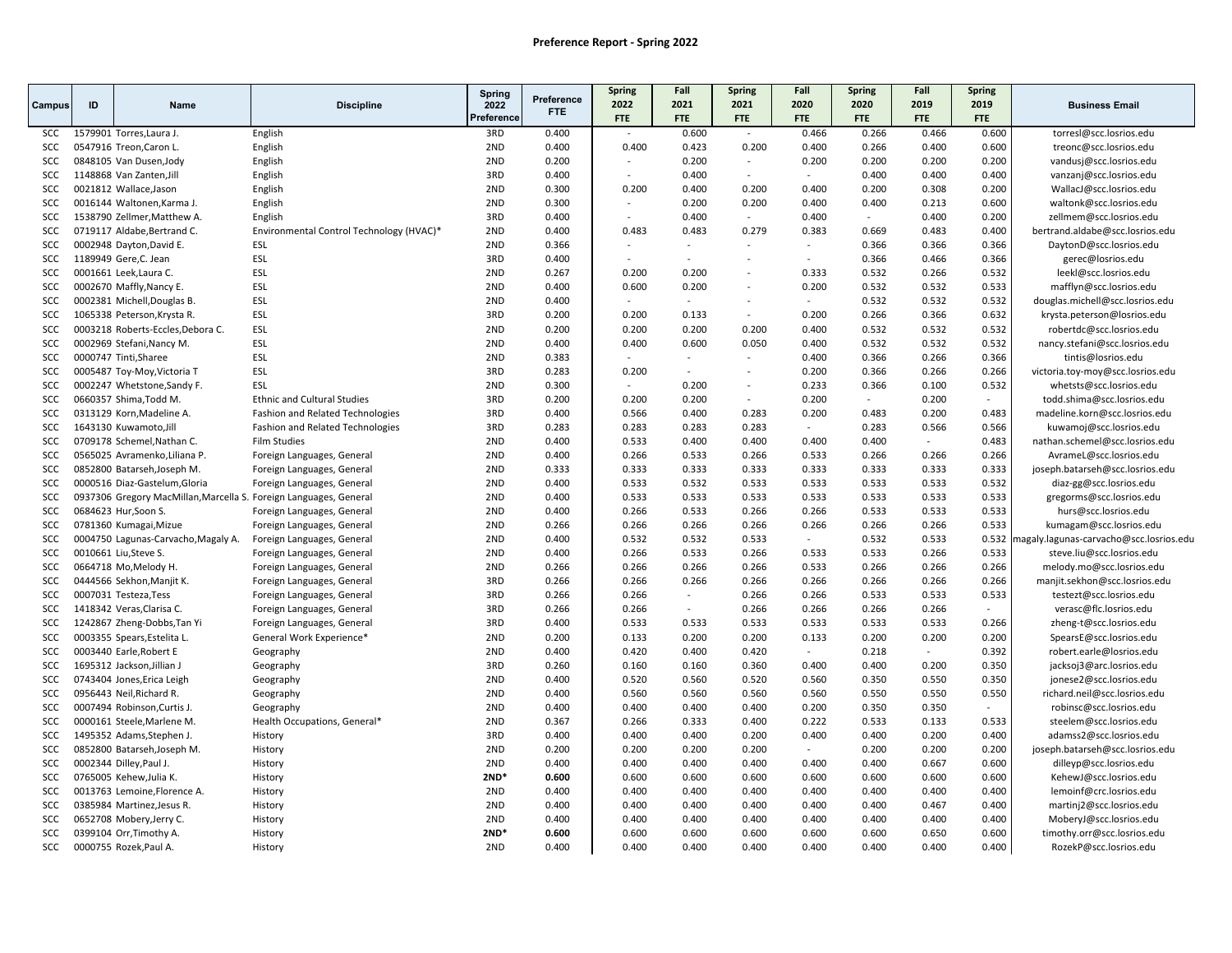|            |    |                                                                   |                                          | Spring     |            | <b>Spring</b> | Fall                     | <b>Spring</b>            | Fall   | <b>Spring</b> | Fall   | Spring |                                               |
|------------|----|-------------------------------------------------------------------|------------------------------------------|------------|------------|---------------|--------------------------|--------------------------|--------|---------------|--------|--------|-----------------------------------------------|
| Campus     | ID | Name                                                              | <b>Discipline</b>                        | 2022       | Preference | 2022          | 2021                     | 2021                     | 2020   | 2020          | 2019   | 2019   | <b>Business Email</b>                         |
|            |    |                                                                   |                                          | Preference | <b>FTE</b> | <b>FTE</b>    | <b>FTE</b>               | <b>FTE</b>               | FTE    | <b>FTE</b>    | FTE    | FTE    |                                               |
| SCC        |    | 1579901 Torres, Laura J.                                          | English                                  | 3RD        | 0.400      | $\sim$        | 0.600                    | $\overline{\phantom{a}}$ | 0.466  | 0.266         | 0.466  | 0.600  | torresl@scc.losrios.edu                       |
| <b>SCC</b> |    | 0547916 Treon, Caron L.                                           | English                                  | 2ND        | 0.400      | 0.400         | 0.423                    | 0.200                    | 0.400  | 0.266         | 0.400  | 0.600  | treonc@scc.losrios.edu                        |
| <b>SCC</b> |    | 0848105 Van Dusen, Jody                                           | English                                  | 2ND        | 0.200      |               | 0.200                    | $\sim$                   | 0.200  | 0.200         | 0.200  | 0.200  | vandusj@scc.losrios.edu                       |
| SCC        |    | 1148868 Van Zanten, Jill                                          | English                                  | 3RD        | 0.400      |               | 0.400                    | $\sim$                   | $\sim$ | 0.400         | 0.400  | 0.400  | vanzanj@scc.losrios.edu                       |
| SCC        |    | 0021812 Wallace, Jason                                            | English                                  | 2ND        | 0.300      | 0.200         | 0.400                    | 0.200                    | 0.400  | 0.200         | 0.308  | 0.200  | WallacJ@scc.losrios.edu                       |
| SCC        |    | 0016144 Waltonen, Karma J.                                        | English                                  | 2ND        | 0.300      |               | 0.200                    | 0.200                    | 0.400  | 0.400         | 0.213  | 0.600  | waltonk@scc.losrios.edu                       |
| SCC        |    | 1538790 Zellmer, Matthew A.                                       | English                                  | 3RD        | 0.400      |               | 0.400                    | $\sim$                   | 0.400  | $\sim$        | 0.400  | 0.200  | zellmem@scc.losrios.edu                       |
| <b>SCC</b> |    | 0719117 Aldabe, Bertrand C.                                       | Environmental Control Technology (HVAC)* | 2ND        | 0.400      | 0.483         | 0.483                    | 0.279                    | 0.383  | 0.669         | 0.483  | 0.400  | bertrand.aldabe@scc.losrios.edu               |
| SCC        |    | 0002948 Dayton, David E.                                          | ESL                                      | 2ND        | 0.366      |               | $\overline{\phantom{a}}$ | $\sim$                   |        | 0.366         | 0.366  | 0.366  | DaytonD@scc.losrios.edu                       |
| <b>SCC</b> |    | 1189949 Gere, C. Jean                                             | ESL                                      | 3RD        | 0.400      |               | $\overline{\phantom{a}}$ | $\overline{\phantom{a}}$ |        | 0.366         | 0.466  | 0.366  | gerec@losrios.edu                             |
| <b>SCC</b> |    | 0001661 Leek, Laura C.                                            | ESL                                      | 2ND        | 0.267      | 0.200         | 0.200                    | $\overline{\phantom{a}}$ | 0.333  | 0.532         | 0.266  | 0.532  | leekl@scc.losrios.edu                         |
| SCC        |    | 0002670 Maffly, Nancy E.                                          | ESL                                      | 2ND        | 0.400      | 0.600         | 0.200                    | $\sim$                   | 0.200  | 0.532         | 0.532  | 0.533  | mafflyn@scc.losrios.edu                       |
| <b>SCC</b> |    | 0002381 Michell, Douglas B.                                       | ESL                                      | 2ND        | 0.400      |               | $\sim$                   |                          | $\sim$ | 0.532         | 0.532  | 0.532  | douglas.michell@scc.losrios.edu               |
| SCC        |    | 1065338 Peterson, Krysta R.                                       | ESL                                      | 3RD        | 0.200      | 0.200         | 0.133                    | $\sim$                   | 0.200  | 0.266         | 0.366  | 0.632  | krysta.peterson@losrios.edu                   |
| SCC        |    | 0003218 Roberts-Eccles, Debora C.                                 | ESL                                      | 2ND        | 0.200      | 0.200         | 0.200                    | 0.200                    | 0.400  | 0.532         | 0.532  | 0.532  | robertdc@scc.losrios.edu                      |
| <b>SCC</b> |    | 0002969 Stefani, Nancy M.                                         | ESL                                      | 2ND        | 0.400      | 0.400         | 0.600                    | 0.050                    | 0.400  | 0.532         | 0.532  | 0.532  | nancy.stefani@scc.losrios.edu                 |
| <b>SCC</b> |    | 0000747 Tinti, Sharee                                             | ESL                                      | 2ND        | 0.383      |               | $\sim$                   | $\sim$                   | 0.400  | 0.366         | 0.266  | 0.366  | tintis@losrios.edu                            |
| SCC        |    | 0005487 Toy-Moy, Victoria T                                       | ESL                                      | 3RD        | 0.283      | 0.200         | $\overline{a}$           | $\overline{\phantom{a}}$ | 0.200  | 0.366         | 0.266  | 0.266  | victoria.toy-moy@scc.losrios.edu              |
| SCC        |    | 0002247 Whetstone, Sandy F.                                       | ESL                                      | 2ND        | 0.300      | $\sim$        | 0.200                    | $\sim$                   | 0.233  | 0.366         | 0.100  | 0.532  | whetsts@scc.losrios.edu                       |
| <b>SCC</b> |    | 0660357 Shima, Todd M.                                            | <b>Ethnic and Cultural Studies</b>       | 3RD        | 0.200      | 0.200         | 0.200                    | $\sim$                   | 0.200  | $\sim$        | 0.200  | $\sim$ | todd.shima@scc.losrios.edu                    |
| SCC        |    | 0313129 Korn, Madeline A.                                         | Fashion and Related Technologies         | 3RD        | 0.400      | 0.566         | 0.400                    | 0.283                    | 0.200  | 0.483         | 0.200  | 0.483  | madeline.korn@scc.losrios.edu                 |
| SCC        |    | 1643130 Kuwamoto, Jill                                            | Fashion and Related Technologies         | 3RD        | 0.283      | 0.283         | 0.283                    | 0.283                    | $\sim$ | 0.283         | 0.566  | 0.566  | kuwamoj@scc.losrios.edu                       |
| <b>SCC</b> |    | 0709178 Schemel, Nathan C.                                        | <b>Film Studies</b>                      | 2ND        | 0.400      | 0.533         | 0.400                    | 0.400                    | 0.400  | 0.400         | $\sim$ | 0.483  | nathan.schemel@scc.losrios.edu                |
| SCC        |    | 0565025 Avramenko, Liliana P.                                     | Foreign Languages, General               | 2ND        | 0.400      | 0.266         | 0.533                    | 0.266                    | 0.533  | 0.266         | 0.266  | 0.266  | AvrameL@scc.losrios.edu                       |
| <b>SCC</b> |    | 0852800 Batarseh, Joseph M.                                       | Foreign Languages, General               | 2ND        | 0.333      | 0.333         | 0.333                    | 0.333                    | 0.333  | 0.333         | 0.333  | 0.333  | joseph.batarseh@scc.losrios.edu               |
| SCC        |    | 0000516 Diaz-Gastelum, Gloria                                     | Foreign Languages, General               | 2ND        | 0.400      | 0.533         | 0.532                    | 0.533                    | 0.533  | 0.533         | 0.533  | 0.532  | diaz-gg@scc.losrios.edu                       |
| <b>SCC</b> |    | 0937306 Gregory MacMillan, Marcella S. Foreign Languages, General |                                          | 2ND        | 0.400      | 0.533         | 0.533                    | 0.533                    | 0.533  | 0.533         | 0.533  | 0.533  | gregorms@scc.losrios.edu                      |
| <b>SCC</b> |    | 0684623 Hur, Soon S.                                              | Foreign Languages, General               | 2ND        | 0.400      | 0.266         | 0.533                    | 0.266                    | 0.266  | 0.533         | 0.533  | 0.533  | hurs@scc.losrios.edu                          |
| SCC        |    | 0781360 Kumagai, Mizue                                            | Foreign Languages, General               | 2ND        | 0.266      | 0.266         | 0.266                    | 0.266                    | 0.266  | 0.266         | 0.266  | 0.533  | kumagam@scc.losrios.edu                       |
| <b>SCC</b> |    | 0004750 Lagunas-Carvacho, Magaly A.                               | Foreign Languages, General               | 2ND        | 0.400      | 0.532         | 0.532                    | 0.533                    | $\sim$ | 0.532         | 0.533  |        | 0.532 magaly.lagunas-carvacho@scc.losrios.edu |
| SCC        |    | 0010661 Liu, Steve S.                                             | Foreign Languages, General               | 2ND        | 0.400      | 0.266         | 0.533                    | 0.266                    | 0.533  | 0.533         | 0.266  | 0.533  | steve.liu@scc.losrios.edu                     |
| <b>SCC</b> |    | 0664718 Mo, Melody H.                                             | Foreign Languages, General               | 2ND        | 0.266      | 0.266         | 0.266                    | 0.266                    | 0.533  | 0.266         | 0.266  | 0.266  | melody.mo@scc.losrios.edu                     |
| <b>SCC</b> |    | 0444566 Sekhon, Manjit K.                                         | Foreign Languages, General               | 3RD        | 0.266      | 0.266         | 0.266                    | 0.266                    | 0.266  | 0.266         | 0.266  | 0.266  | manjit.sekhon@scc.losrios.edu                 |
| <b>SCC</b> |    | 0007031 Testeza, Tess                                             | Foreign Languages, General               | 3RD        | 0.266      | 0.266         | $\overline{\phantom{a}}$ | 0.266                    | 0.266  | 0.533         | 0.533  | 0.533  | testezt@scc.losrios.edu                       |
| SCC        |    | 1418342 Veras, Clarisa C.                                         | Foreign Languages, General               | 3RD        | 0.266      | 0.266         | $\overline{a}$           | 0.266                    | 0.266  | 0.266         | 0.266  |        | verasc@flc.losrios.edu                        |
| SCC        |    | 1242867 Zheng-Dobbs, Tan Yi                                       | Foreign Languages, General               | 3RD        | 0.400      | 0.533         | 0.533                    | 0.533                    | 0.533  | 0.533         | 0.533  | 0.266  | zheng-t@scc.losrios.edu                       |
| <b>SCC</b> |    | 0003355 Spears, Estelita L.                                       | General Work Experience*                 | 2ND        | 0.200      | 0.133         | 0.200                    | 0.200                    | 0.133  | 0.200         | 0.200  | 0.200  | SpearsE@scc.losrios.edu                       |
| SCC        |    | 0003440 Earle, Robert E                                           | Geography                                | 2ND        | 0.400      | 0.420         | 0.400                    | 0.420                    | $\sim$ | 0.218         | $\sim$ | 0.392  | robert.earle@losrios.edu                      |
| <b>SCC</b> |    | 1695312 Jackson, Jillian J                                        | Geography                                | 3RD        | 0.260      | 0.160         | 0.160                    | 0.360                    | 0.400  | 0.400         | 0.200  | 0.350  | jacksoj3@arc.losrios.edu                      |
| <b>SCC</b> |    | 0743404 Jones, Erica Leigh                                        | Geography                                | 2ND        | 0.400      | 0.520         | 0.560                    | 0.520                    | 0.560  | 0.350         | 0.550  | 0.350  | jonese2@scc.losrios.edu                       |
| SCC        |    | 0956443 Neil, Richard R.                                          | Geography                                | 2ND        | 0.400      | 0.560         | 0.560                    | 0.560                    | 0.560  | 0.550         | 0.550  | 0.550  | richard.neil@scc.losrios.edu                  |
| <b>SCC</b> |    | 0007494 Robinson, Curtis J.                                       | Geography                                | 2ND        | 0.400      | 0.400         | 0.400                    | 0.400                    | 0.200  | 0.350         | 0.350  | $\sim$ | robinsc@scc.losrios.edu                       |
| SCC        |    | 0000161 Steele, Marlene M.                                        | Health Occupations, General*             | 2ND        | 0.367      | 0.266         | 0.333                    | 0.400                    | 0.222  | 0.533         | 0.133  | 0.533  | steelem@scc.losrios.edu                       |
| SCC        |    | 1495352 Adams, Stephen J.                                         | History                                  | 3RD        | 0.400      | 0.400         | 0.400                    | 0.200                    | 0.400  | 0.400         | 0.200  | 0.400  | adamss2@scc.losrios.edu                       |
| <b>SCC</b> |    | 0852800 Batarseh, Joseph M.                                       | History                                  | 2ND        | 0.200      | 0.200         | 0.200                    | 0.200                    | $\sim$ | 0.200         | 0.200  | 0.200  | joseph.batarseh@scc.losrios.edu               |
| SCC        |    | 0002344 Dilley, Paul J.                                           | History                                  | 2ND        | 0.400      | 0.400         | 0.400                    | 0.400                    | 0.400  | 0.400         | 0.667  | 0.600  | dilleyp@scc.losrios.edu                       |
| <b>SCC</b> |    | 0765005 Kehew, Julia K.                                           | History                                  | $2ND*$     | 0.600      | 0.600         | 0.600                    | 0.600                    | 0.600  | 0.600         | 0.600  | 0.600  | KehewJ@scc.losrios.edu                        |
| <b>SCC</b> |    | 0013763 Lemoine, Florence A.                                      | History                                  | 2ND        | 0.400      | 0.400         | 0.400                    | 0.400                    | 0.400  | 0.400         | 0.400  | 0.400  | lemoinf@crc.losrios.edu                       |
| <b>SCC</b> |    | 0385984 Martinez, Jesus R.                                        | History                                  | 2ND        | 0.400      | 0.400         | 0.400                    | 0.400                    | 0.400  | 0.400         | 0.467  | 0.400  | martinj2@scc.losrios.edu                      |
| SCC        |    | 0652708 Mobery, Jerry C.                                          | History                                  | 2ND        | 0.400      | 0.400         | 0.400                    | 0.400                    | 0.400  | 0.400         | 0.400  | 0.400  | MoberyJ@scc.losrios.edu                       |
| SCC        |    | 0399104 Orr, Timothy A.                                           | History                                  | $2ND*$     | 0.600      | 0.600         | 0.600                    | 0.600                    | 0.600  | 0.600         | 0.650  | 0.600  | timothy.orr@scc.losrios.edu                   |
| SCC        |    | 0000755 Rozek, Paul A.                                            | History                                  | 2ND        | 0.400      | 0.400         | 0.400                    | 0.400                    | 0.400  | 0.400         | 0.400  | 0.400  | RozekP@scc.losrios.edu                        |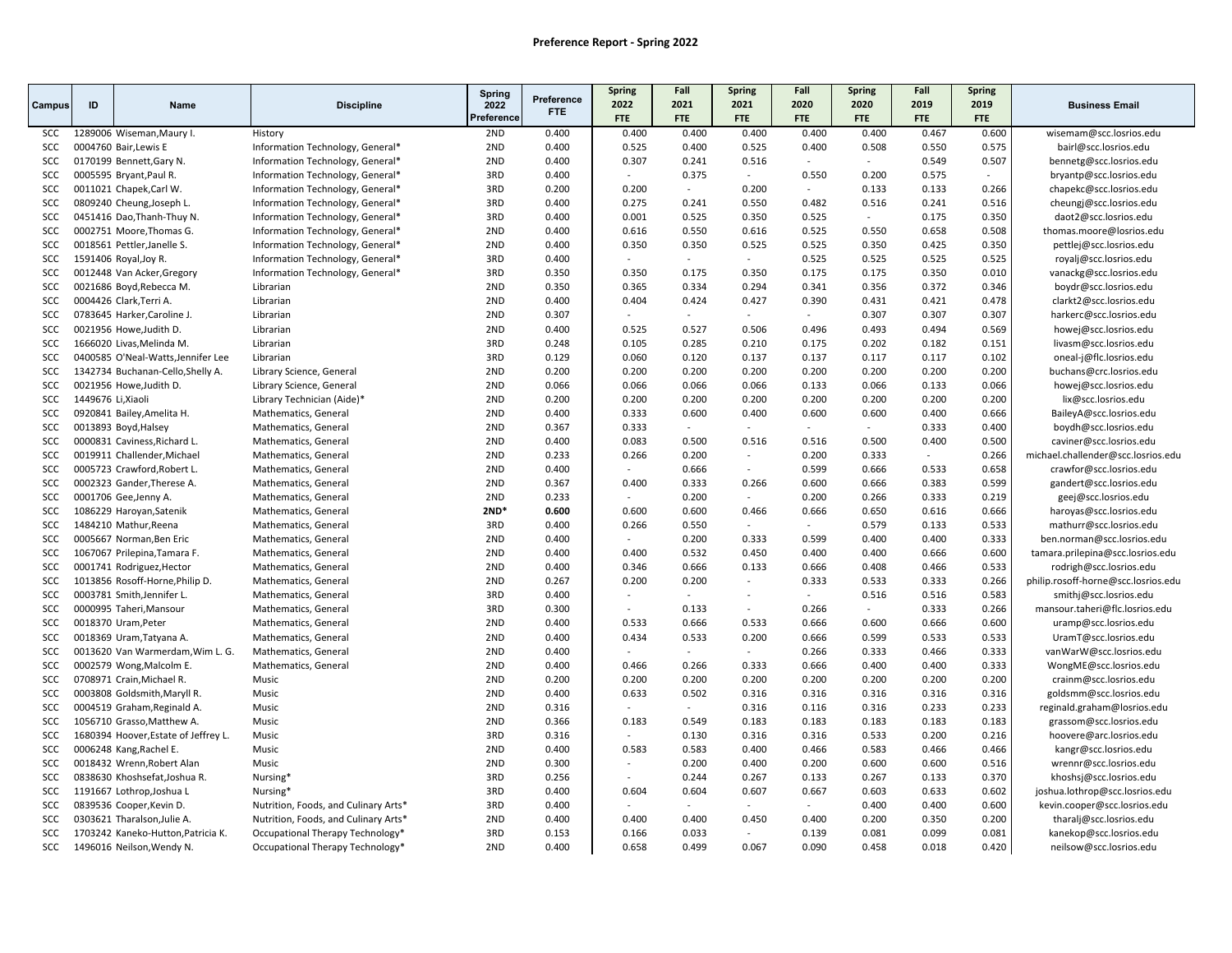|                          |                    |                                                               |                                              | Spring     |                    | Spring                   | Fall                     | <b>Spring</b>            | Fall                        | <b>Spring</b>   | Fall           | Spring         |                                                               |
|--------------------------|--------------------|---------------------------------------------------------------|----------------------------------------------|------------|--------------------|--------------------------|--------------------------|--------------------------|-----------------------------|-----------------|----------------|----------------|---------------------------------------------------------------|
| Campus                   | ID                 | Name                                                          | <b>Discipline</b>                            | 2022       | Preference<br>FTE. | 2022                     | 2021                     | 2021                     | 2020                        | 2020            | 2019           | 2019           | <b>Business Email</b>                                         |
|                          |                    |                                                               |                                              | Preference |                    | <b>FTE</b>               | FTE                      | FTE                      | <b>FTE</b>                  | FTE             | <b>FTE</b>     | FTE            |                                                               |
| SCC                      |                    | 1289006 Wiseman, Maury I.                                     | History                                      | 2ND        | 0.400              | 0.400                    | 0.400                    | 0.400                    | 0.400                       | 0.400           | 0.467          | 0.600          | wisemam@scc.losrios.edu                                       |
| SCC                      |                    | 0004760 Bair, Lewis E                                         | Information Technology, General*             | 2ND        | 0.400              | 0.525                    | 0.400                    | 0.525                    | 0.400                       | 0.508           | 0.550          | 0.575          | bairl@scc.losrios.edu                                         |
| SCC                      |                    | 0170199 Bennett, Gary N.                                      | Information Technology, General*             | 2ND        | 0.400              | 0.307                    | 0.241                    | 0.516                    | $\sim$                      | $\sim$          | 0.549          | 0.507          | bennetg@scc.losrios.edu                                       |
| <b>SCC</b>               |                    | 0005595 Bryant, Paul R.                                       | Information Technology, General*             | 3RD        | 0.400              |                          | 0.375                    | $\sim$                   | 0.550                       | 0.200           | 0.575          |                | bryantp@scc.losrios.edu                                       |
| SCC                      |                    | 0011021 Chapek, Carl W.                                       | Information Technology, General*             | 3RD        | 0.200              | 0.200                    | $\overline{a}$           | 0.200                    | $\mathcal{L}_{\mathcal{A}}$ | 0.133           | 0.133          | 0.266          | chapekc@scc.losrios.edu                                       |
| <b>SCC</b>               |                    | 0809240 Cheung, Joseph L.                                     | Information Technology, General*             | 3RD        | 0.400              | 0.275                    | 0.241                    | 0.550                    | 0.482                       | 0.516           | 0.241          | 0.516          | cheungj@scc.losrios.edu                                       |
| SCC                      |                    | 0451416 Dao, Thanh-Thuy N.                                    | Information Technology, General*             | 3RD        | 0.400              | 0.001                    | 0.525                    | 0.350                    | 0.525                       |                 | 0.175          | 0.350          | daot2@scc.losrios.edu                                         |
| SCC                      |                    | 0002751 Moore, Thomas G.                                      | Information Technology, General*             | 2ND        | 0.400              | 0.616                    | 0.550                    | 0.616                    | 0.525                       | 0.550           | 0.658          | 0.508          | thomas.moore@losrios.edu                                      |
| SCC                      |                    | 0018561 Pettler, Janelle S.                                   | Information Technology, General*             | 2ND        | 0.400              | 0.350                    | 0.350                    | 0.525                    | 0.525                       | 0.350           | 0.425          | 0.350          | pettlej@scc.losrios.edu                                       |
| SCC                      |                    | 1591406 Royal, Joy R.                                         | Information Technology, General*             | 3RD        | 0.400              |                          | $\sim$                   | $\sim$                   | 0.525                       | 0.525           | 0.525          | 0.525          | royalj@scc.losrios.edu                                        |
| <b>SCC</b>               |                    | 0012448 Van Acker, Gregory                                    | Information Technology, General*             | 3RD        | 0.350              | 0.350                    | 0.175                    | 0.350                    | 0.175                       | 0.175           | 0.350          | 0.010          | vanackg@scc.losrios.edu                                       |
| SCC                      |                    | 0021686 Boyd, Rebecca M.                                      | Librarian                                    | 2ND        | 0.350              | 0.365                    | 0.334                    | 0.294                    | 0.341                       | 0.356           | 0.372          | 0.346          | boydr@scc.losrios.edu                                         |
| SCC                      |                    | 0004426 Clark, Terri A.                                       | Librarian                                    | 2ND        | 0.400              | 0.404                    | 0.424                    | 0.427                    | 0.390                       | 0.431           | 0.421          | 0.478          | clarkt2@scc.losrios.edu                                       |
| SCC                      |                    | 0783645 Harker, Caroline J.                                   | Librarian                                    | 2ND        | 0.307              | $\overline{a}$           | $\sim$                   | $\mathcal{L}$            | $\sim$                      | 0.307           | 0.307          | 0.307          | harkerc@scc.losrios.edu                                       |
| <b>SCC</b>               |                    | 0021956 Howe, Judith D.                                       | Librarian                                    | 2ND        | 0.400              | 0.525                    | 0.527                    | 0.506                    | 0.496                       | 0.493           | 0.494          | 0.569          | howej@scc.losrios.edu                                         |
| <b>SCC</b>               |                    | 1666020 Livas, Melinda M.                                     | Librarian                                    | 3RD        | 0.248              | 0.105                    | 0.285                    | 0.210                    | 0.175                       | 0.202           | 0.182          | 0.151          | livasm@scc.losrios.edu                                        |
| SCC                      |                    | 0400585 O'Neal-Watts, Jennifer Lee                            | Librarian                                    | 3RD        | 0.129              | 0.060                    | 0.120                    | 0.137                    | 0.137                       | 0.117           | 0.117          | 0.102          | oneal-j@flc.losrios.edu                                       |
| <b>SCC</b>               |                    | 1342734 Buchanan-Cello, Shelly A.                             | Library Science, General                     | 2ND        | 0.200              | 0.200                    | 0.200                    | 0.200                    | 0.200                       | 0.200           | 0.200          | 0.200          | buchans@crc.losrios.edu                                       |
| SCC                      |                    | 0021956 Howe, Judith D.                                       | Library Science, General                     | 2ND        | 0.066              | 0.066                    | 0.066                    | 0.066                    | 0.133                       | 0.066           | 0.133          | 0.066          | howej@scc.losrios.edu                                         |
| SCC                      | 1449676 Li, Xiaoli |                                                               | Library Technician (Aide)*                   | 2ND        | 0.200              | 0.200                    | 0.200                    | 0.200                    | 0.200                       | 0.200           | 0.200          | 0.200          | lix@scc.losrios.edu                                           |
| <b>SCC</b>               |                    | 0920841 Bailey, Amelita H.                                    | Mathematics, General                         | 2ND        | 0.400              | 0.333                    | 0.600<br>$\sim$          | 0.400<br>$\sim$          | 0.600                       | 0.600<br>$\sim$ | 0.400          | 0.666          | BaileyA@scc.losrios.edu                                       |
| SCC                      |                    | 0013893 Boyd, Halsey                                          | Mathematics, General                         | 2ND        | 0.367              | 0.333                    |                          |                          | $\sim$                      |                 | 0.333          | 0.400          | boydh@scc.losrios.edu                                         |
| SCC                      |                    | 0000831 Caviness, Richard L.                                  | Mathematics, General                         | 2ND        | 0.400              | 0.083                    | 0.500                    | 0.516                    | 0.516                       | 0.500           | 0.400          | 0.500          | caviner@scc.losrios.edu                                       |
| SCC                      |                    | 0019911 Challender, Michael                                   | Mathematics, General                         | 2ND        | 0.233              | 0.266<br>÷.              | 0.200                    | $\sim$<br>$\sim$         | 0.200                       | 0.333           | $\blacksquare$ | 0.266          | michael.challender@scc.losrios.edu                            |
| SCC                      |                    | 0005723 Crawford, Robert L.                                   | Mathematics, General                         | 2ND        | 0.400              |                          | 0.666                    |                          | 0.599                       | 0.666           | 0.533          | 0.658          | crawfor@scc.losrios.edu                                       |
| <b>SCC</b>               |                    | 0002323 Gander, Therese A.                                    | Mathematics, General                         | 2ND        | 0.367              | 0.400                    | 0.333                    | 0.266<br>$\overline{a}$  | 0.600                       | 0.666           | 0.383          | 0.599          | gandert@scc.losrios.edu                                       |
| SCC                      |                    | 0001706 Gee, Jenny A.                                         | Mathematics, General                         | 2ND        | 0.233              |                          | 0.200                    |                          | 0.200                       | 0.266           | 0.333          | 0.219          | geej@scc.losrios.edu                                          |
| SCC                      |                    | 1086229 Haroyan, Satenik                                      | Mathematics, General                         | $2ND*$     | 0.600              | 0.600                    | 0.600                    | 0.466<br>$\sim$          | 0.666<br>$\sim$             | 0.650           | 0.616          | 0.666          | haroyas@scc.losrios.edu                                       |
| SCC                      |                    | 1484210 Mathur, Reena                                         | Mathematics, General                         | 3RD<br>2ND | 0.400              | 0.266<br>$\overline{a}$  | 0.550                    |                          |                             | 0.579           | 0.133          | 0.533          | mathurr@scc.losrios.edu                                       |
| SCC                      |                    | 0005667 Norman, Ben Eric                                      | Mathematics, General                         |            | 0.400              |                          | 0.200                    | 0.333                    | 0.599                       | 0.400           | 0.400          | 0.333          | ben.norman@scc.losrios.edu                                    |
| SCC                      |                    | 1067067 Prilepina, Tamara F.                                  | Mathematics, General                         | 2ND<br>2ND | 0.400              | 0.400<br>0.346           | 0.532<br>0.666           | 0.450<br>0.133           | 0.400<br>0.666              | 0.400<br>0.408  | 0.666<br>0.466 | 0.600<br>0.533 | tamara.prilepina@scc.losrios.edu                              |
| <b>SCC</b><br><b>SCC</b> |                    | 0001741 Rodriguez, Hector                                     | Mathematics, General                         | 2ND        | 0.400              | 0.200                    | 0.200                    | $\sim$                   | 0.333                       | 0.533           |                |                | rodrigh@scc.losrios.edu                                       |
| SCC                      |                    | 1013856 Rosoff-Horne, Philip D.<br>0003781 Smith, Jennifer L. | Mathematics, General                         | 3RD        | 0.267<br>0.400     | $\overline{\phantom{a}}$ | $\sim$                   | $\overline{\phantom{a}}$ | $\sim$                      | 0.516           | 0.333<br>0.516 | 0.266<br>0.583 | philip.rosoff-horne@scc.losrios.edu<br>smithj@scc.losrios.edu |
| SCC                      |                    | 0000995 Taheri, Mansour                                       | Mathematics, General                         | 3RD        | 0.300              | ÷,                       | 0.133                    | $\overline{\phantom{a}}$ | 0.266                       |                 | 0.333          | 0.266          | mansour.taheri@flc.losrios.edu                                |
| SCC                      |                    | 0018370 Uram, Peter                                           | Mathematics, General<br>Mathematics, General | 2ND        | 0.400              | 0.533                    | 0.666                    | 0.533                    | 0.666                       | 0.600           | 0.666          | 0.600          | uramp@scc.losrios.edu                                         |
| <b>SCC</b>               |                    | 0018369 Uram, Tatyana A.                                      | Mathematics, General                         | 2ND        | 0.400              | 0.434                    | 0.533                    | 0.200                    | 0.666                       | 0.599           | 0.533          | 0.533          | UramT@scc.losrios.edu                                         |
| <b>SCC</b>               |                    | 0013620 Van Warmerdam, Wim L. G.                              | Mathematics, General                         | 2ND        | 0.400              |                          |                          |                          | 0.266                       | 0.333           | 0.466          | 0.333          | vanWarW@scc.losrios.edu                                       |
| SCC                      |                    | 0002579 Wong, Malcolm E.                                      | Mathematics, General                         | 2ND        | 0.400              | 0.466                    | 0.266                    | 0.333                    | 0.666                       | 0.400           | 0.400          | 0.333          | WongME@scc.losrios.edu                                        |
| <b>SCC</b>               |                    | 0708971 Crain, Michael R.                                     | Music                                        | 2ND        | 0.200              | 0.200                    | 0.200                    | 0.200                    | 0.200                       | 0.200           | 0.200          | 0.200          | crainm@scc.losrios.edu                                        |
| SCC                      |                    | 0003808 Goldsmith, Maryll R.                                  | Music                                        | 2ND        | 0.400              | 0.633                    | 0.502                    | 0.316                    | 0.316                       | 0.316           | 0.316          | 0.316          | goldsmm@scc.losrios.edu                                       |
| SCC                      |                    | 0004519 Graham, Reginald A.                                   | Music                                        | 2ND        | 0.316              | $\overline{\phantom{a}}$ | $\overline{\phantom{a}}$ | 0.316                    | 0.116                       | 0.316           | 0.233          | 0.233          | reginald.graham@losrios.edu                                   |
| SCC                      |                    | 1056710 Grasso, Matthew A.                                    | Music                                        | 2ND        | 0.366              | 0.183                    | 0.549                    | 0.183                    | 0.183                       | 0.183           | 0.183          | 0.183          | grassom@scc.losrios.edu                                       |
| SCC                      |                    | 1680394 Hoover, Estate of Jeffrey L.                          | Music                                        | 3RD        | 0.316              |                          | 0.130                    | 0.316                    | 0.316                       | 0.533           | 0.200          | 0.216          | hoovere@arc.losrios.edu                                       |
| SCC                      |                    | 0006248 Kang, Rachel E.                                       | Music                                        | 2ND        | 0.400              | 0.583                    | 0.583                    | 0.400                    | 0.466                       | 0.583           | 0.466          | 0.466          | kangr@scc.losrios.edu                                         |
| SCC                      |                    | 0018432 Wrenn, Robert Alan                                    | Music                                        | 2ND        | 0.300              | $\overline{a}$           | 0.200                    | 0.400                    | 0.200                       | 0.600           | 0.600          | 0.516          | wrennr@scc.losrios.edu                                        |
| SCC                      |                    | 0838630 Khoshsefat, Joshua R.                                 | Nursing*                                     | 3RD        | 0.256              | $\overline{a}$           | 0.244                    | 0.267                    | 0.133                       | 0.267           | 0.133          | 0.370          | khoshsj@scc.losrios.edu                                       |
| SCC                      |                    | 1191667 Lothrop, Joshua L                                     | Nursing <sup>*</sup>                         | 3RD        | 0.400              | 0.604                    | 0.604                    | 0.607                    | 0.667                       | 0.603           | 0.633          | 0.602          | joshua.lothrop@scc.losrios.edu                                |
| SCC                      |                    | 0839536 Cooper, Kevin D.                                      | Nutrition, Foods, and Culinary Arts*         | 3RD        | 0.400              |                          |                          |                          | $\sim$                      | 0.400           | 0.400          | 0.600          | kevin.cooper@scc.losrios.edu                                  |
| SCC                      |                    | 0303621 Tharalson, Julie A.                                   | Nutrition, Foods, and Culinary Arts*         | 2ND        | 0.400              | 0.400                    | 0.400                    | 0.450                    | 0.400                       | 0.200           | 0.350          | 0.200          | tharalj@scc.losrios.edu                                       |
| <b>SCC</b>               |                    | 1703242 Kaneko-Hutton, Patricia K.                            | Occupational Therapy Technology*             | 3RD        | 0.153              | 0.166                    | 0.033                    | $\mathbb{L}^+$           | 0.139                       | 0.081           | 0.099          | 0.081          | kanekop@scc.losrios.edu                                       |
| SCC                      |                    | 1496016 Neilson, Wendy N.                                     | Occupational Therapy Technology*             | 2ND        | 0.400              | 0.658                    | 0.499                    | 0.067                    | 0.090                       | 0.458           | 0.018          | 0.420          | neilsow@scc.losrios.edu                                       |
|                          |                    |                                                               |                                              |            |                    |                          |                          |                          |                             |                 |                |                |                                                               |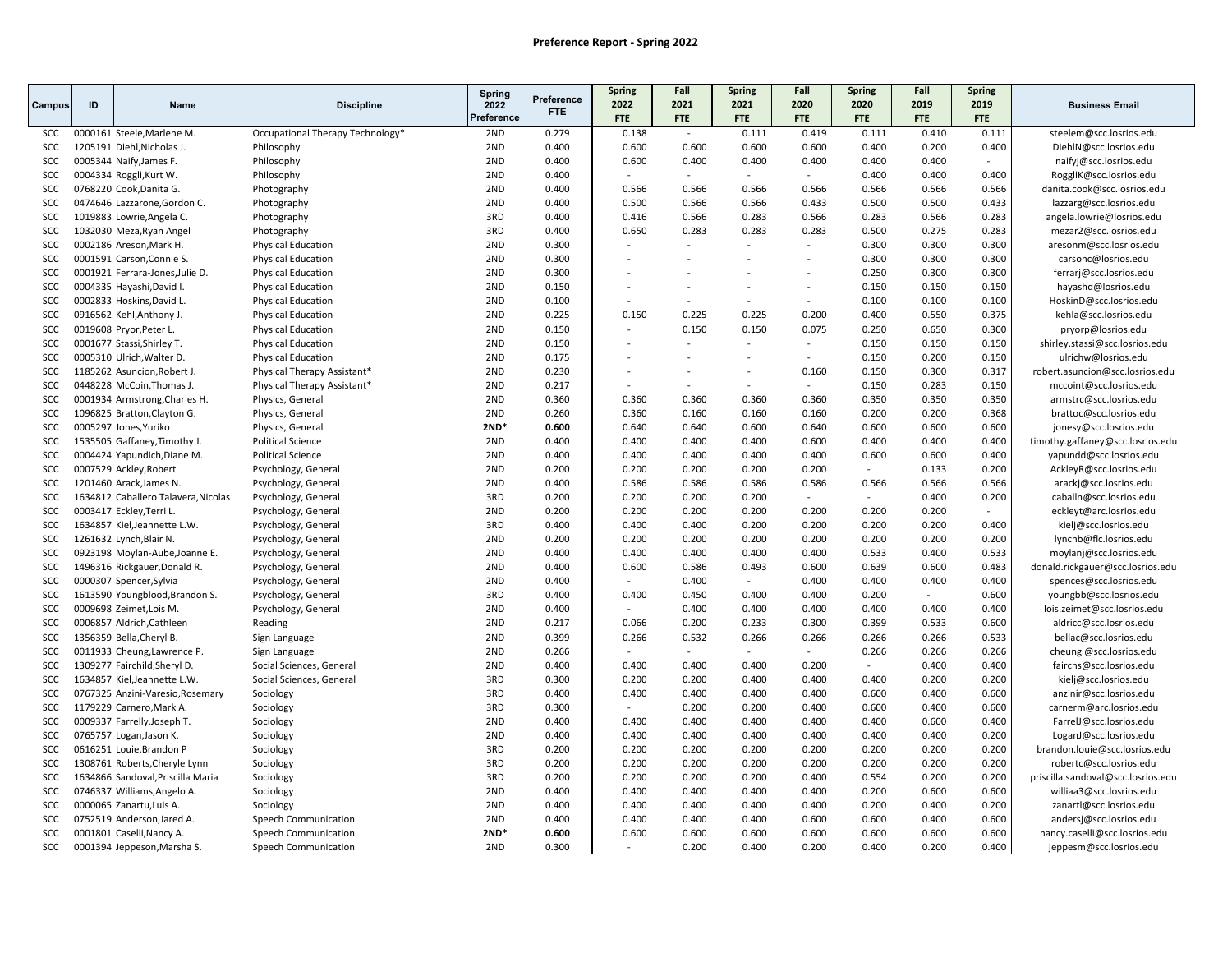|            |    |                                     |                                  | <b>Spring</b> |                          | <b>Spring</b>  | Fall                     | <b>Spring</b> | Fall                     | <b>Spring</b>            | Fall       | <b>Spring</b> |                                    |
|------------|----|-------------------------------------|----------------------------------|---------------|--------------------------|----------------|--------------------------|---------------|--------------------------|--------------------------|------------|---------------|------------------------------------|
| Campus     | ID | <b>Name</b>                         | <b>Discipline</b>                | 2022          | Preference<br><b>FTE</b> | 2022           | 2021                     | 2021          | 2020                     | 2020                     | 2019       | 2019          | <b>Business Email</b>              |
|            |    |                                     |                                  | Preference    |                          | <b>FTE</b>     | <b>FTE</b>               | <b>FTE</b>    | <b>FTE</b>               | <b>FTE</b>               | <b>FTE</b> | <b>FTE</b>    |                                    |
| <b>SCC</b> |    | 0000161 Steele, Marlene M.          | Occupational Therapy Technology* | 2ND           | 0.279                    | 0.138          | $\sim$                   | 0.111         | 0.419                    | 0.111                    | 0.410      | 0.111         | steelem@scc.losrios.edu            |
| SCC        |    | 1205191 Diehl, Nicholas J.          | Philosophy                       | 2ND           | 0.400                    | 0.600          | 0.600                    | 0.600         | 0.600                    | 0.400                    | 0.200      | 0.400         | DiehlN@scc.losrios.edu             |
| SCC        |    | 0005344 Naify, James F.             | Philosophy                       | 2ND           | 0.400                    | 0.600          | 0.400                    | 0.400         | 0.400                    | 0.400                    | 0.400      | $\sim$        | naifyj@scc.losrios.edu             |
| SCC        |    | 0004334 Roggli, Kurt W.             | Philosophy                       | 2ND           | 0.400                    |                | $\sim$                   | $\sim$        | $\sim$                   | 0.400                    | 0.400      | 0.400         | RoggliK@scc.losrios.edu            |
| SCC        |    | 0768220 Cook, Danita G.             | Photography                      | 2ND           | 0.400                    | 0.566          | 0.566                    | 0.566         | 0.566                    | 0.566                    | 0.566      | 0.566         | danita.cook@scc.losrios.edu        |
| SCC        |    | 0474646 Lazzarone, Gordon C.        | Photography                      | 2ND           | 0.400                    | 0.500          | 0.566                    | 0.566         | 0.433                    | 0.500                    | 0.500      | 0.433         | lazzarg@scc.losrios.edu            |
| SCC        |    | 1019883 Lowrie, Angela C.           | Photography                      | 3RD           | 0.400                    | 0.416          | 0.566                    | 0.283         | 0.566                    | 0.283                    | 0.566      | 0.283         | angela.lowrie@losrios.edu          |
| SCC        |    | 1032030 Meza, Ryan Angel            | Photography                      | 3RD           | 0.400                    | 0.650          | 0.283                    | 0.283         | 0.283                    | 0.500                    | 0.275      | 0.283         | mezar2@scc.losrios.edu             |
| SCC        |    | 0002186 Areson, Mark H.             | <b>Physical Education</b>        | 2ND           | 0.300                    | $\overline{a}$ | $\overline{\phantom{a}}$ |               | $\sim$                   | 0.300                    | 0.300      | 0.300         | aresonm@scc.losrios.edu            |
| SCC        |    | 0001591 Carson, Connie S.           | <b>Physical Education</b>        | 2ND           | 0.300                    |                |                          |               |                          | 0.300                    | 0.300      | 0.300         | carsonc@losrios.edu                |
| SCC        |    | 0001921 Ferrara-Jones, Julie D.     | <b>Physical Education</b>        | 2ND           | 0.300                    |                | $\overline{\phantom{a}}$ | $\sim$        | $\overline{\phantom{a}}$ | 0.250                    | 0.300      | 0.300         | ferrarj@scc.losrios.edu            |
| SCC        |    | 0004335 Hayashi, David I.           | <b>Physical Education</b>        | 2ND           | 0.150                    |                |                          |               | $\overline{a}$           | 0.150                    | 0.150      | 0.150         | hayashd@losrios.edu                |
| SCC        |    | 0002833 Hoskins, David L.           | <b>Physical Education</b>        | 2ND           | 0.100                    |                |                          |               | $\sim$                   | 0.100                    | 0.100      | 0.100         | HoskinD@scc.losrios.edu            |
| SCC        |    | 0916562 Kehl, Anthony J.            | <b>Physical Education</b>        | 2ND           | 0.225                    | 0.150          | 0.225                    | 0.225         | 0.200                    | 0.400                    | 0.550      | 0.375         | kehla@scc.losrios.edu              |
| SCC        |    | 0019608 Pryor, Peter L.             | <b>Physical Education</b>        | 2ND           | 0.150                    |                | 0.150                    | 0.150         | 0.075                    | 0.250                    | 0.650      | 0.300         | pryorp@losrios.edu                 |
| SCC        |    | 0001677 Stassi, Shirley T.          | <b>Physical Education</b>        | 2ND           | 0.150                    |                | $\overline{\phantom{a}}$ | $\sim$        | $\sim$                   | 0.150                    | 0.150      | 0.150         | shirley.stassi@scc.losrios.edu     |
| <b>SCC</b> |    | 0005310 Ulrich, Walter D.           | <b>Physical Education</b>        | 2ND           | 0.175                    |                | $\overline{a}$           |               | ÷                        | 0.150                    | 0.200      | 0.150         | ulrichw@losrios.edu                |
| SCC        |    | 1185262 Asuncion, Robert J.         | Physical Therapy Assistant*      | 2ND           | 0.230                    |                |                          |               | 0.160                    | 0.150                    | 0.300      | 0.317         | robert.asuncion@scc.losrios.edu    |
| SCC        |    | 0448228 McCoin, Thomas J.           | Physical Therapy Assistant*      | 2ND           | 0.217                    |                | $\overline{a}$           | $\sim$        | $\sim$                   | 0.150                    | 0.283      | 0.150         | mccoint@scc.losrios.edu            |
| SCC        |    | 0001934 Armstrong, Charles H.       | Physics, General                 | 2ND           | 0.360                    | 0.360          | 0.360                    | 0.360         | 0.360                    | 0.350                    | 0.350      | 0.350         | armstrc@scc.losrios.edu            |
| SCC        |    | 1096825 Bratton, Clayton G.         | Physics, General                 | 2ND           | 0.260                    | 0.360          | 0.160                    | 0.160         | 0.160                    | 0.200                    | 0.200      | 0.368         | brattoc@scc.losrios.edu            |
| SCC        |    | 0005297 Jones, Yuriko               | Physics, General                 | $2ND*$        | 0.600                    | 0.640          | 0.640                    | 0.600         | 0.640                    | 0.600                    | 0.600      | 0.600         | jonesy@scc.losrios.edu             |
| SCC        |    | 1535505 Gaffaney, Timothy J.        | <b>Political Science</b>         | 2ND           | 0.400                    | 0.400          | 0.400                    | 0.400         | 0.600                    | 0.400                    | 0.400      | 0.400         | timothy.gaffaney@scc.losrios.edu   |
| SCC        |    | 0004424 Yapundich, Diane M.         | <b>Political Science</b>         | 2ND           | 0.400                    | 0.400          | 0.400                    | 0.400         | 0.400                    | 0.600                    | 0.600      | 0.400         | yapundd@scc.losrios.edu            |
| SCC        |    | 0007529 Ackley, Robert              | Psychology, General              | 2ND           | 0.200                    | 0.200          | 0.200                    | 0.200         | 0.200                    | $\overline{\phantom{a}}$ | 0.133      | 0.200         | AckleyR@scc.losrios.edu            |
| <b>SCC</b> |    | 1201460 Arack, James N.             | Psychology, General              | 2ND           | 0.400                    | 0.586          | 0.586                    | 0.586         | 0.586                    | 0.566                    | 0.566      | 0.566         | arackj@scc.losrios.edu             |
| SCC        |    | 1634812 Caballero Talavera, Nicolas | Psychology, General              | 3RD           | 0.200                    | 0.200          | 0.200                    | 0.200         | $\sim$                   | $\sim$                   | 0.400      | 0.200         | caballn@scc.losrios.edu            |
| SCC        |    | 0003417 Eckley, Terri L.            | Psychology, General              | 2ND           | 0.200                    | 0.200          | 0.200                    | 0.200         | 0.200                    | 0.200                    | 0.200      | $\sim$        | eckleyt@arc.losrios.edu            |
| SCC        |    | 1634857 Kiel, Jeannette L.W.        | Psychology, General              | 3RD           | 0.400                    | 0.400          | 0.400                    | 0.200         | 0.200                    | 0.200                    | 0.200      | 0.400         | kielj@scc.losrios.edu              |
| SCC        |    | 1261632 Lynch, Blair N.             | Psychology, General              | 2ND           | 0.200                    | 0.200          | 0.200                    | 0.200         | 0.200                    | 0.200                    | 0.200      | 0.200         | lynchb@flc.losrios.edu             |
| <b>SCC</b> |    | 0923198 Moylan-Aube, Joanne E.      | Psychology, General              | 2ND           | 0.400                    | 0.400          | 0.400                    | 0.400         | 0.400                    | 0.533                    | 0.400      | 0.533         | moylanj@scc.losrios.edu            |
| SCC        |    | 1496316 Rickgauer, Donald R.        | Psychology, General              | 2ND           | 0.400                    | 0.600          | 0.586                    | 0.493         | 0.600                    | 0.639                    | 0.600      | 0.483         | donald.rickgauer@scc.losrios.edu   |
| SCC        |    | 0000307 Spencer, Sylvia             | Psychology, General              | 2ND           | 0.400                    | $\sim$         | 0.400                    | $\sim$        | 0.400                    | 0.400                    | 0.400      | 0.400         | spences@scc.losrios.edu            |
| <b>SCC</b> |    | 1613590 Youngblood, Brandon S.      | Psychology, General              | 3RD           | 0.400                    | 0.400          | 0.450                    | 0.400         | 0.400                    | 0.200                    | $\sim$     | 0.600         | youngbb@scc.losrios.edu            |
| SCC        |    | 0009698 Zeimet, Lois M.             | Psychology, General              | 2ND           | 0.400                    |                | 0.400                    | 0.400         | 0.400                    | 0.400                    | 0.400      | 0.400         | lois.zeimet@scc.losrios.edu        |
| SCC        |    | 0006857 Aldrich, Cathleen           | Reading                          | 2ND           | 0.217                    | 0.066          | 0.200                    | 0.233         | 0.300                    | 0.399                    | 0.533      | 0.600         | aldricc@scc.losrios.edu            |
| <b>SCC</b> |    | 1356359 Bella, Cheryl B             | Sign Language                    | 2ND           | 0.399                    | 0.266          | 0.532                    | 0.266         | 0.266                    | 0.266                    | 0.266      | 0.533         | bellac@scc.losrios.edu             |
| SCC        |    | 0011933 Cheung, Lawrence P.         | Sign Language                    | 2ND           | 0.266                    |                |                          |               |                          | 0.266                    | 0.266      | 0.266         | cheungl@scc.losrios.edu            |
| SCC        |    | 1309277 Fairchild, Sheryl D.        | Social Sciences, General         | 2ND           | 0.400                    | 0.400          | 0.400                    | 0.400         | 0.200                    | $\sim$                   | 0.400      | 0.400         | fairchs@scc.losrios.edu            |
| SCC        |    | 1634857 Kiel, Jeannette L.W.        | Social Sciences, General         | 3RD           | 0.300                    | 0.200          | 0.200                    | 0.400         | 0.400                    | 0.400                    | 0.200      | 0.200         | kielj@scc.losrios.edu              |
| SCC        |    | 0767325 Anzini-Varesio, Rosemary    | Sociology                        | 3RD           | 0.400                    | 0.400          | 0.400                    | 0.400         | 0.400                    | 0.600                    | 0.400      | 0.600         | anzinir@scc.losrios.edu            |
| SCC        |    | 1179229 Carnero, Mark A.            | Sociology                        | 3RD           | 0.300                    |                | 0.200                    | 0.200         | 0.400                    | 0.600                    | 0.400      | 0.600         | carnerm@arc.losrios.edu            |
| SCC        |    | 0009337 Farrelly, Joseph T.         | Sociology                        | 2ND           | 0.400                    | 0.400          | 0.400                    | 0.400         | 0.400                    | 0.400                    | 0.600      | 0.400         | FarrelJ@scc.losrios.edu            |
| SCC        |    | 0765757 Logan, Jason K.             | Sociology                        | 2ND           | 0.400                    | 0.400          | 0.400                    | 0.400         | 0.400                    | 0.400                    | 0.400      | 0.200         | LoganJ@scc.losrios.edu             |
| SCC        |    | 0616251 Louie, Brandon P            | Sociology                        | 3RD           | 0.200                    | 0.200          | 0.200                    | 0.200         | 0.200                    | 0.200                    | 0.200      | 0.200         | brandon.louie@scc.losrios.edu      |
| <b>SCC</b> |    | 1308761 Roberts, Cheryle Lynn       | Sociology                        | 3RD           | 0.200                    | 0.200          | 0.200                    | 0.200         | 0.200                    | 0.200                    | 0.200      | 0.200         | robertc@scc.losrios.edu            |
| SCC        |    | 1634866 Sandoval, Priscilla Maria   | Sociology                        | 3RD           | 0.200                    | 0.200          | 0.200                    | 0.200         | 0.400                    | 0.554                    | 0.200      | 0.200         | priscilla.sandoval@scc.losrios.edu |
| SCC        |    | 0746337 Williams, Angelo A.         | Sociology                        | 2ND           | 0.400                    | 0.400          | 0.400                    | 0.400         | 0.400                    | 0.200                    | 0.600      | 0.600         | williaa3@scc.losrios.edu           |
| SCC        |    | 0000065 Zanartu, Luis A.            | Sociology                        | 2ND           | 0.400                    | 0.400          | 0.400                    | 0.400         | 0.400                    | 0.200                    | 0.400      | 0.200         | zanartl@scc.losrios.edu            |
| SCC        |    | 0752519 Anderson, Jared A.          | Speech Communication             | 2ND           | 0.400                    | 0.400          | 0.400                    | 0.400         | 0.600                    | 0.600                    | 0.400      | 0.600         | andersj@scc.losrios.edu            |
| SCC        |    | 0001801 Caselli, Nancy A.           | Speech Communication             | $2ND*$        | 0.600                    | 0.600          | 0.600                    | 0.600         | 0.600                    | 0.600                    | 0.600      | 0.600         | nancy.caselli@scc.losrios.edu      |
| SCC        |    | 0001394 Jeppeson, Marsha S.         | Speech Communication             | 2ND           | 0.300                    |                | 0.200                    | 0.400         | 0.200                    | 0.400                    | 0.200      | 0.400         | jeppesm@scc.losrios.edu            |